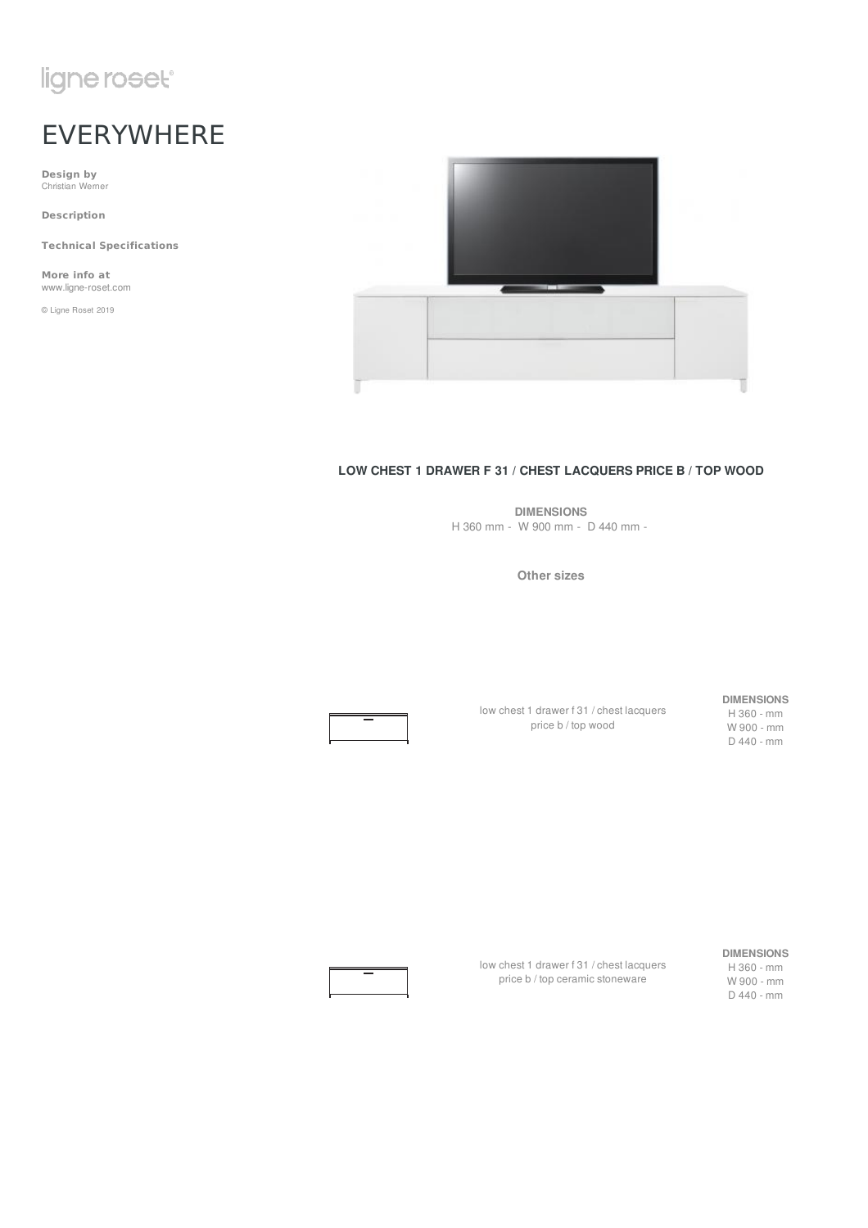# ligne roset<sup>®</sup>

# EVERYWHERE

**Design by** Christian Werner

**Description**

**Technical Specifications**

**More info at** www.ligne-roset.com

© Ligne Roset 2019



#### **LOW CHEST 1 DRAWER F 31 / CHEST LACQUERS PRICE B / TOP WOOD**

**DIMENSIONS** H 360 mm - W 900 mm - D 440 mm -

**Other sizes**



low chest 1 drawer f 31 / chest lacquers price b / top wood

#### **DIMENSIONS**

H 360 - mm W 900 - mm D 440 - mm

low chest 1 drawer f 31 / chest lacquers price b / top ceramic stoneware

#### **DIMENSIONS**

H 360 - mm W 900 - mm D 440 - mm

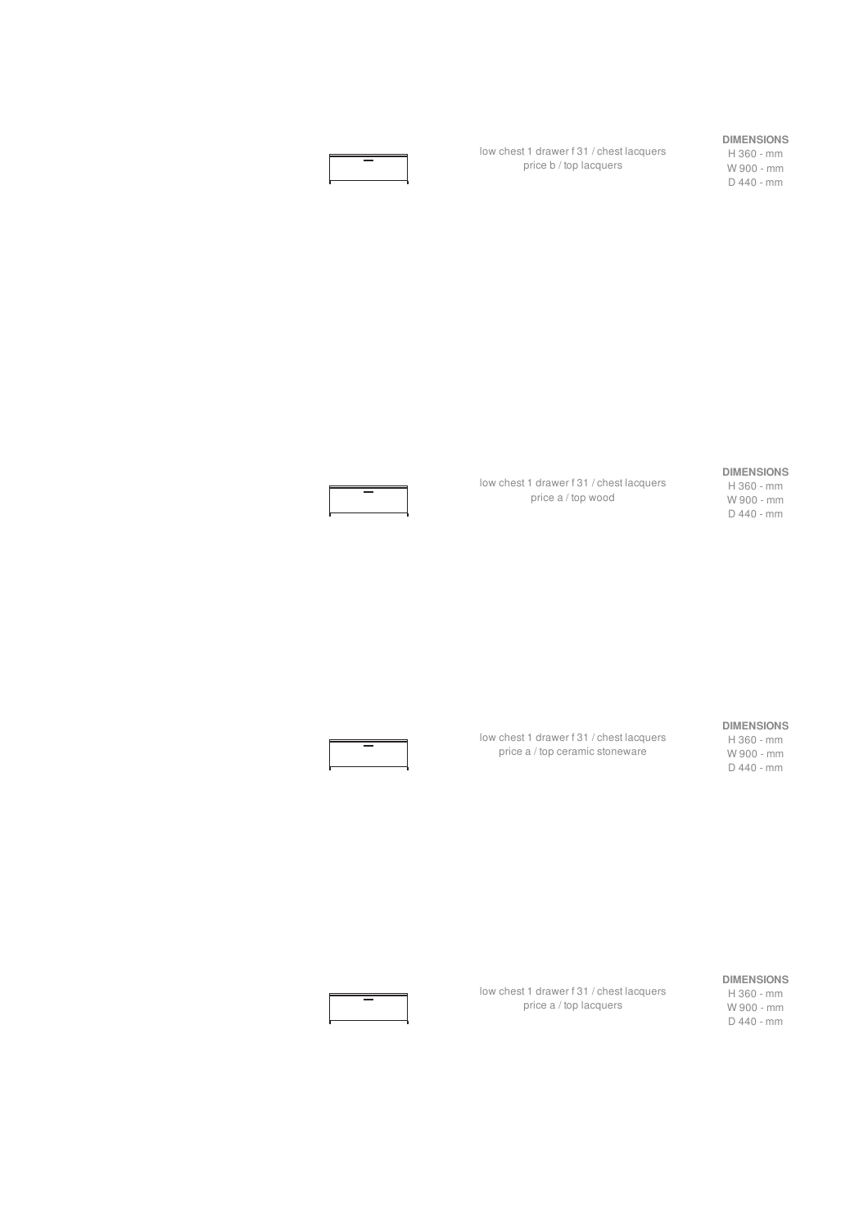low chest 1 drawer f 31 / chest lacquers price b / top lacquers

#### **DIMENSIONS**

H 360 - mm W 900 - mm D 440 - mm

#### **DIMENSIONS**

low chest 1 drawer f 31 / chest lacquers price a / top wood

H 360 - mm W 900 - mm D 440 - mm

#### **DIMENSIONS**

low chest 1 drawer f 31 / chest lacquers price a / top ceramic stoneware

H 360 - mm W 900 - mm D 440 - mm

#### low chest 1 drawer f 31 / chest lacquers price a / top lacquers

#### **DIMENSIONS**

H 360 - mm W 900 - mm D 440 - mm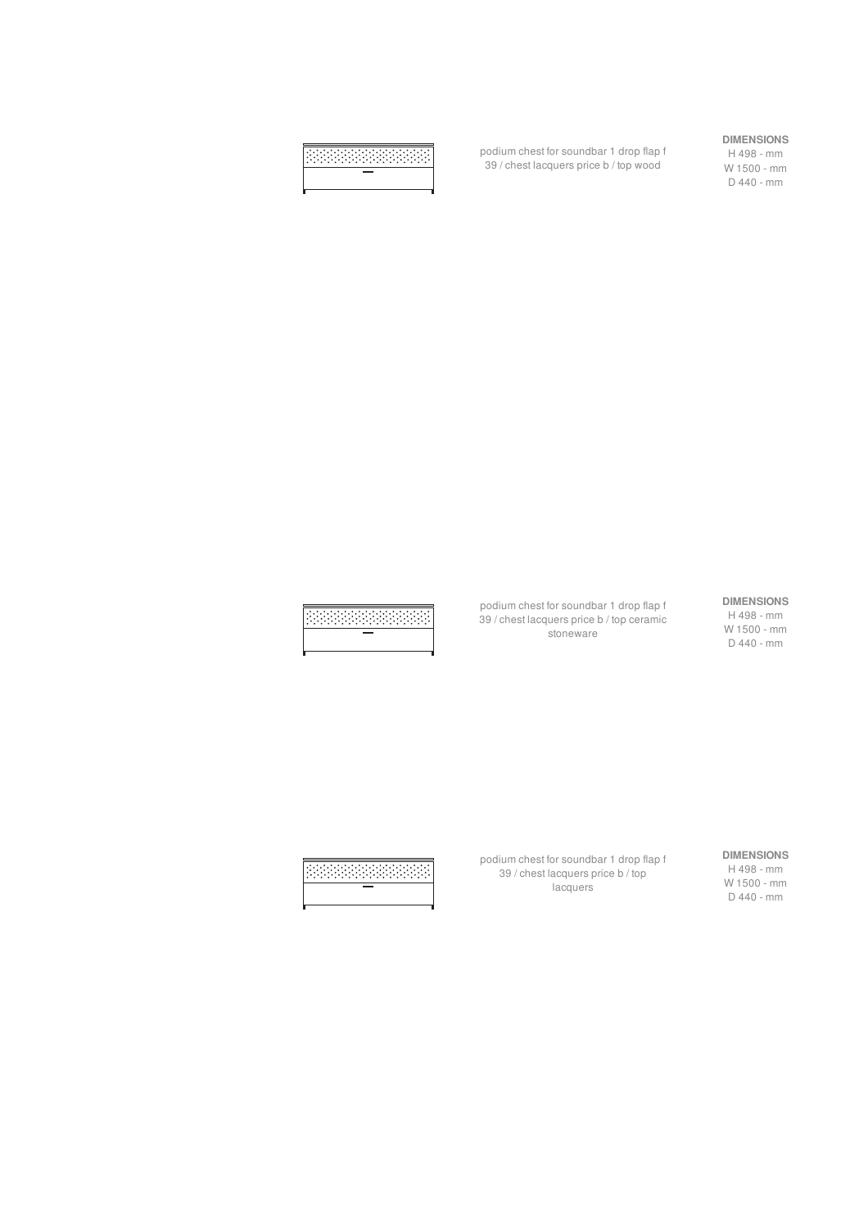podium chest for soundbar 1 drop flap f 39 / chest lacquers price b / top wood

**DIMENSIONS**

H 498 - mm W 1500 - mm D 440 - mm

## **DIMENSIONS**

H 498 - mm W 1500 - mm D 440 - mm

podium chest for soundbar 1 drop flap f 39 / chest lacquers price b / top ceramic stoneware

**DIMENSIONS** H 498 - mm W 1500 - mm D 440 - mm

podium chest for soundbar 1 drop flap f 39 / chest lacquers price b / top lacquers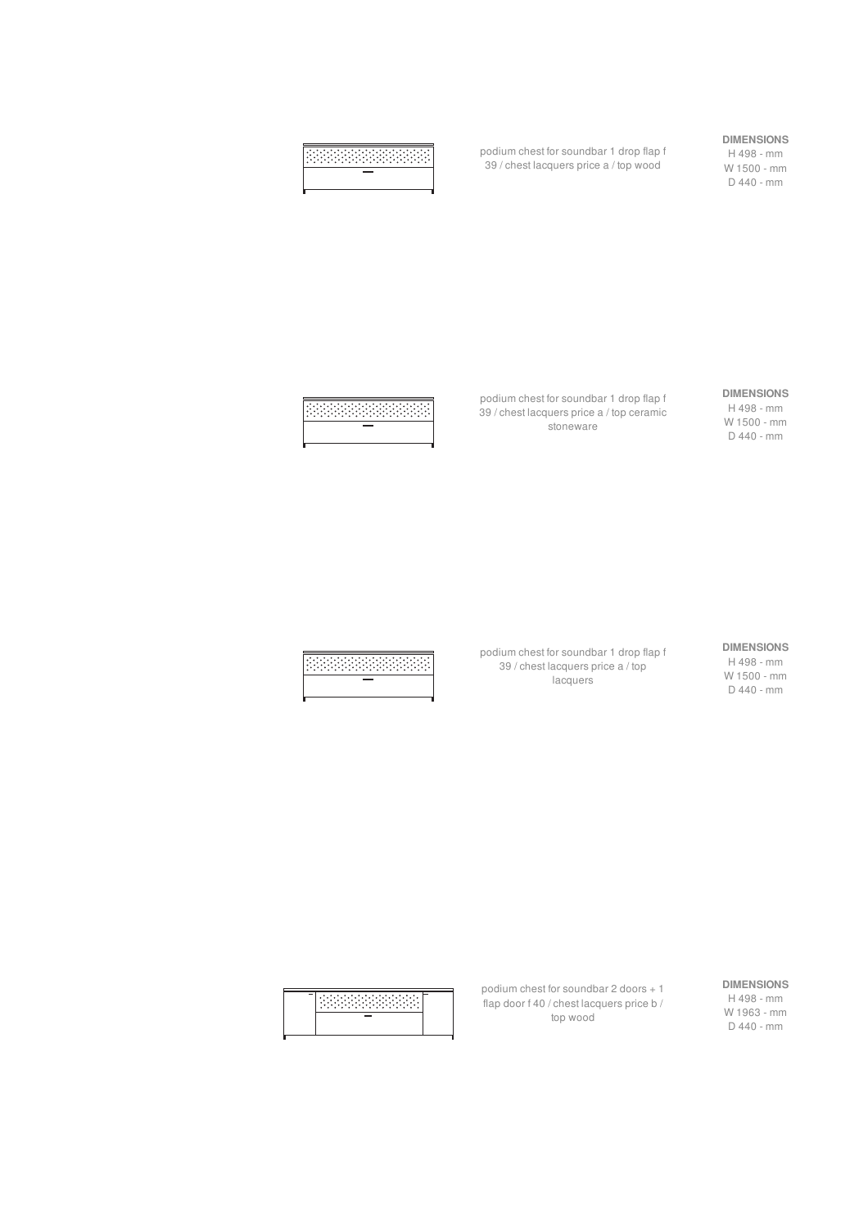podium chest for soundbar 1 drop flap f 39 / chest lacquers price a / top wood

#### **DIMENSIONS**

H 498 - mm W 1500 - mm D 440 - mm

#### podium chest for soundbar 1 drop flap f 39 / chest lacquers price a / top ceramic **DIMENSIONS**

H 498 - mm W 1500 - mm D 440 - mm

#### **DIMENSIONS**

H 498 - mm W 1500 - mm D 440 - mm

podium chest for soundbar 1 drop flap f 39 / chest lacquers price a / top **lacquers** 

stoneware

| ٠<br>٠<br>٠<br>٠<br>۰<br>٠<br>٠<br>۰<br>۰<br>٠<br>٠<br>٠<br>۰ |
|---------------------------------------------------------------|
|                                                               |
|                                                               |

#### **DIMENSIONS**

H 498 - mm W 1963 - mm D 440 - mm

podium chest for soundbar 2 doors + 1 flap door f 40 / chest lacquers price b / top wood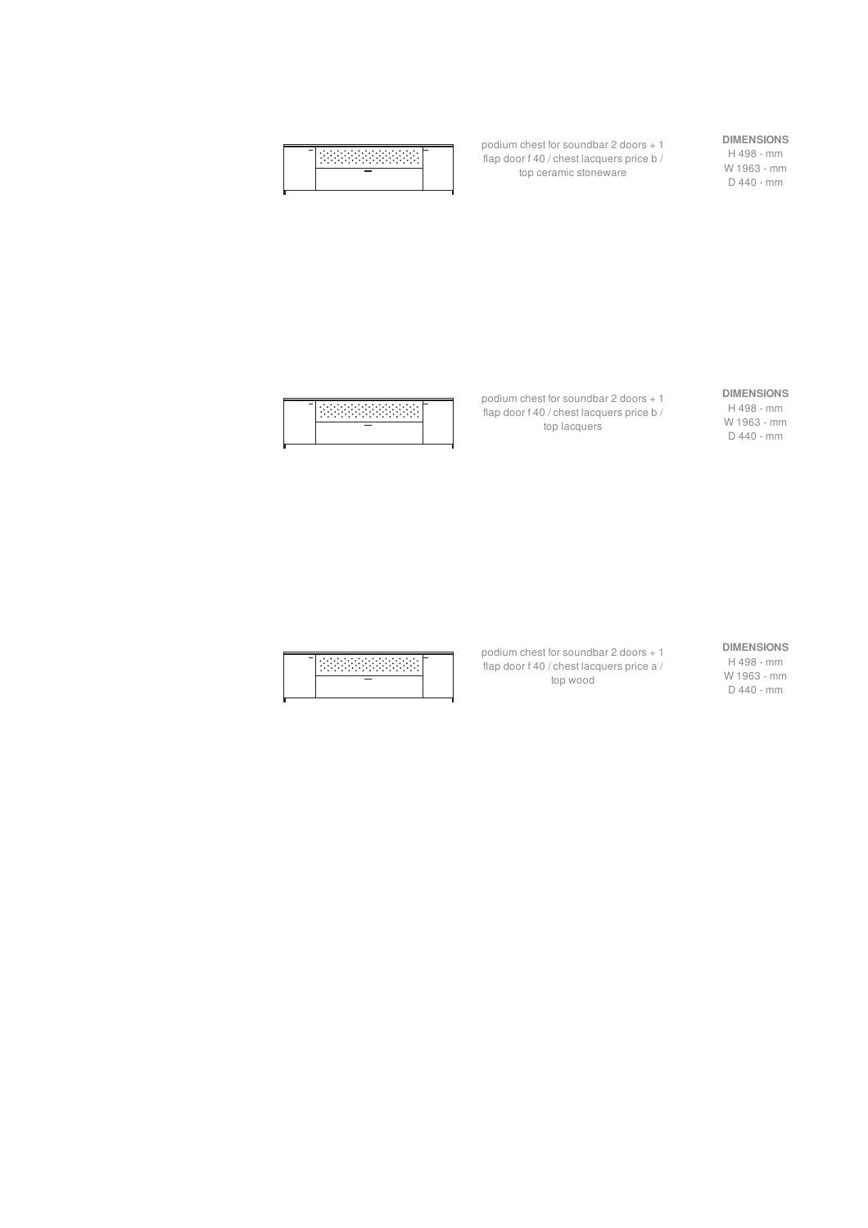| ۰  |  |
|----|--|
| -- |  |

podium chest for soundbar 2 doors + 1 flap door f 40 / chest lacquers price b / top ceramic stoneware

#### **DIMENSIONS**

H 498 - mm W 1963 - mm D 440 - mm

| ٠<br>٠<br>۰<br>٠<br>٠<br>٠<br>٠<br>__ |  |
|---------------------------------------|--|
|                                       |  |

podium chest for soundbar 2 doors + 1 flap door f 40 / chest lacquers price b / top lacquers

#### **DIMENSIONS**

H 498 - mm W 1963 - mm D 440 - mm

| ٠<br>٠<br>٠<br>٠ |  |
|------------------|--|
|                  |  |

podium chest for soundbar 2 doors + 1 flap door f 40 / chest lacquers price a / top wood

#### **DIMENSIONS**

H 498 - mm W 1963 - mm D 440 - mm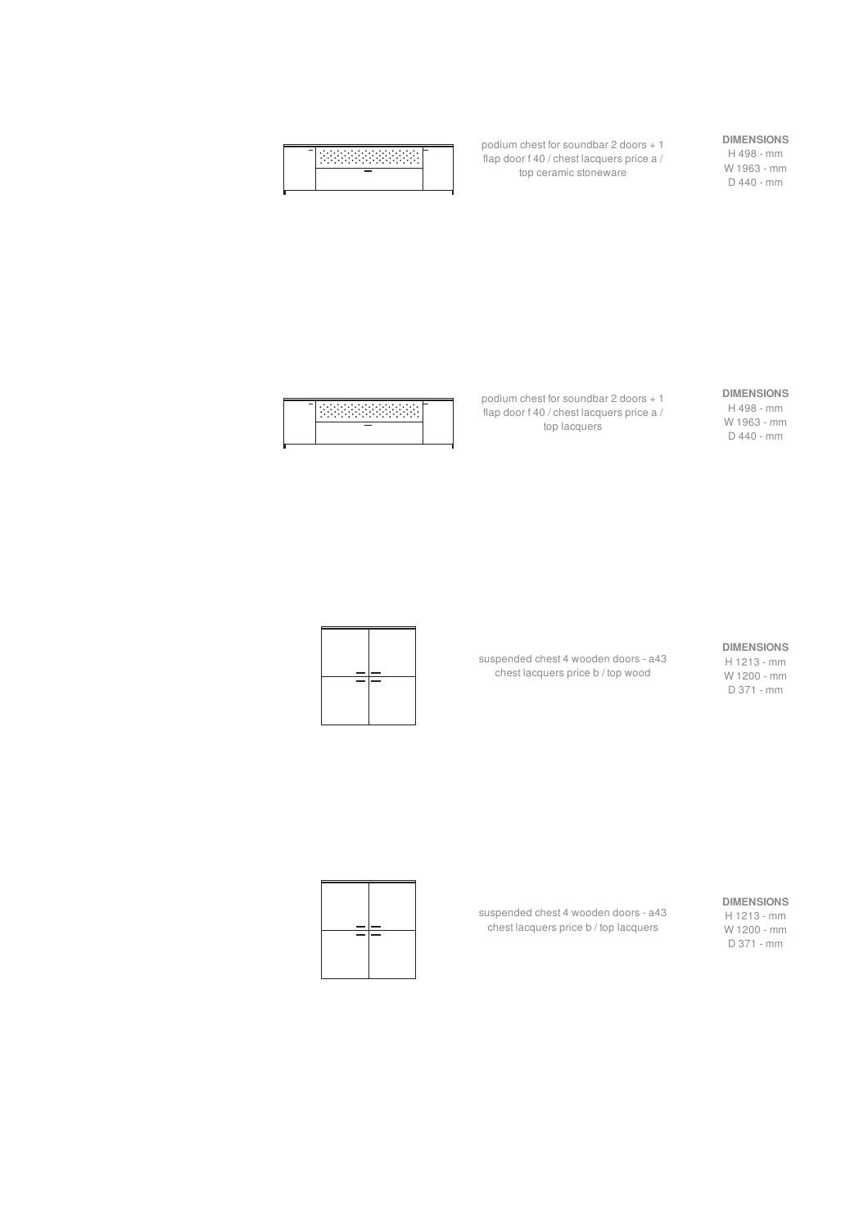|--|--|

podium chest for soundbar 2 doors + 1 flap door f 40 / chest lacquers price a / top ceramic stoneware

## **DIMENSIONS**

H 498 - mm W 1963 - mm D 440 - mm

# **RESERVANCE**

podium chest for soundbar 2 doors + 1 flap door f 40 / chest lacquers price a / top lacquers

#### **DIMENSIONS**

H 498 - mm W 1963 - mm D 440 - mm

#### **DIMENSIONS**

H 1213 - mm W 1200 - mm D 371 - mm

suspended chest 4 wooden doors - a43 chest lacquers price b / top wood



#### **DIMENSIONS**

H 1213 - mm W 1200 - mm D 371 - mm

suspended chest 4 wooden doors - a43 chest lacquers price b / top lacquers

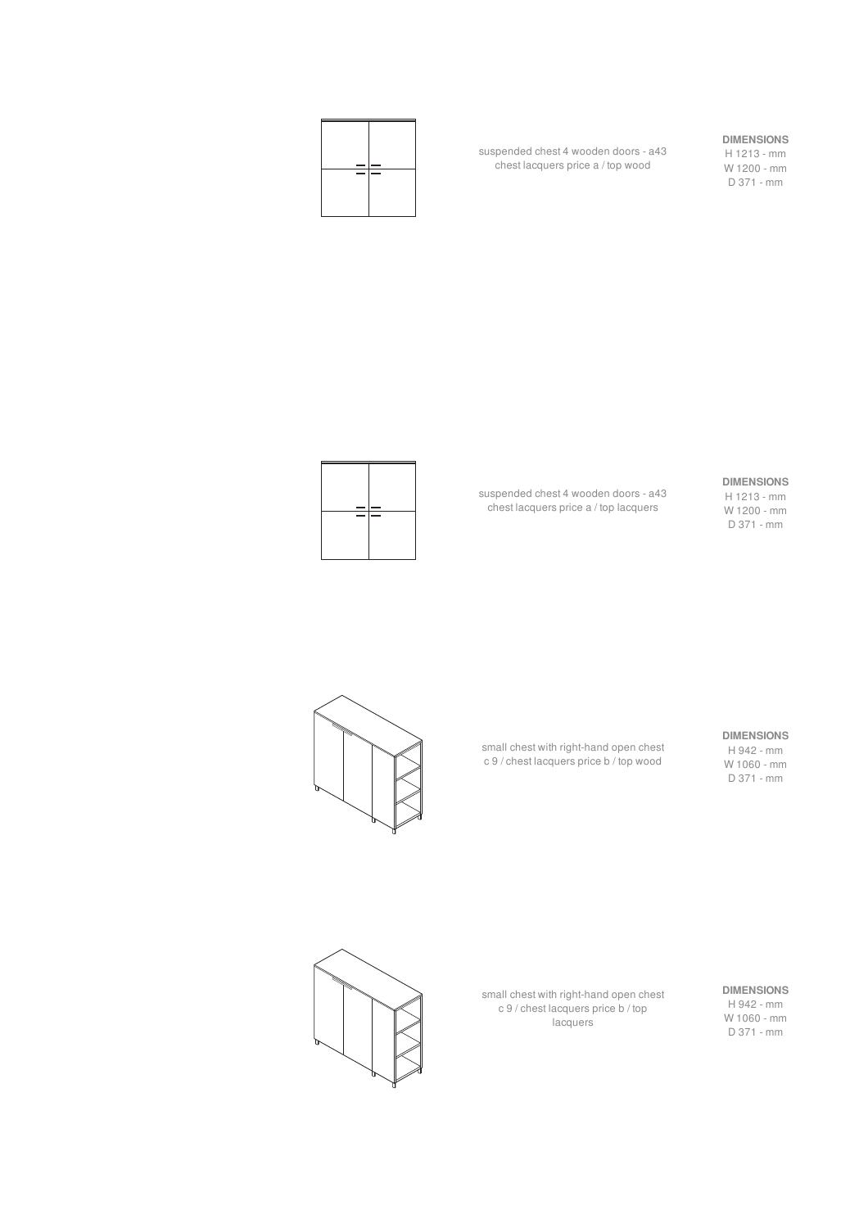#### **DIMENSIONS**

H 1213 - mm W 1200 - mm D 371 - mm

suspended chest 4 wooden doors - a43 chest lacquers price a / top wood



#### **DIMENSIONS** H 1213 - mm

W 1200 - mm D 371 - mm

suspended chest 4 wooden doors - a43 chest lacquers price a / top lacquers



#### **DIMENSIONS**

H 942 - mm W 1060 - mm D 371 - mm

small chest with right-hand open chest c 9 / chest lacquers price b / top wood



#### **DIMENSIONS**

H 942 - mm W 1060 - mm D 371 - mm

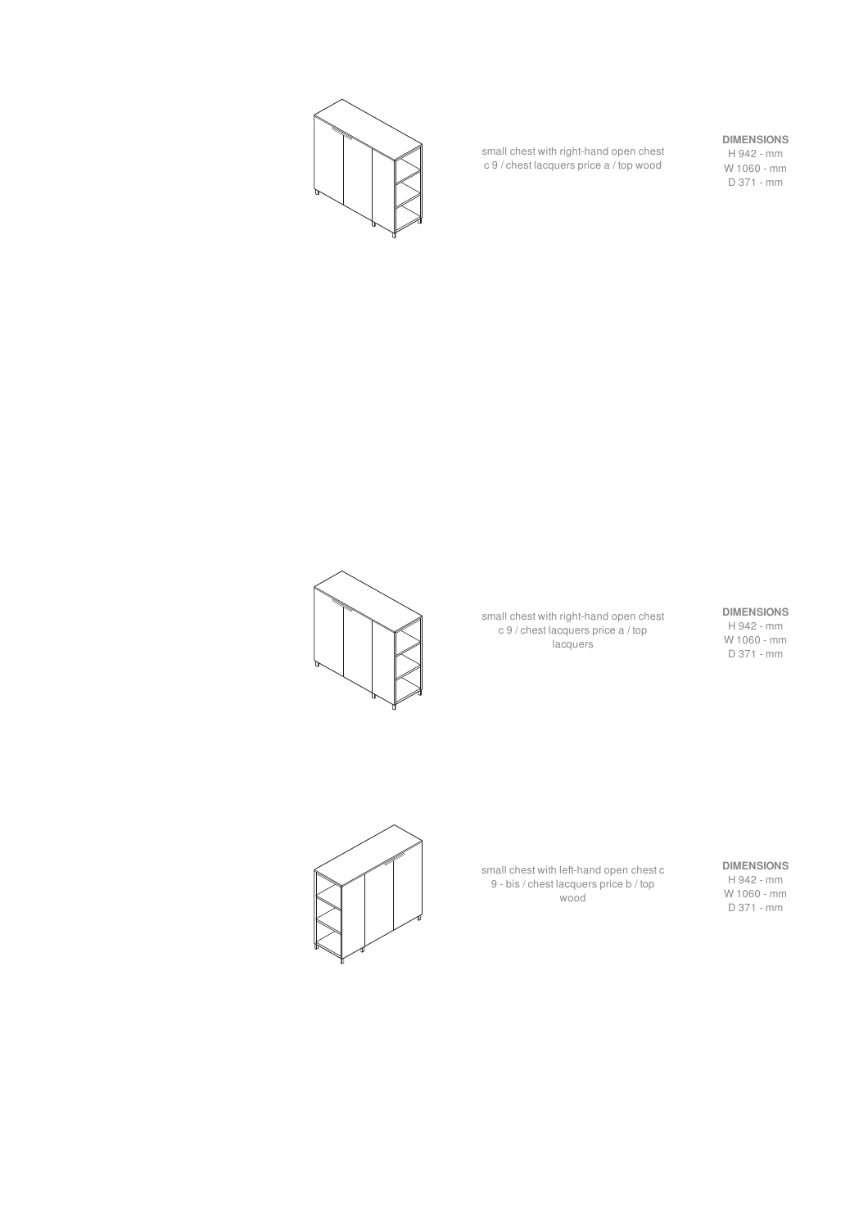

small chest with right-hand open chest c 9 / chest lacquers price a / top wood

#### **DIMENSIONS**

H 942 - mm W 1060 - mm D 371 - mm



small chest with right-hand open chest c 9 / chest lacquers price a / top **lacquers** 

## **DIMENSIONS**

H 942 - mm W 1060 - mm D 371 - mm



small chest with left-hand open chest c 9 - bis / chest lacquers price b / top wood

#### **DIMENSIONS**

H 942 - mm W 1060 - mm D 371 - mm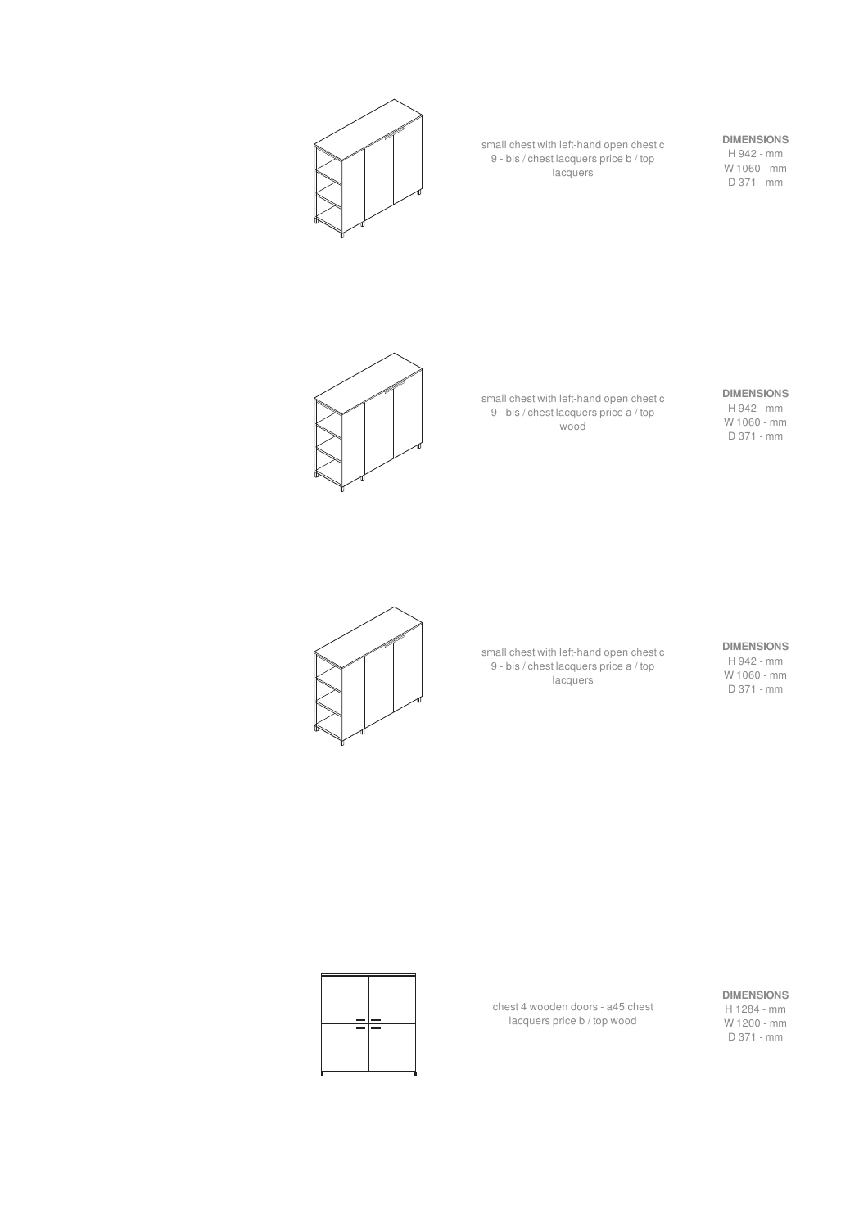

small chest with left-hand open chest c 9 - bis / chest lacquers price b / top lacquers

## **DIMENSIONS**

H 942 - mm W 1060 - mm D 371 - mm



small chest with left-hand open chest c 9 - bis / chest lacquers price a / top wood

#### **DIMENSIONS** H 942 - mm

W 1060 - mm D 371 - mm



small chest with left-hand open chest c 9 - bis / chest lacquers price a / top **lacquers** 

#### **DIMENSIONS**

H 942 - mm W 1060 - mm D 371 - mm

#### **DIMENSIONS**

H 1284 - mm W 1200 - mm D 371 - mm



chest 4 wooden doors - a45 chest lacquers price b / top wood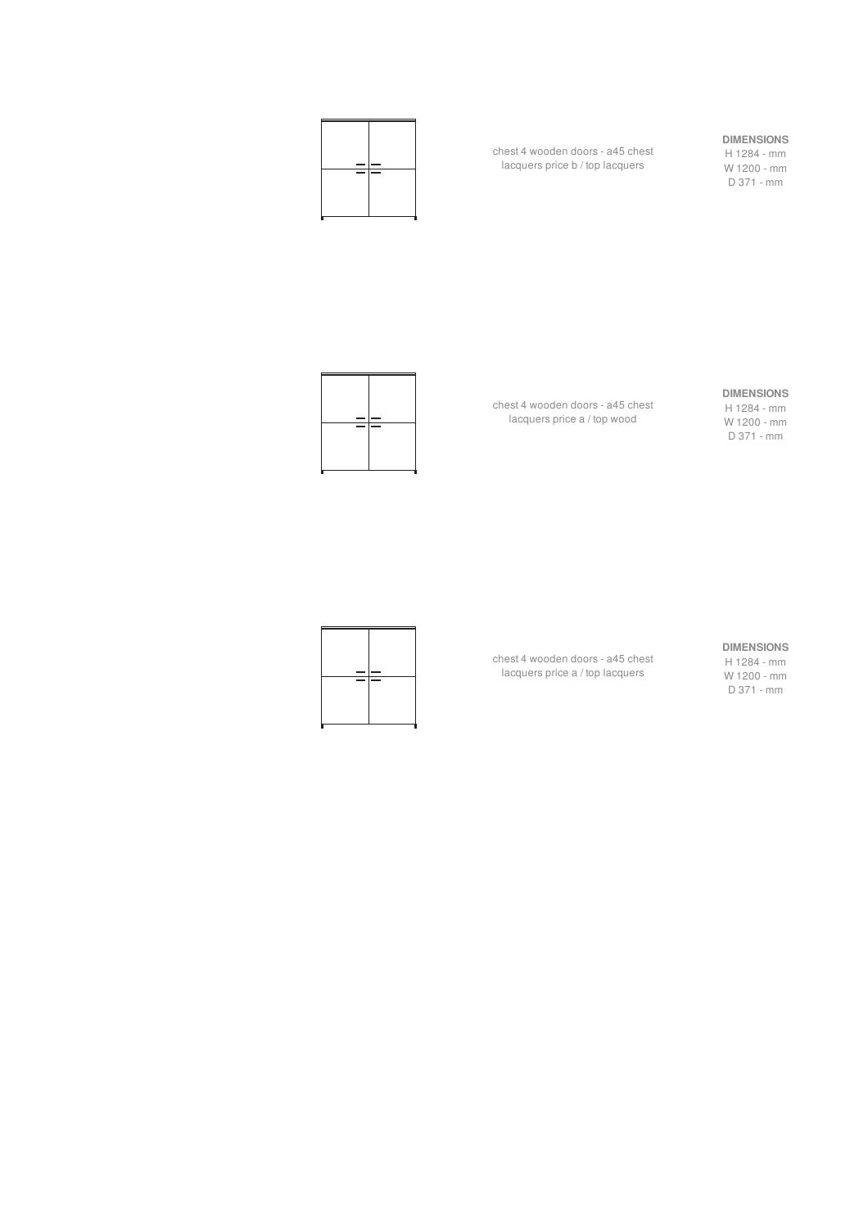

chest 4 wooden doors - a45 chest lacquers price b / top lacquers

#### **DIMENSIONS**

H 1284 - mm W 1200 - mm D 371 - mm



chest 4 wooden doors - a45 chest lacquers price a / top wood

chest 4 wooden doors - a45 chest lacquers price a / top lacquers

#### **DIMENSIONS**

H 1284 - mm W 1200 - mm D 371 - mm



**DIMENSIONS**

H 1284 - mm W 1200 - mm D 371 - mm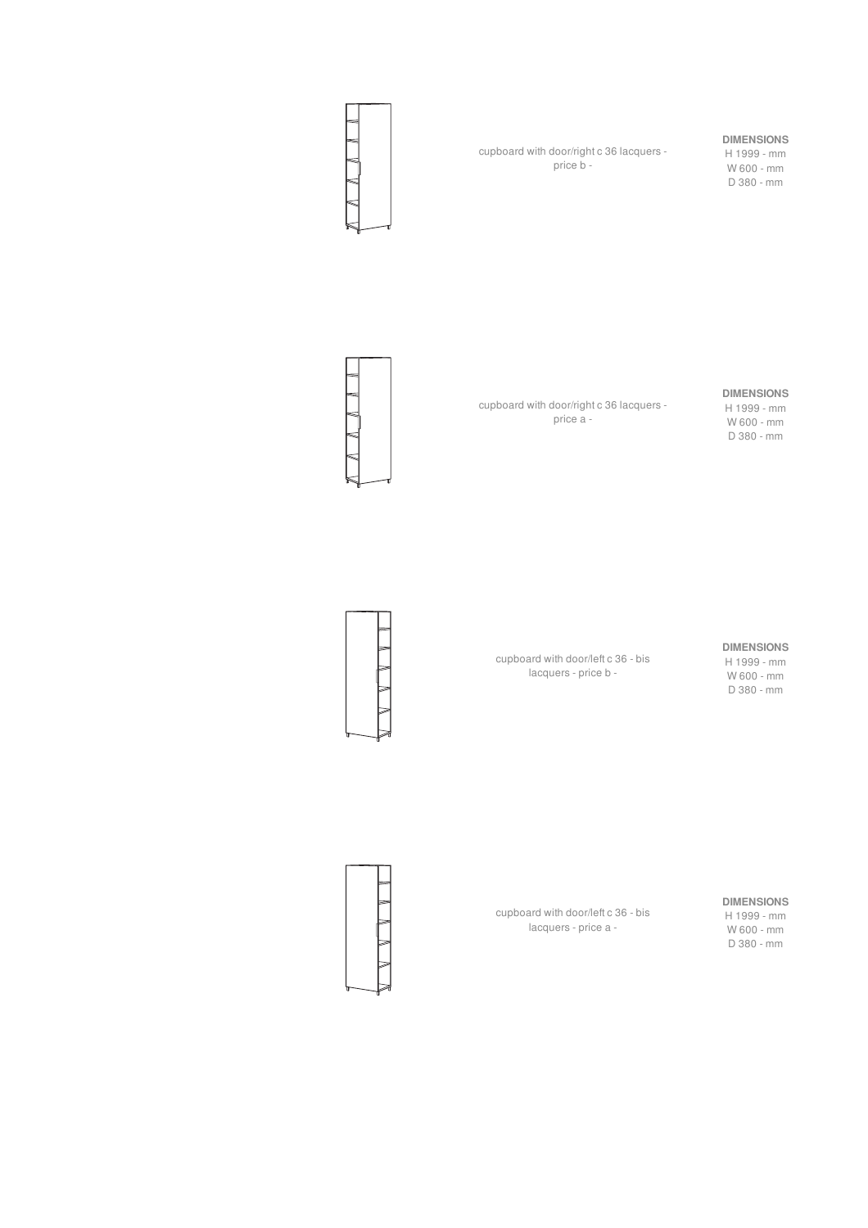

cupboard with door/right c 36 lacquers price b -

#### **DIMENSIONS**

H 1999 - mm W 600 - mm D 380 - mm



cupboard with door/right c 36 lacquers price a -

cupboard with door/left c 36 - bis lacquers - price b -

#### **DIMENSIONS**

H 1999 - mm W 600 - mm D 380 - mm



**DIMENSIONS**

H 1999 - mm W 600 - mm D 380 - mm

**DIMENSIONS**

H 1999 - mm W 600 - mm D 380 - mm

cupboard with door/left c 36 - bis lacquers - price a -

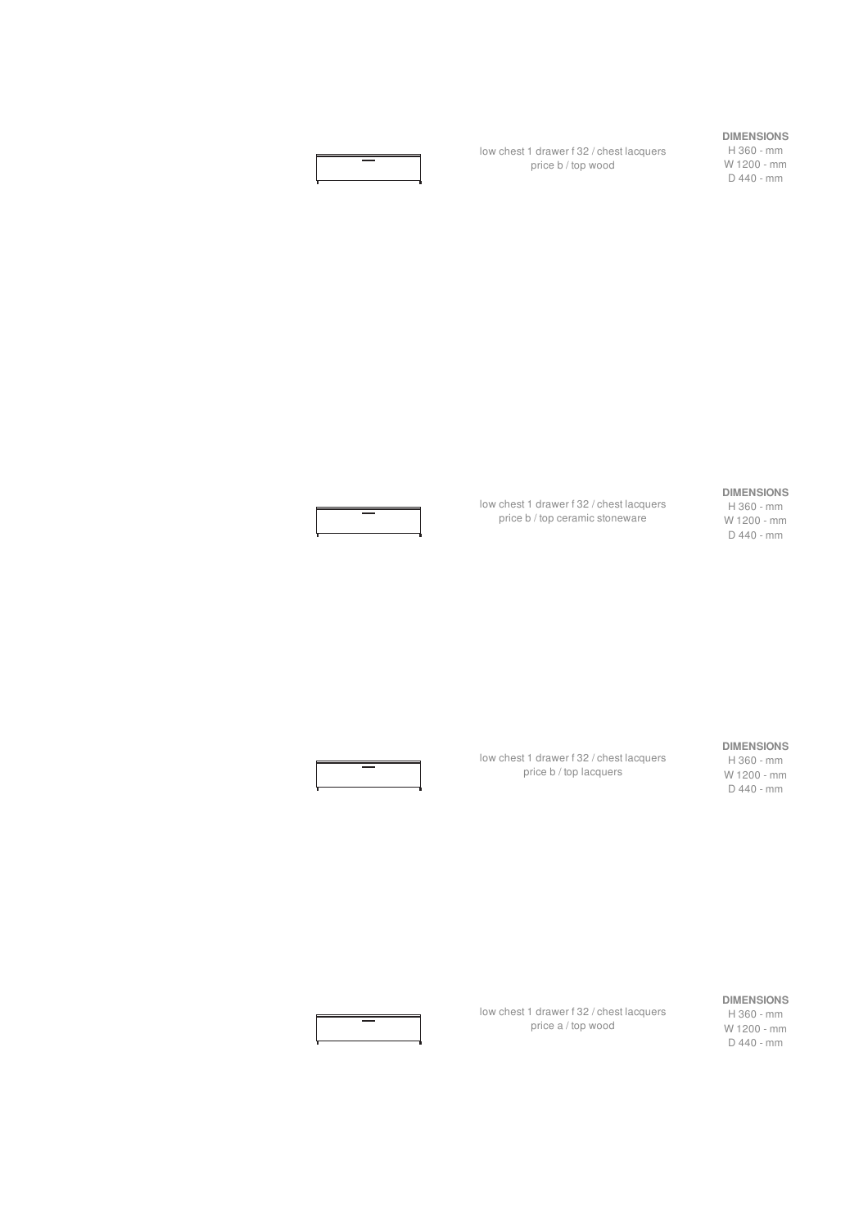

low chest 1 drawer f 32 / chest lacquers price b / top wood

**DIMENSIONS**

H 360 - mm W 1200 - mm D 440 - mm

#### **DIMENSIONS**

low chest 1 drawer f 32 / chest lacquers price b / top ceramic stoneware

#### H 360 - mm W 1200 - mm D 440 - mm

**DIMENSIONS**

H 360 - mm W 1200 - mm D 440 - mm



low chest 1 drawer f 32 / chest lacquers price b / top lacquers



low chest 1 drawer f 32 / chest lacquers price a / top wood

#### **DIMENSIONS** H 360 - mm W 1200 - mm D 440 - mm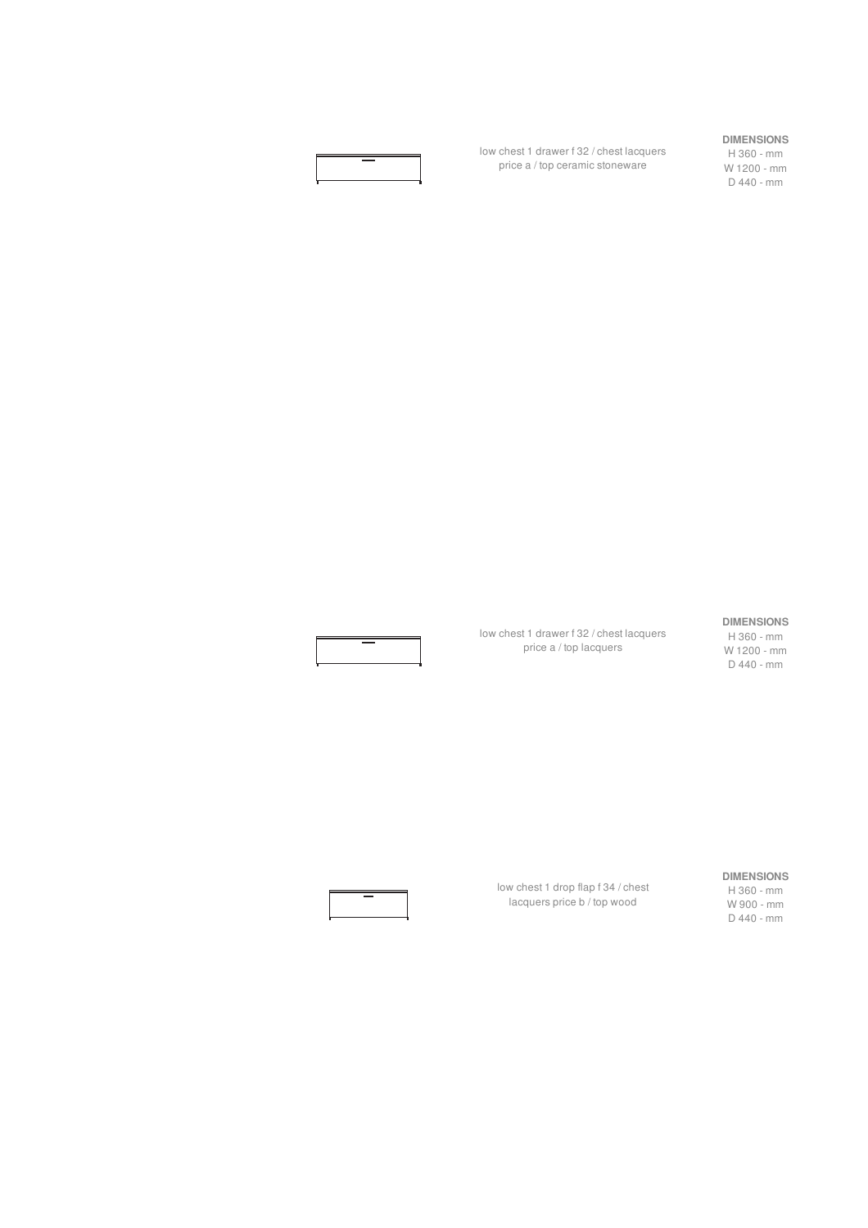

low chest 1 drawer f 32 / chest lacquers price a / top ceramic stoneware

#### **DIMENSIONS**

H 360 - mm W 1200 - mm D 440 - mm

#### **DIMENSIONS**

H 360 - mm W 1200 - mm D 440 - mm

**DIMENSIONS** H 360 - mm W 900 - mm

D 440 - mm

low chest 1 drop flap f 34 / chest lacquers price b / top wood

low chest 1 drawer f 32 / chest lacquers price a / top lacquers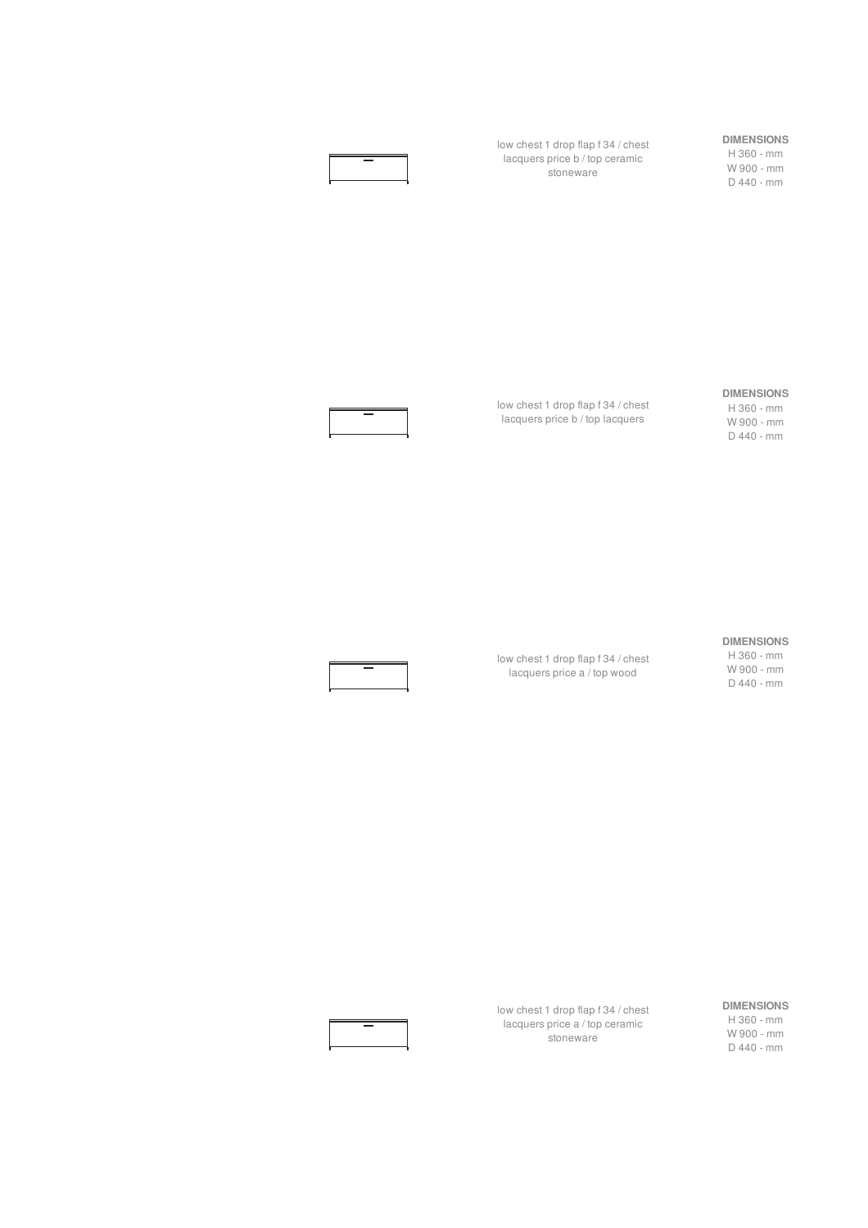low chest 1 drop flap f 34 / chest lacquers price b / top ceramic stoneware

#### **DIMENSIONS**

H 360 - mm W 900 - mm D 440 - mm

#### **DIMENSIONS**

H 360 - mm W 900 - mm D 440 - mm



lacquers price b / top lacquers

low chest 1 drop flap f 34 / chest

## **DIMENSIONS**

low chest 1 drop flap f 34 / chest lacquers price a / top wood

H 360 - mm W 900 - mm D 440 - mm

low chest 1 drop flap f 34 / chest lacquers price a / top ceramic stoneware

#### **DIMENSIONS** H 360 - mm

W 900 - mm D 440 - mm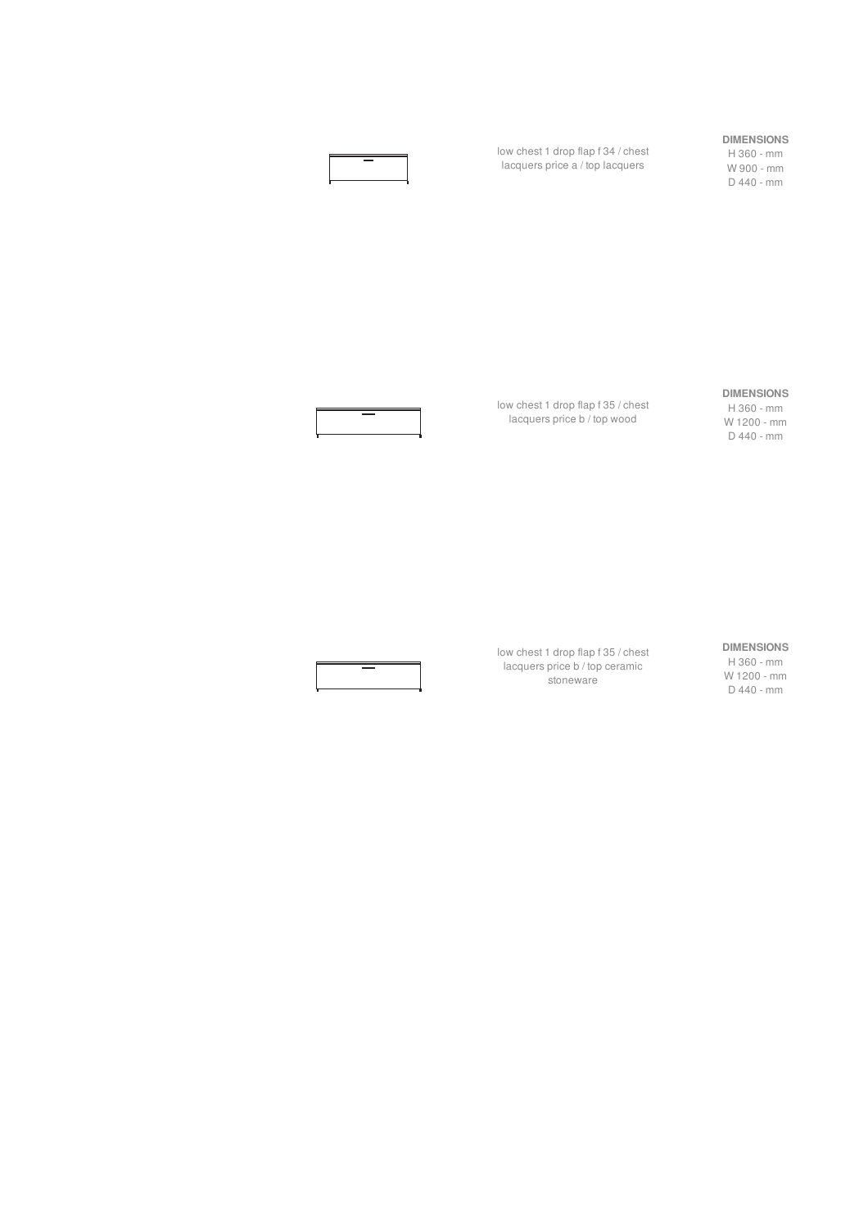#### **DIMENSIONS**

H 360 - mm W 900 - mm D 440 - mm



low chest 1 drop flap f 35 / chest lacquers price b / top wood

stoneware

low chest 1 drop flap f 34 / chest lacquers price a / top lacquers

#### **DIMENSIONS**

H 360 - mm W 1200 - mm D 440 - mm

#### **DIMENSIONS**

D 440 - mm

low chest 1 drop flap f 35 / chest lacquers price b / top ceramic



H 360 - mm W 1200 - mm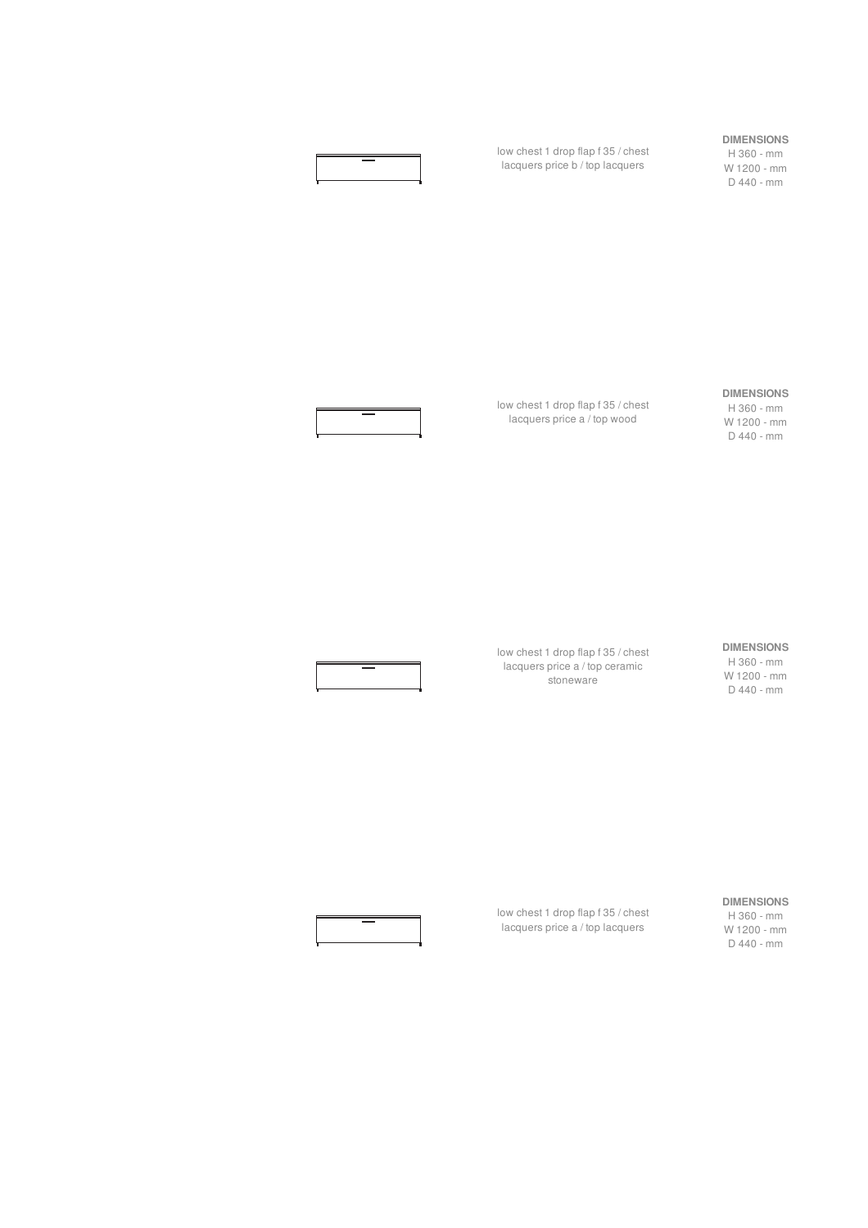

low chest 1 drop flap f 35 / chest lacquers price b / top lacquers

#### **DIMENSIONS**

H 360 - mm W 1200 - mm D 440 - mm

#### **DIMENSIONS**

H 360 - mm W 1200 - mm D 440 - mm



lacquers price a / top wood

low chest 1 drop flap f 35 / chest

#### **DIMENSIONS**

H 360 - mm W 1200 - mm D 440 - mm



lacquers price a / top ceramic stoneware

low chest 1 drop flap f 35 / chest

#### **DIMENSIONS**

H 360 - mm W 1200 - mm D 440 - mm



low chest 1 drop flap f 35 / chest lacquers price a / top lacquers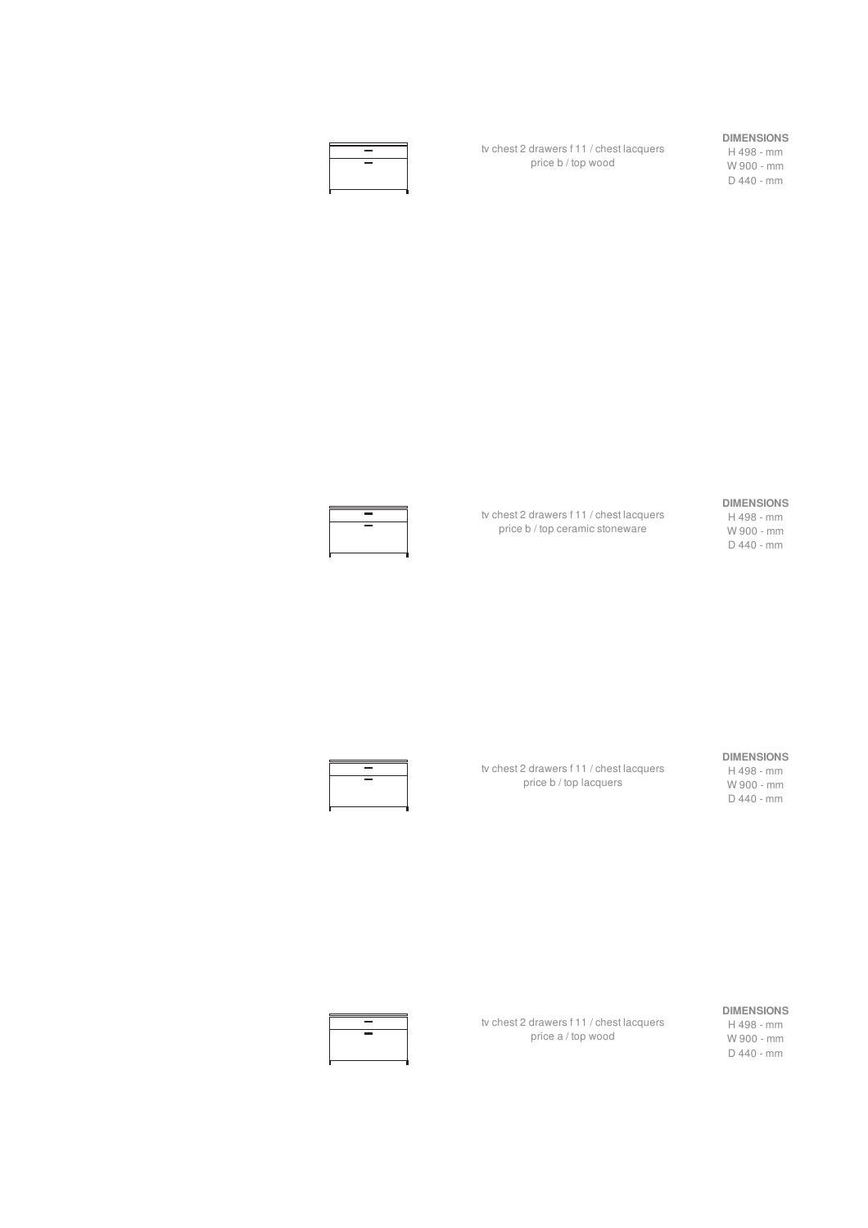| $\sim$ |  |
|--------|--|
| $\sim$ |  |
|        |  |
|        |  |

tv chest 2 drawers f 11 / chest lacquers price b / top wood

#### **DIMENSIONS**

H 498 - mm W 900 - mm D 440 - mm

#### **DIMENSIONS**

H 498 - mm W 900 - mm D 440 - mm



tv chest 2 drawers f 11 / chest lacquers price b / top ceramic stoneware

tv chest 2 drawers f 11 / chest lacquers price b / top lacquers

#### **DIMENSIONS**

H 498 - mm W 900 - mm D 440 - mm



tv chest 2 drawers f 11 / chest lacquers price a / top wood

#### **DIMENSIONS**

H 498 - mm W 900 - mm D 440 - mm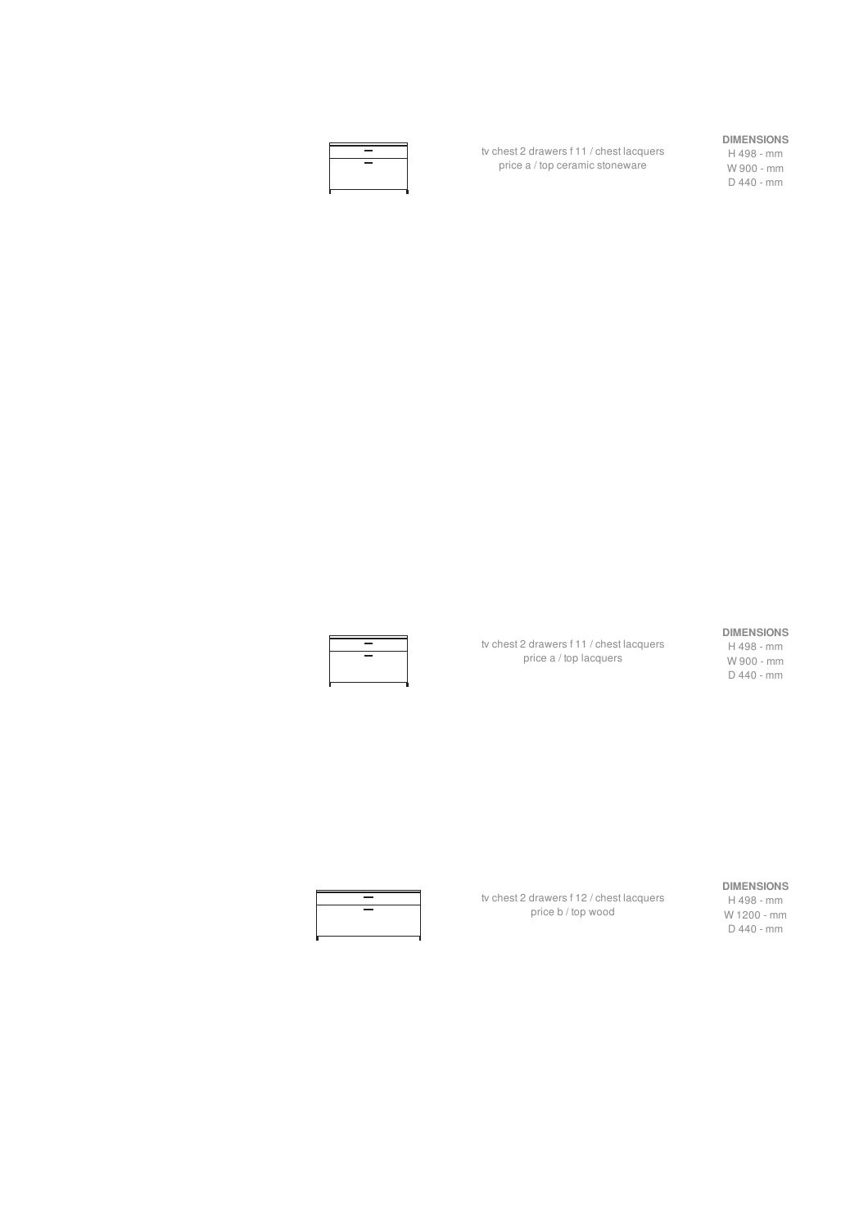|  | -      |  |
|--|--------|--|
|  | $\sim$ |  |
|  |        |  |
|  |        |  |

tv chest 2 drawers f 11 / chest lacquers price a / top ceramic stoneware

#### **DIMENSIONS**

H 498 - mm W 900 - mm D 440 - mm

tv chest 2 drawers f 11 / chest lacquers price a / top lacquers

#### **DIMENSIONS**

H 498 - mm W 900 - mm D 440 - mm

#### **DIMENSIONS**

H 498 - mm W 1200 - mm D 440 - mm



tv chest 2 drawers f 12 / chest lacquers price b / top wood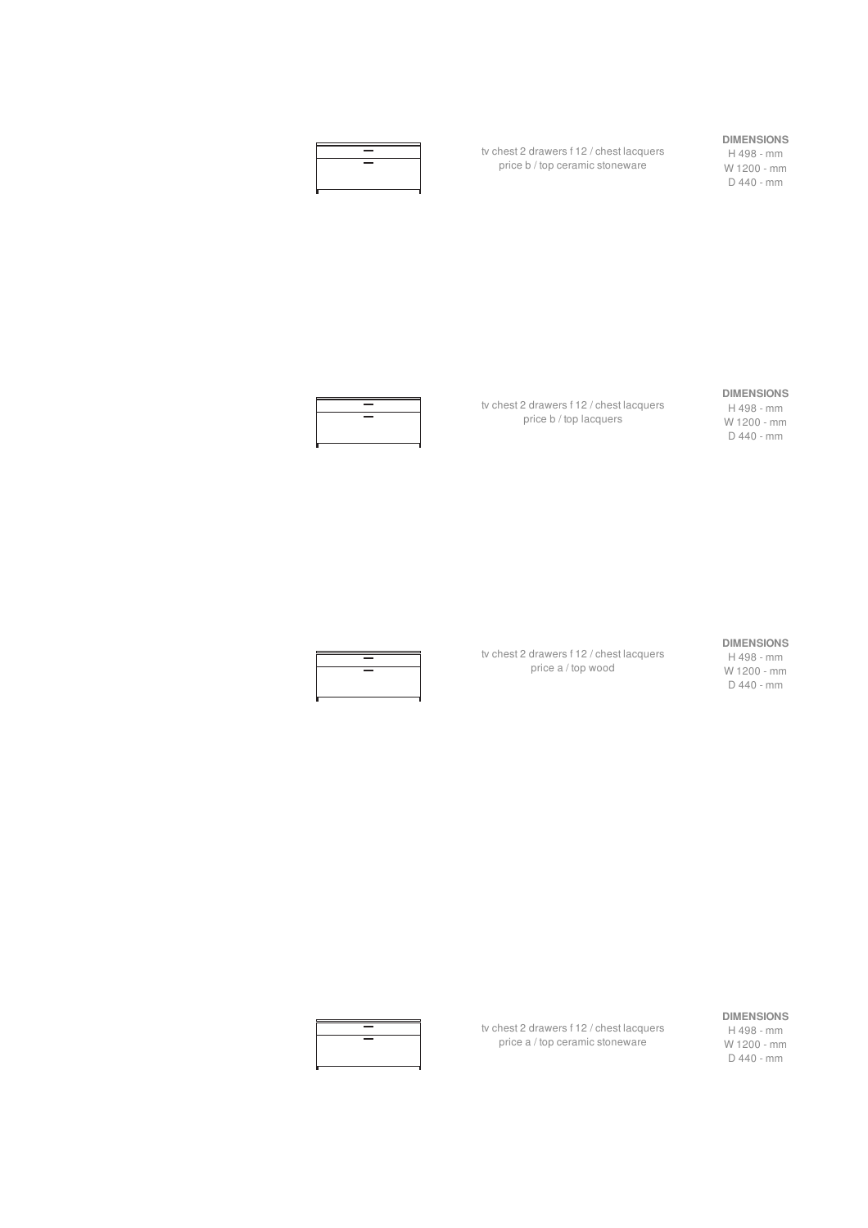

tv chest 2 drawers f 12 / chest lacquers price b / top ceramic stoneware

#### **DIMENSIONS**

H 498 - mm W 1200 - mm D 440 - mm



tv chest 2 drawers f 12 / chest lacquers price b / top lacquers

#### **DIMENSIONS**

H 498 - mm W 1200 - mm D 440 - mm



tv chest 2 drawers f 12 / chest lacquers price a / top wood

#### **DIMENSIONS**

H 498 - mm W 1200 - mm D 440 - mm

#### **DIMENSIONS**

H 498 - mm W 1200 - mm D 440 - mm



tv chest 2 drawers f 12 / chest lacquers price a / top ceramic stoneware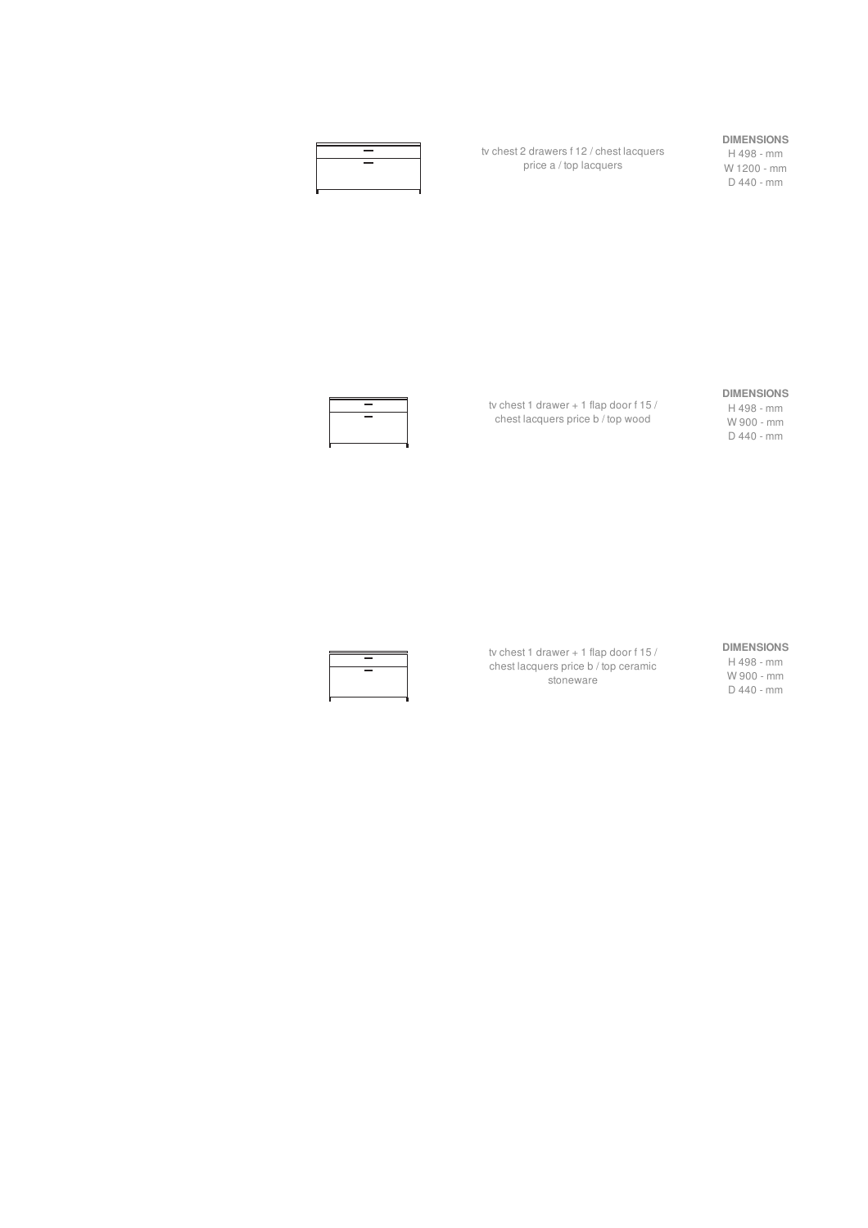| $\sim$                   |  |
|--------------------------|--|
| $\overline{\phantom{a}}$ |  |
|                          |  |
|                          |  |

tv chest 2 drawers f 12 / chest lacquers price a / top lacquers

#### **DIMENSIONS**

H 498 - mm W 1200 - mm D 440 - mm



tv chest 1 drawer + 1 flap door f 15 / chest lacquers price b / top wood

#### **DIMENSIONS**

H 498 - mm W 900 - mm D 440 - mm



tv chest 1 drawer + 1 flap door f 15 / chest lacquers price b / top ceramic stoneware

#### **DIMENSIONS**

H 498 - mm W 900 - mm D 440 - mm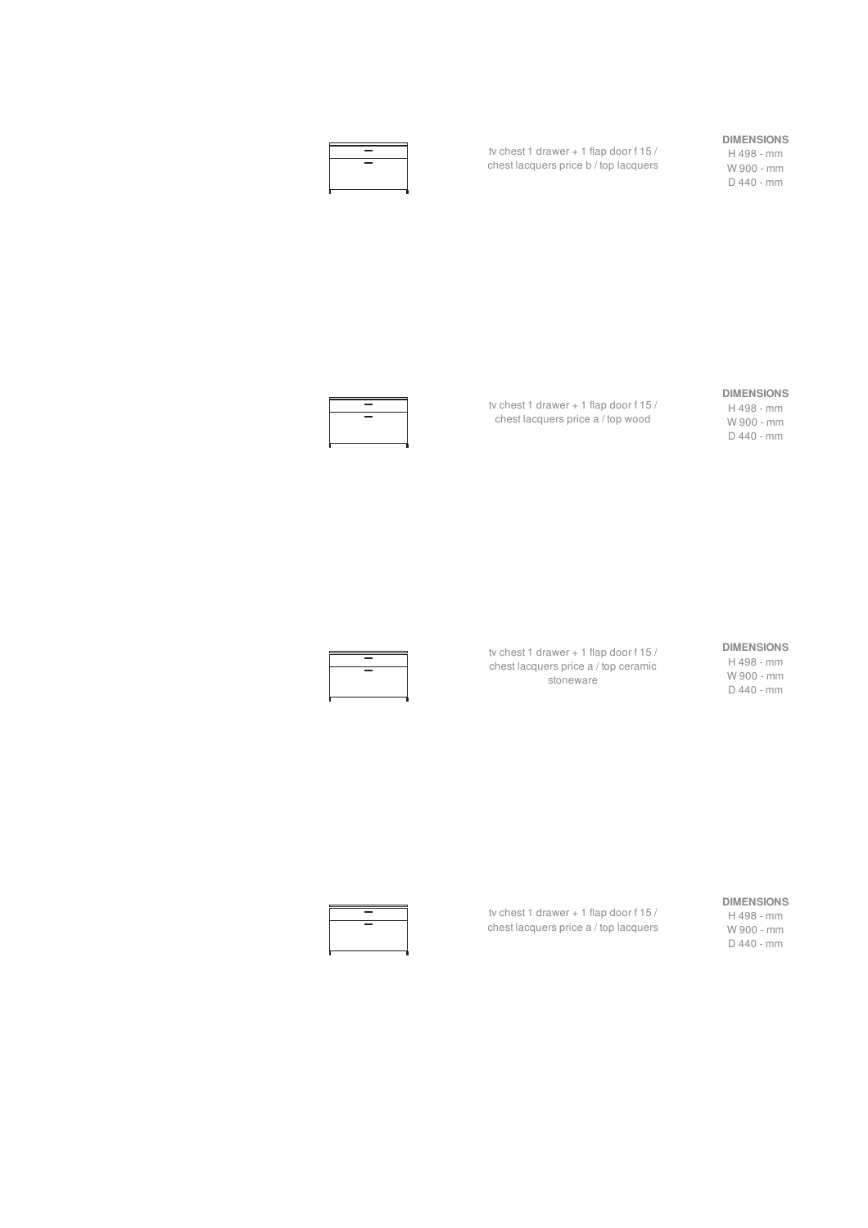| $\sim$                         |  |
|--------------------------------|--|
| <b>The Contract of Service</b> |  |
|                                |  |
|                                |  |
|                                |  |

tv chest 1 drawer + 1 flap door f 15 / chest lacquers price b / top lacquers

#### **DIMENSIONS**

H 498 - mm W 900 - mm D 440 - mm



tv chest 1 drawer + 1 flap door f 15 / chest lacquers price a / top wood

#### **DIMENSIONS**

H 498 - mm W 900 - mm D 440 - mm



tv chest 1 drawer + 1 flap door f 15 / chest lacquers price a / top ceramic stoneware

#### **DIMENSIONS**

H 498 - mm W 900 - mm D 440 - mm



tv chest 1 drawer + 1 flap door f 15 / chest lacquers price a / top lacquers

#### **DIMENSIONS**

H 498 - mm W 900 - mm D 440 - mm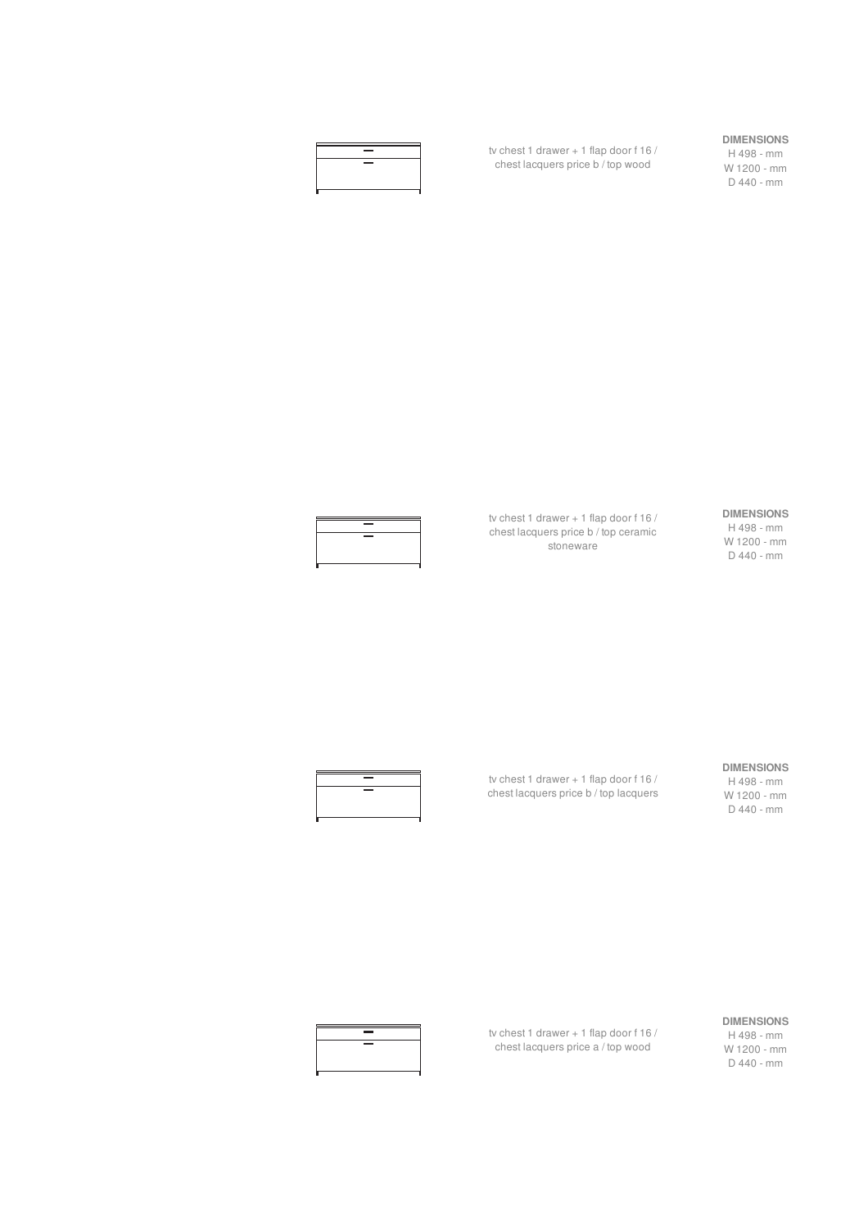

tv chest 1 drawer + 1 flap door f 16 / chest lacquers price b / top wood

#### **DIMENSIONS**

H 498 - mm W 1200 - mm D 440 - mm



tv chest 1 drawer + 1 flap door f 16 / chest lacquers price b / top ceramic stoneware

#### **DIMENSIONS**

H 498 - mm W 1200 - mm D 440 - mm

#### **DIMENSIONS** H 498 - mm

W 1200 - mm D 440 - mm



tv chest 1 drawer + 1 flap door f 16 / chest lacquers price b / top lacquers

tv chest 1 drawer + 1 flap door f 16 / chest lacquers price a / top wood



**DIMENSIONS** H 498 - mm W 1200 - mm D 440 - mm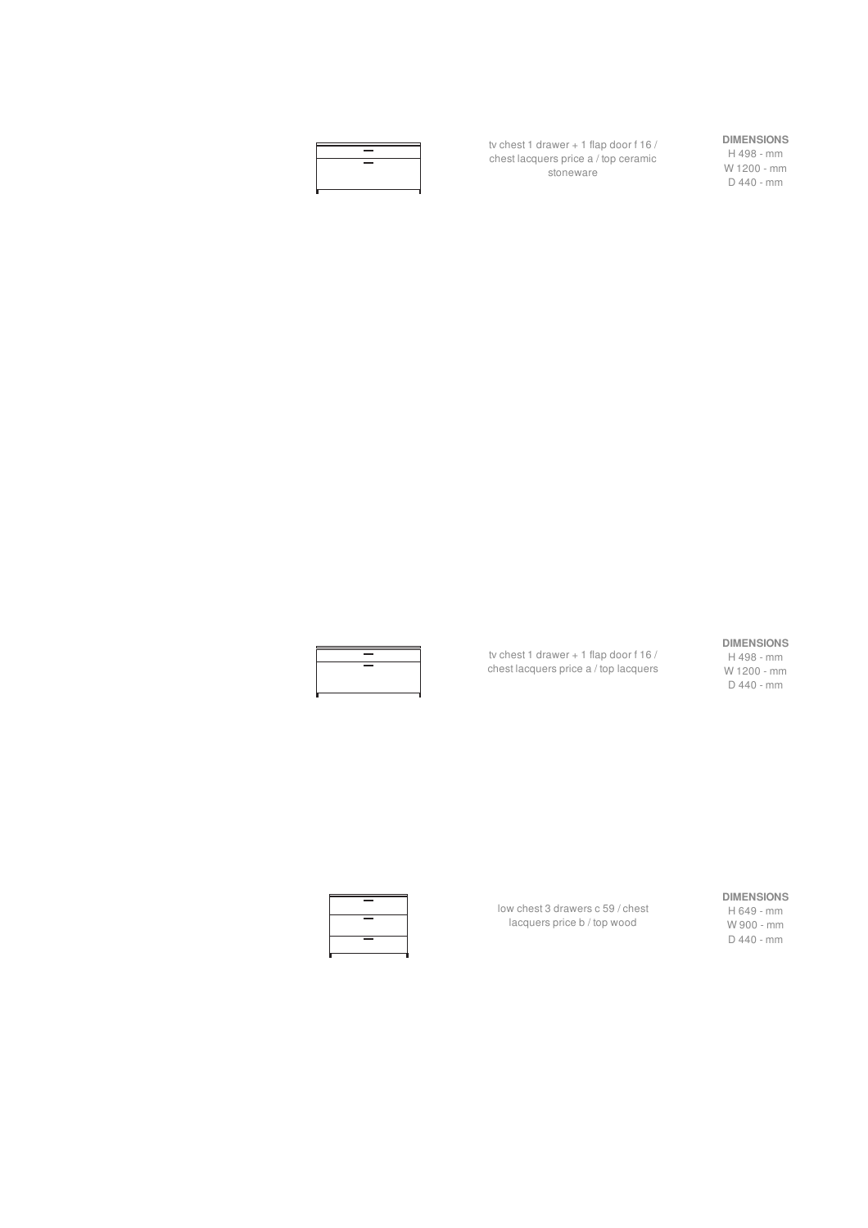

tv chest 1 drawer + 1 flap door f 16 / chest lacquers price a / top ceramic stoneware

#### **DIMENSIONS**

H 498 - mm W 1200 - mm D 440 - mm

tv chest 1 drawer + 1 flap door f 16 / chest lacquers price a / top lacquers

#### **DIMENSIONS**

H 498 - mm W 1200 - mm D 440 - mm

#### **DIMENSIONS**

H 649 - mm W 900 - mm D 440 - mm



low chest 3 drawers c 59 / chest lacquers price b / top wood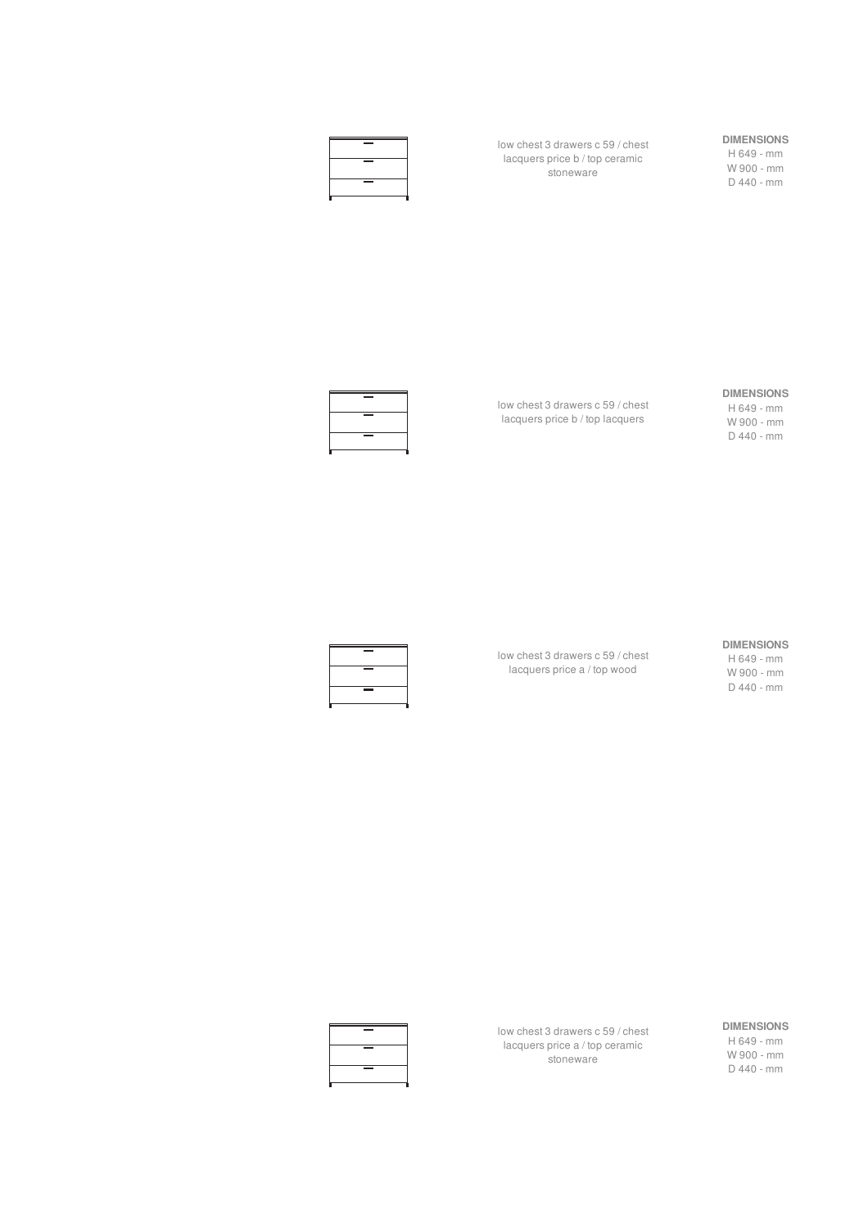

low chest 3 drawers c 59 / chest lacquers price b / top ceramic stoneware

## **DIMENSIONS**

H 649 - mm W 900 - mm D 440 - mm



low chest 3 drawers c 59 / chest lacquers price b / top lacquers

#### **DIMENSIONS**

H 649 - mm W 900 - mm D 440 - mm

#### **DIMENSIONS**

low chest 3 drawers c 59 / chest lacquers price a / top wood

H 649 - mm W 900 - mm D 440 - mm





low chest 3 drawers c 59 / chest lacquers price a / top ceramic stoneware

**DIMENSIONS** H 649 - mm W 900 - mm D 440 - mm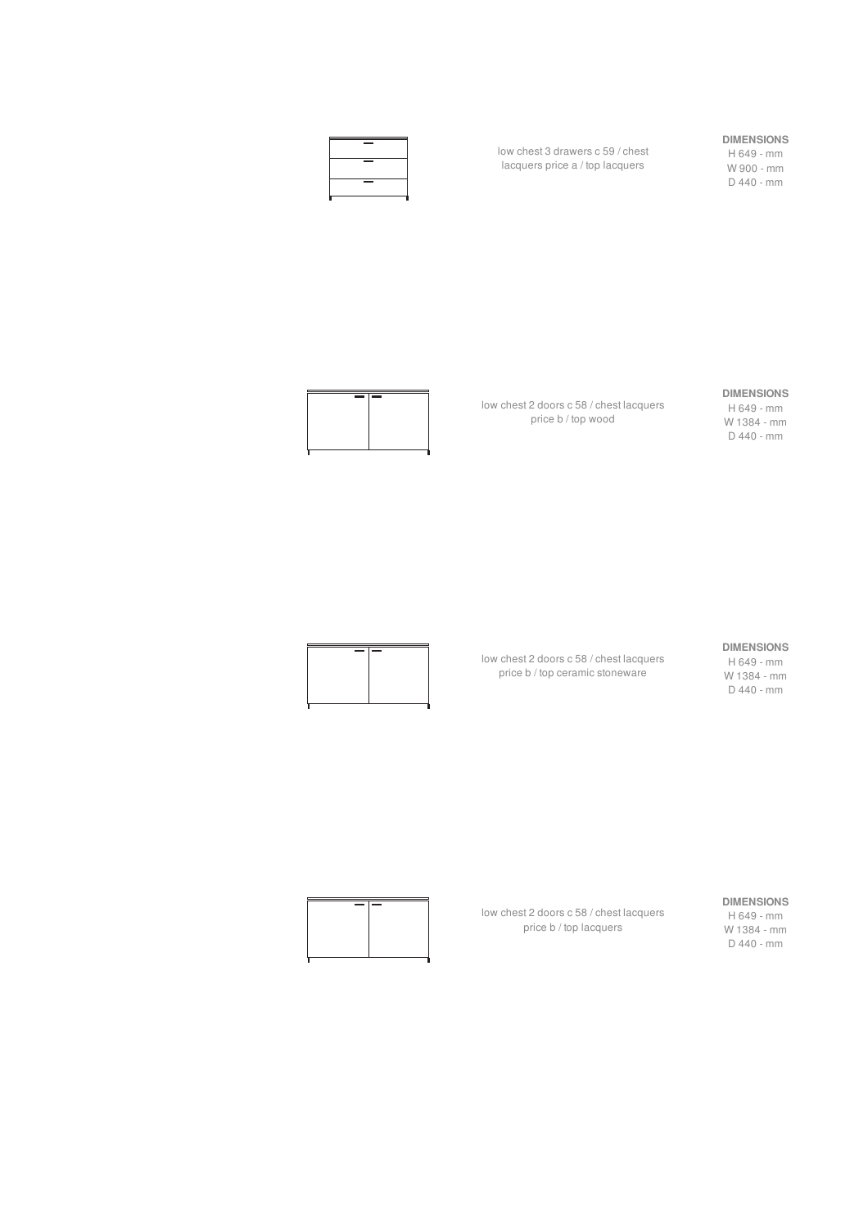

low chest 3 drawers c 59 / chest lacquers price a / top lacquers

#### **DIMENSIONS**

H 649 - mm W 900 - mm D 440 - mm



low chest 2 doors c 58 / chest lacquers price b / top wood

low chest 2 doors c 58 / chest lacquers price b / top ceramic stoneware

#### **DIMENSIONS**

H 649 - mm W 1384 - mm D 440 - mm



**DIMENSIONS**

H 649 - mm W 1384 - mm D 440 - mm



low chest 2 doors c 58 / chest lacquers price b / top lacquers

#### **DIMENSIONS**

H 649 - mm W 1384 - mm D 440 - mm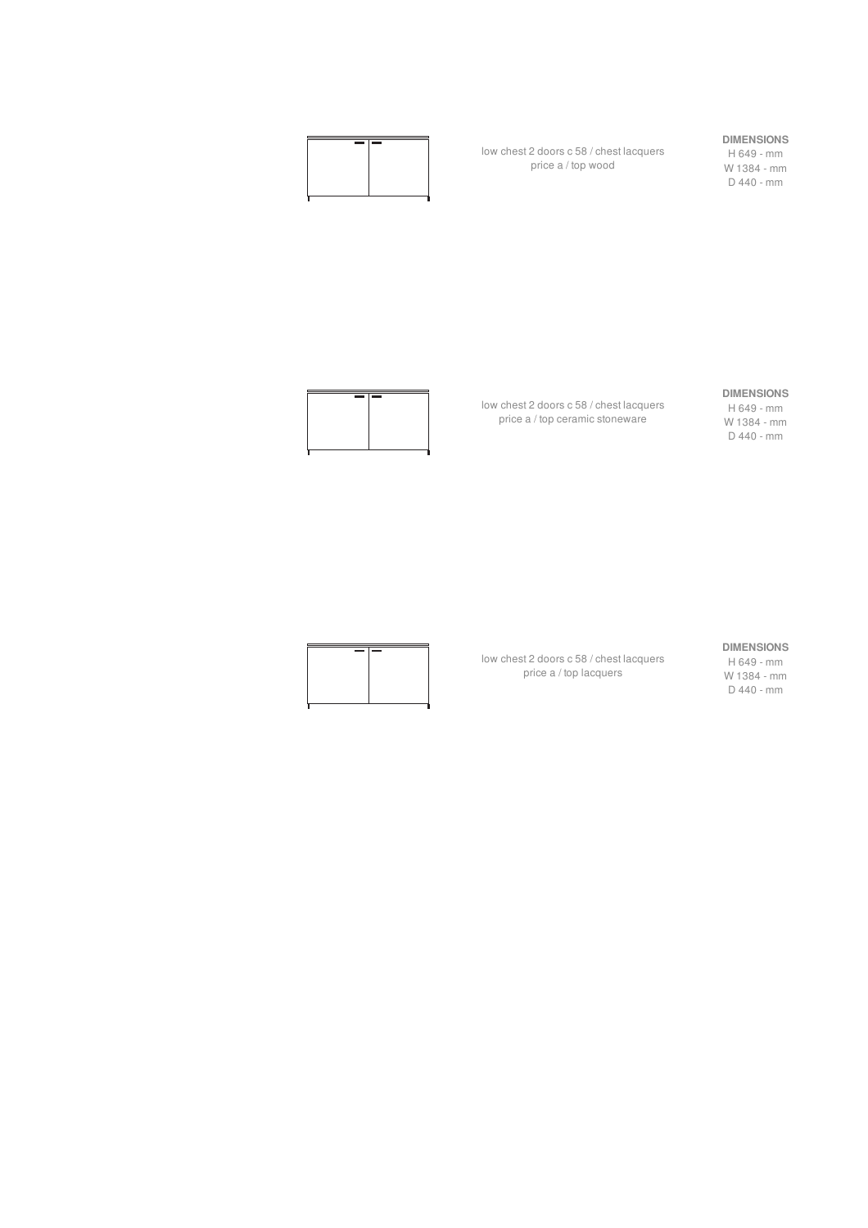

low chest 2 doors c 58 / chest lacquers price a / top wood

#### **DIMENSIONS**

H 649 - mm W 1384 - mm D 440 - mm



low chest 2 doors c 58 / chest lacquers price a / top ceramic stoneware

low chest 2 doors c 58 / chest lacquers price a / top lacquers

#### **DIMENSIONS**

H 649 - mm W 1384 - mm D 440 - mm



**DIMENSIONS**

H 649 - mm W 1384 - mm D 440 - mm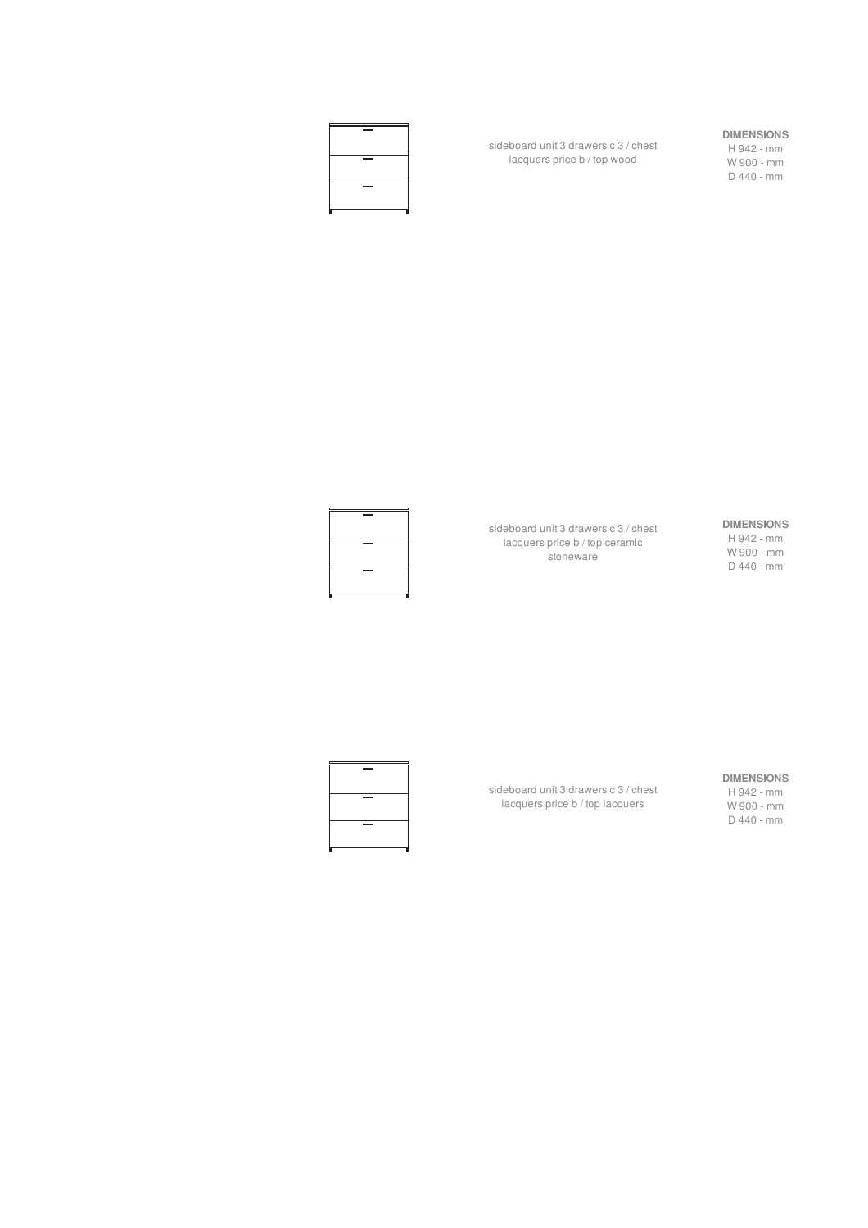#### **DIMENSIONS** H 942 - mm W 900 - mm

D 440 - mm

sideboard unit 3 drawers c 3 / chest lacquers price b / top wood



## **DIMENSIONS**

H 942 - mm W 900 - mm D 440 - mm

sideboard unit 3 drawers c 3 / chest lacquers price b / top ceramic stoneware



## **DIMENSIONS**

sideboard unit 3 drawers c 3 / chest lacquers price b / top lacquers



H 942 - mm W 900 - mm D 440 - mm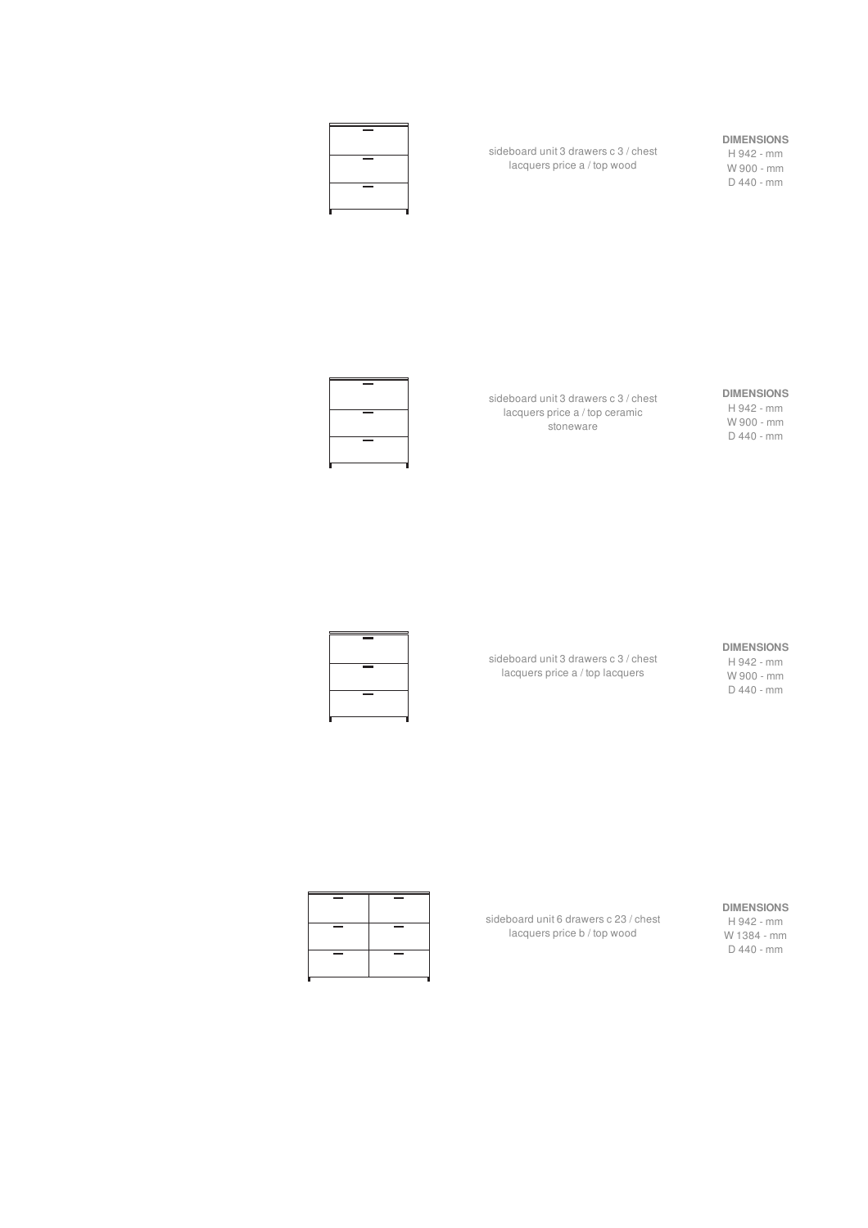

H 942 - mm W 900 - mm D 440 - mm



sideboard unit 3 drawers c 3 / chest lacquers price a / top ceramic stoneware

sideboard unit 3 drawers c 3 / chest lacquers price a / top wood

#### **DIMENSIONS**

H 942 - mm W 900 - mm D 440 - mm

#### **DIMENSIONS** H 942 - mm

W 900 - mm D 440 - mm

sideboard unit 3 drawers c 3 / chest lacquers price a / top lacquers



#### **DIMENSIONS**

H 942 - mm W 1384 - mm D 440 - mm

sideboard unit 6 drawers c 23 / chest lacquers price b / top wood

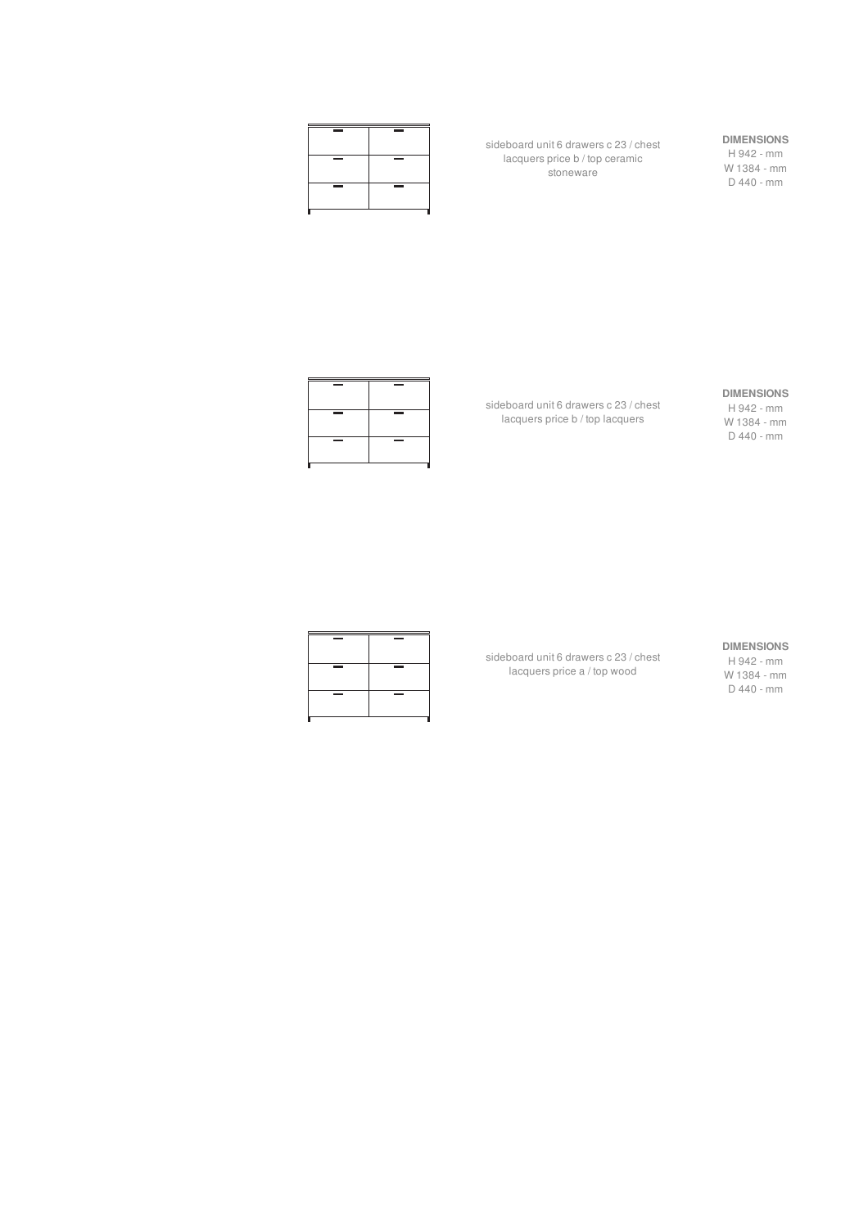| <b>Contract Contract</b> | <b>Contract Contract</b> |
|--------------------------|--------------------------|
| -                        | -                        |
| -                        | $\equiv$                 |
|                          |                          |
|                          |                          |

sideboard unit 6 drawers c 23 / chest lacquers price b / top ceramic stoneware

## **DIMENSIONS**

H 942 - mm W 1384 - mm D 440 - mm

**DIMENSIONS**

H 942 - mm W 1384 - mm D 440 - mm

sideboard unit 6 drawers c 23 / chest lacquers price b / top lacquers

#### **DIMENSIONS**

H 942 - mm W 1384 - mm D 440 - mm

sideboard unit 6 drawers c 23 / chest lacquers price a / top wood

| $\equiv$<br>-                 | $\sim$ | $\sim$ |
|-------------------------------|--------|--------|
|                               |        |        |
| -<br><b>Contract Contract</b> |        |        |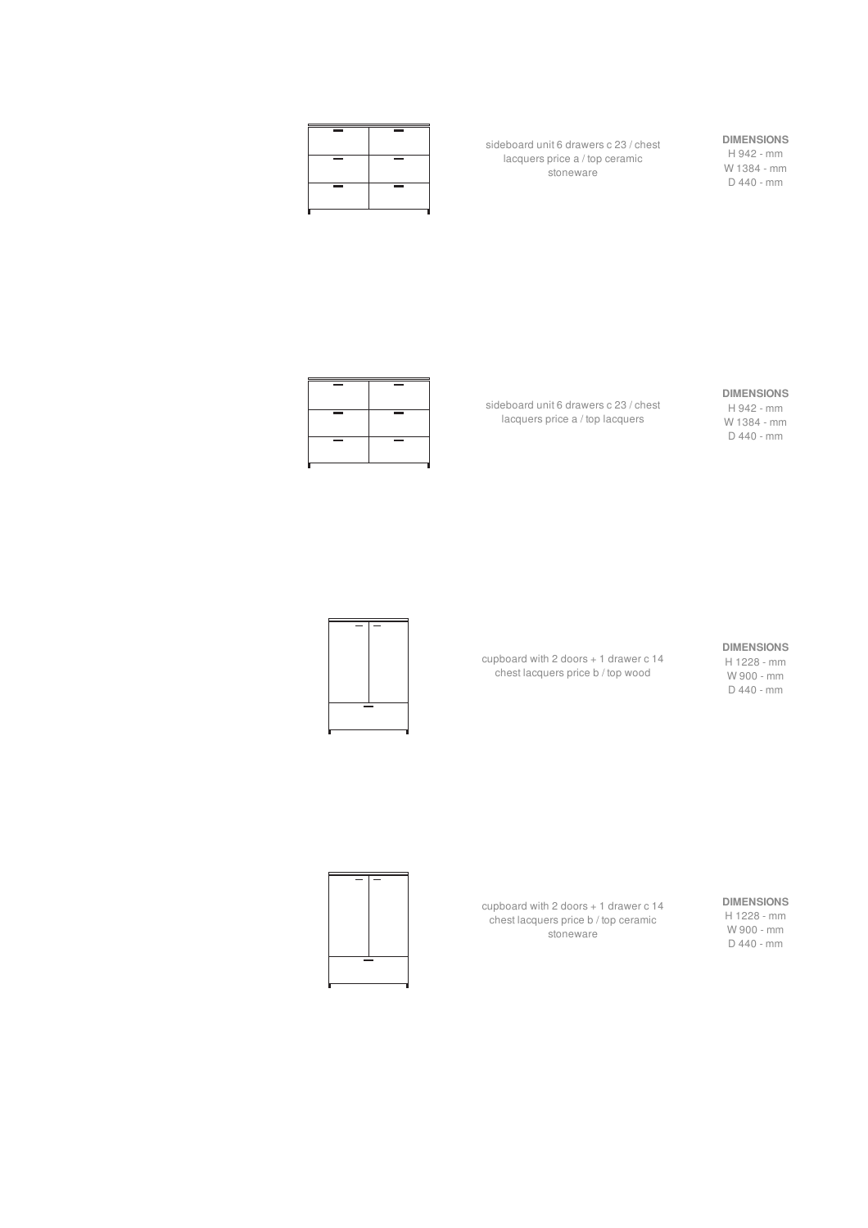| <b>Contract Contract</b> | <b>Contract Contract</b> |
|--------------------------|--------------------------|
| -                        | -                        |
| -                        | $\equiv$                 |
|                          |                          |
|                          |                          |

sideboard unit 6 drawers c 23 / chest lacquers price a / top ceramic stoneware

## **DIMENSIONS**

H 942 - mm W 1384 - mm D 440 - mm

#### **DIMENSIONS**

H 942 - mm W 1384 - mm D 440 - mm

sideboard unit 6 drawers c 23 / chest lacquers price a / top lacquers

#### **DIMENSIONS**

H 1228 - mm W 900 - mm D 440 - mm

cupboard with 2 doors + 1 drawer c 14 chest lacquers price b / top wood



#### **DIMENSIONS** H 1228 - mm W 900 - mm D 440 - mm

cupboard with 2 doors + 1 drawer c 14 chest lacquers price b / top ceramic stoneware

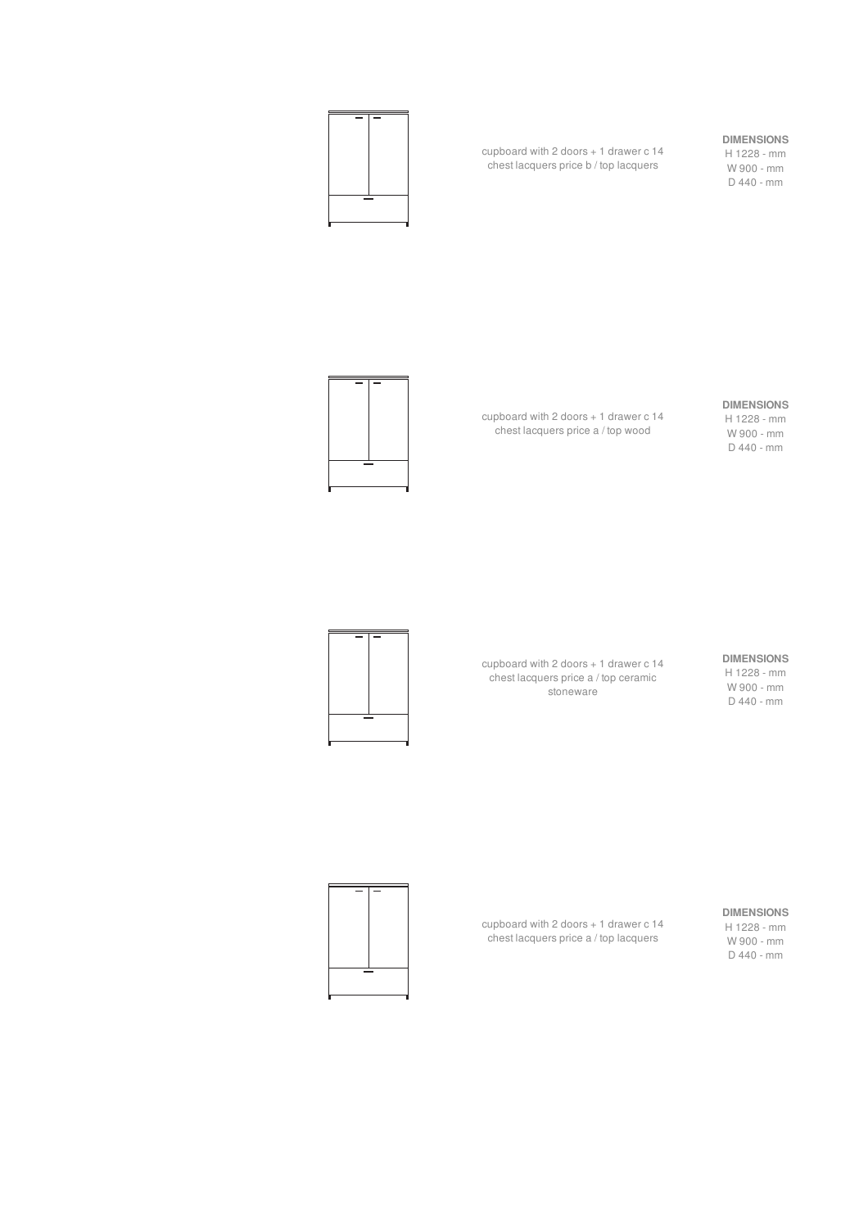#### **DIMENSIONS**

H 1228 - mm W 900 - mm D 440 - mm

cupboard with 2 doors + 1 drawer c 14 chest lacquers price b / top lacquers



#### **DIMENSIONS**

H 1228 - mm W 900 - mm D 440 - mm

cupboard with 2 doors + 1 drawer c 14 chest lacquers price a / top wood



**DIMENSIONS** H 1228 - mm W 900 - mm D 440 - mm

cupboard with 2 doors + 1 drawer c 14 chest lacquers price a / top ceramic stoneware



#### **DIMENSIONS**

H 1228 - mm W 900 - mm D 440 - mm

cupboard with 2 doors + 1 drawer c 14 chest lacquers price a / top lacquers

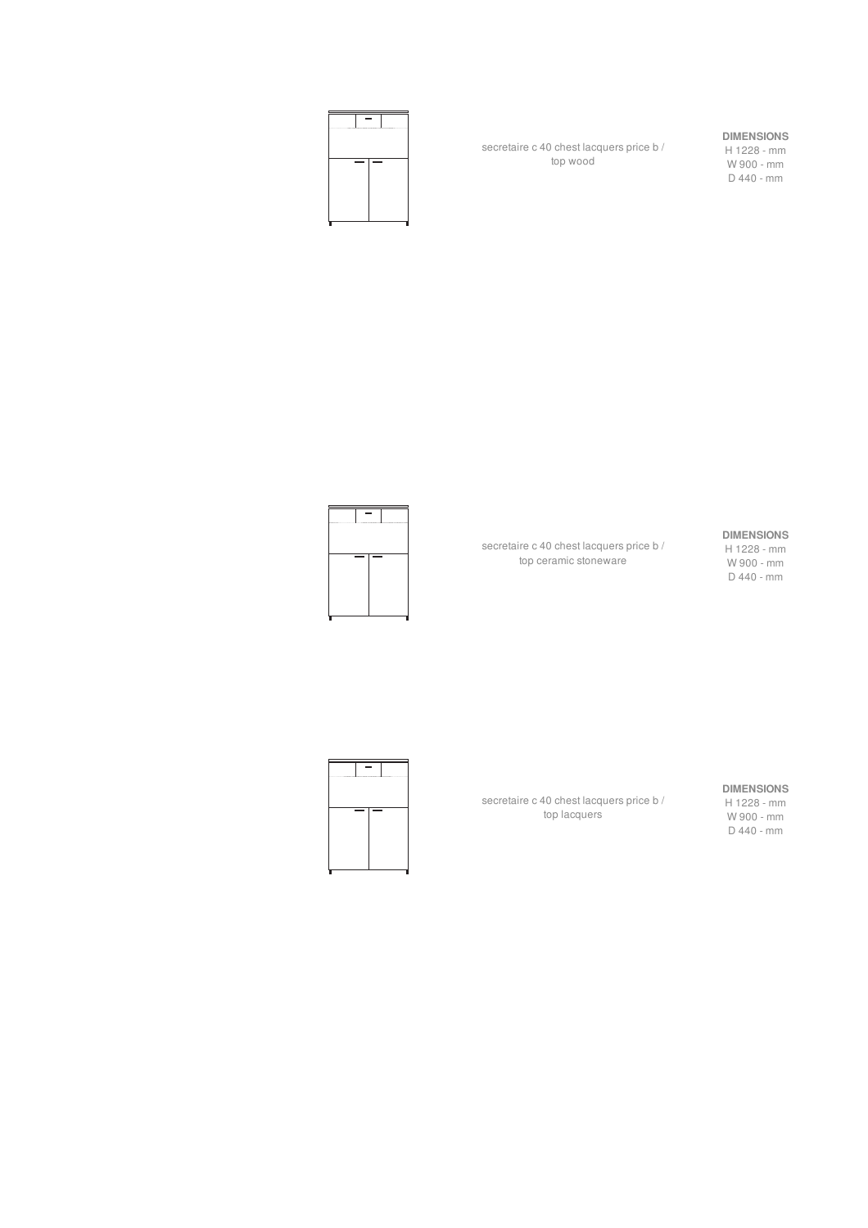

secretaire c 40 chest lacquers price b / top wood

#### **DIMENSIONS**

H 1228 - mm W 900 - mm D 440 - mm

#### **DIMENSIONS**

H 1228 - mm W 900 - mm D 440 - mm

secretaire c 40 chest lacquers price b / top ceramic stoneware



**DIMENSIONS**

H 1228 - mm W 900 - mm D 440 - mm



secretaire c 40 chest lacquers price b / top lacquers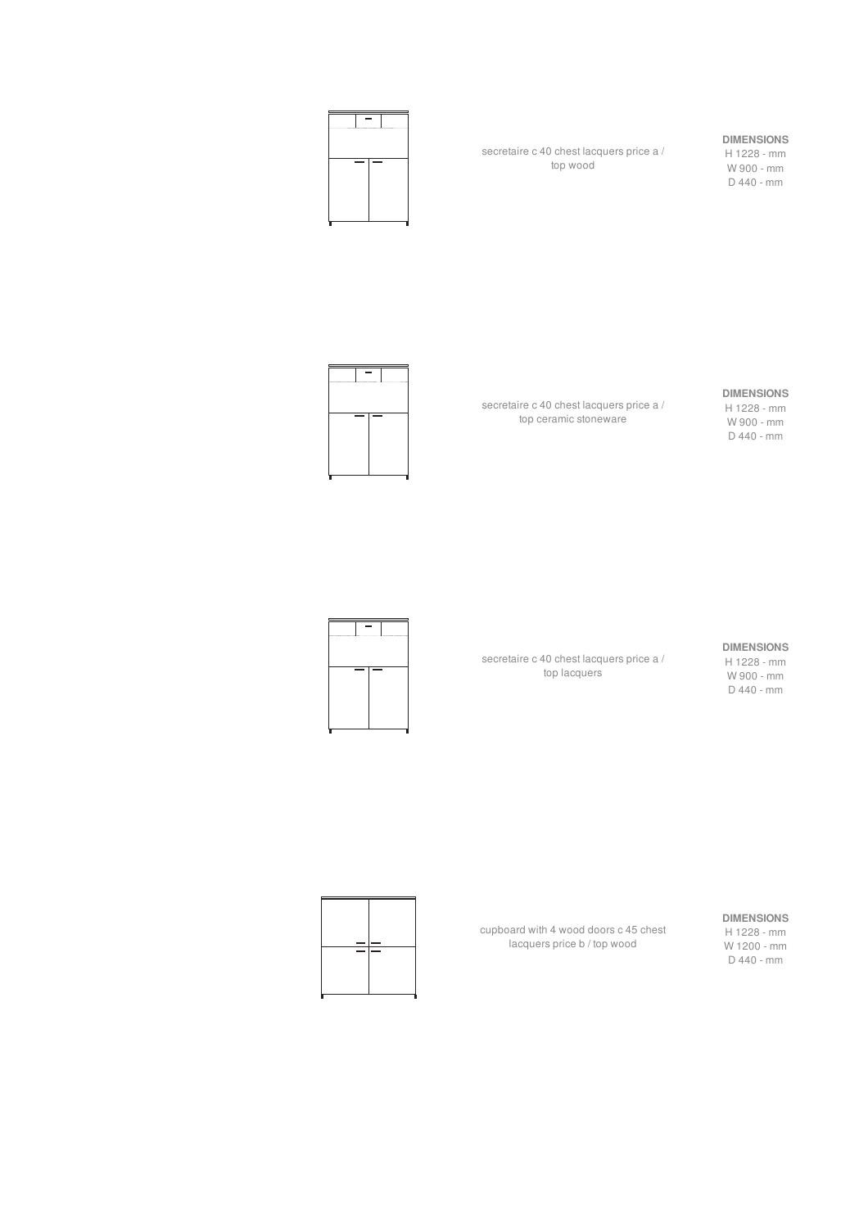

secretaire c 40 chest lacquers price a / top wood

#### **DIMENSIONS**

H 1228 - mm W 900 - mm D 440 - mm

# $\overline{\phantom{0}}$

**DIMENSIONS**

H 1228 - mm W 900 - mm D 440 - mm

secretaire c 40 chest lacquers price a / top ceramic stoneware

#### **DIMENSIONS**

H 1228 - mm W 900 - mm D 440 - mm

secretaire c 40 chest lacquers price a / top lacquers



**DIMENSIONS**

H 1228 - mm W 1200 - mm D 440 - mm

cupboard with 4 wood doors c 45 chest lacquers price b / top wood

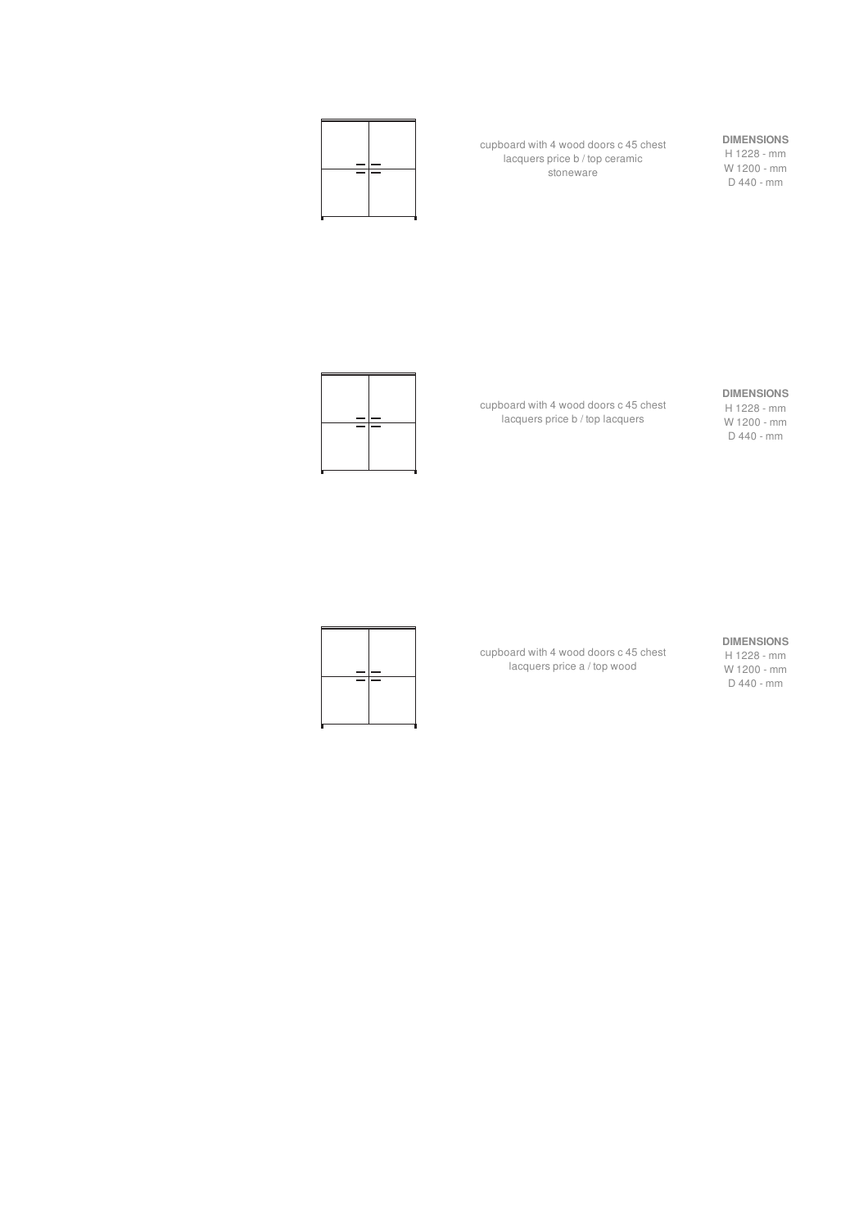

cupboard with 4 wood doors c 45 chest lacquers price b / top ceramic stoneware

## **DIMENSIONS**

H 1228 - mm W 1200 - mm D 440 - mm

#### **DIMENSIONS**

H 1228 - mm W 1200 - mm D 440 - mm

cupboard with 4 wood doors c 45 chest lacquers price b / top lacquers



#### **DIMENSIONS**

cupboard with 4 wood doors c 45 chest lacquers price a / top wood



H 1228 - mm W 1200 - mm D 440 - mm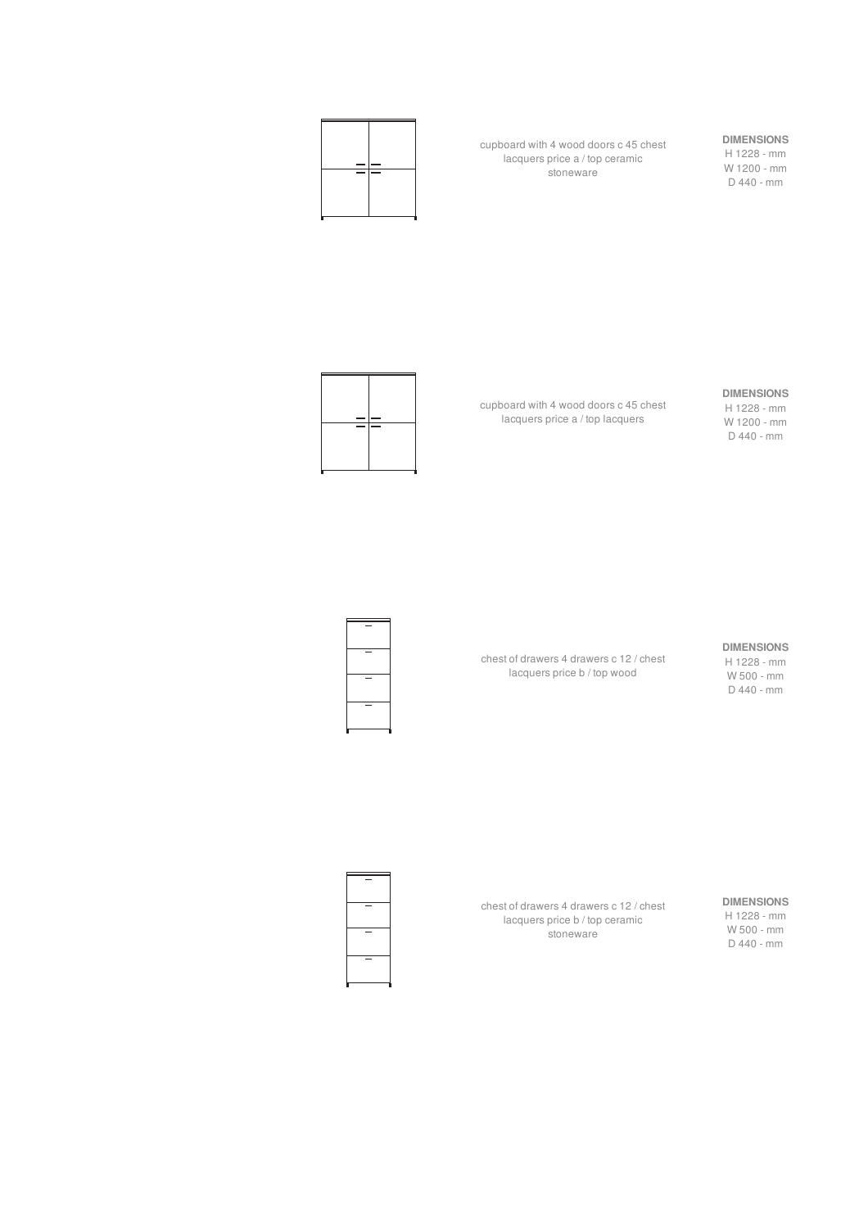

cupboard with 4 wood doors c 45 chest lacquers price a / top ceramic stoneware

## **DIMENSIONS**

**DIMENSIONS** H 1228 - mm W 1200 - mm D 440 - mm



cupboard with 4 wood doors c 45 chest lacquers price a / top lacquers



H 1228 - mm W 500 - mm D 440 - mm

chest of drawers 4 drawers c 12 / chest lacquers price b / top wood



chest of drawers 4 drawers c 12 / chest lacquers price b / top ceramic stoneware

**DIMENSIONS**

H 1228 - mm W 500 - mm D 440 - mm

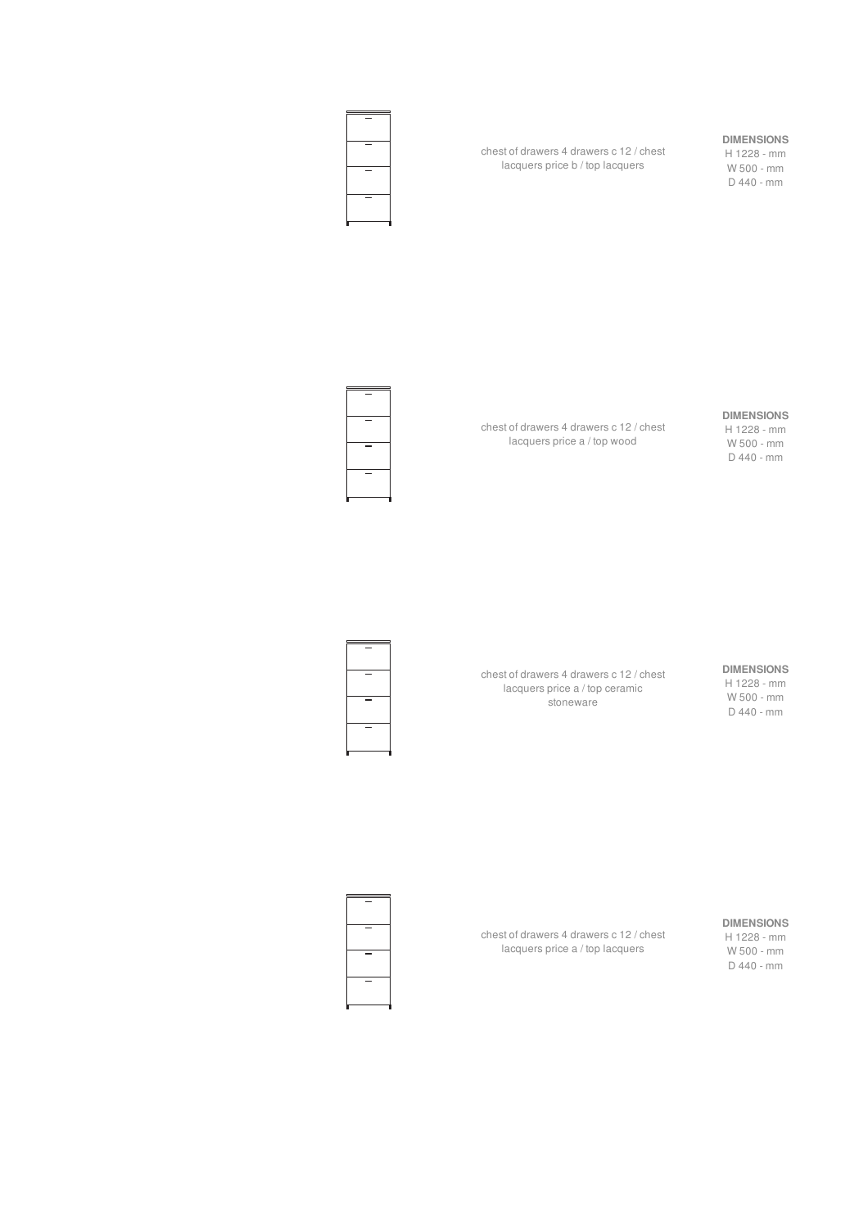

chest of drawers 4 drawers c 12 / chest lacquers price b / top lacquers

#### **DIMENSIONS**

H 1228 - mm W 500 - mm D 440 - mm

## **DIMENSIONS** H 1228 - mm

chest of drawers 4 drawers c 12 / chest lacquers price a / top wood

## W 500 - mm D 440 - mm

**DIMENSIONS** H 1228 - mm W 500 - mm D 440 - mm

chest of drawers 4 drawers c 12 / chest lacquers price a / top ceramic stoneware

chest of drawers 4 drawers c 12 / chest lacquers price a / top lacquers



**DIMENSIONS**

H 1228 - mm W 500 - mm D 440 - mm

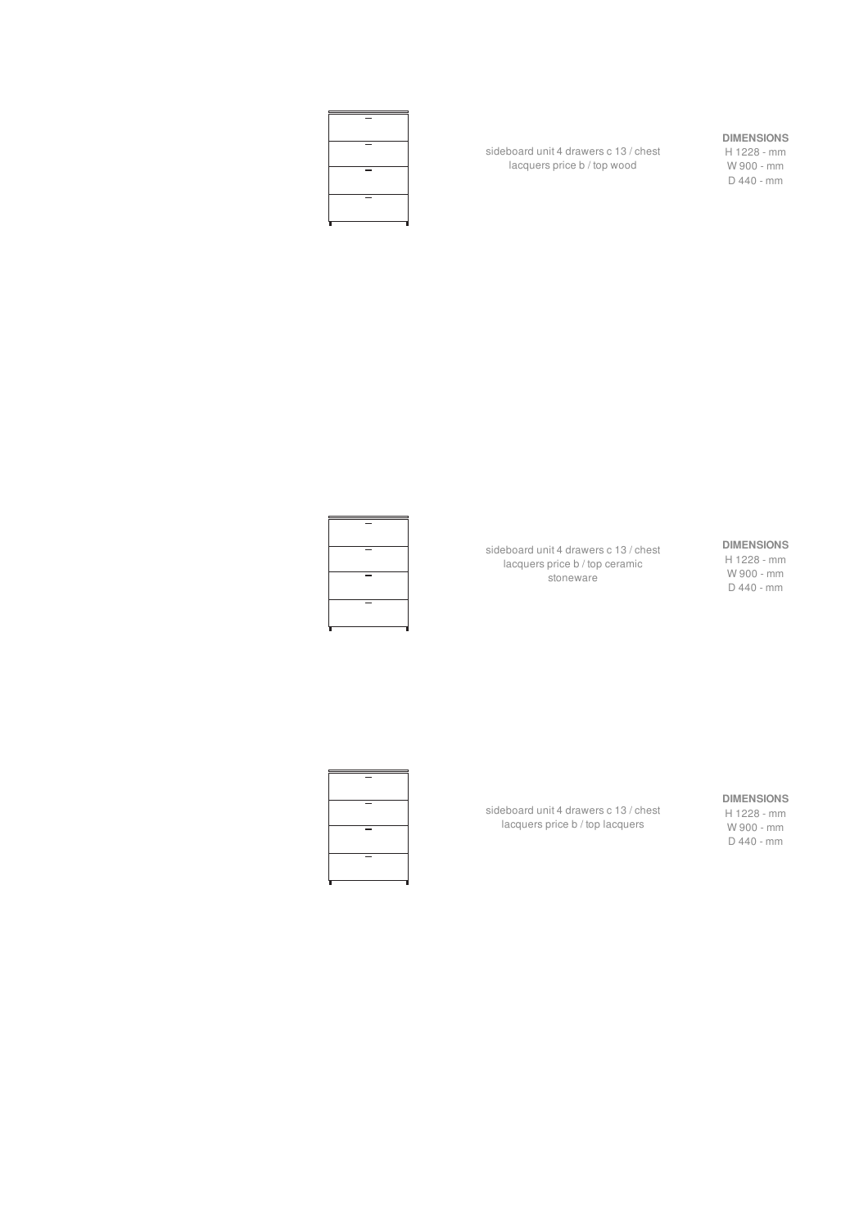

sideboard unit 4 drawers c 13 / chest lacquers price b / top wood

#### **DIMENSIONS**

H 1228 - mm W 900 - mm D 440 - mm



sideboard unit 4 drawers c 13 / chest lacquers price b / top ceramic **stoneware** 

#### **DIMENSIONS**

H 1228 - mm W 900 - mm D 440 - mm



sideboard unit 4 drawers c 13 / chest lacquers price b / top lacquers

#### **DIMENSIONS**

H 1228 - mm W 900 - mm D 440 - mm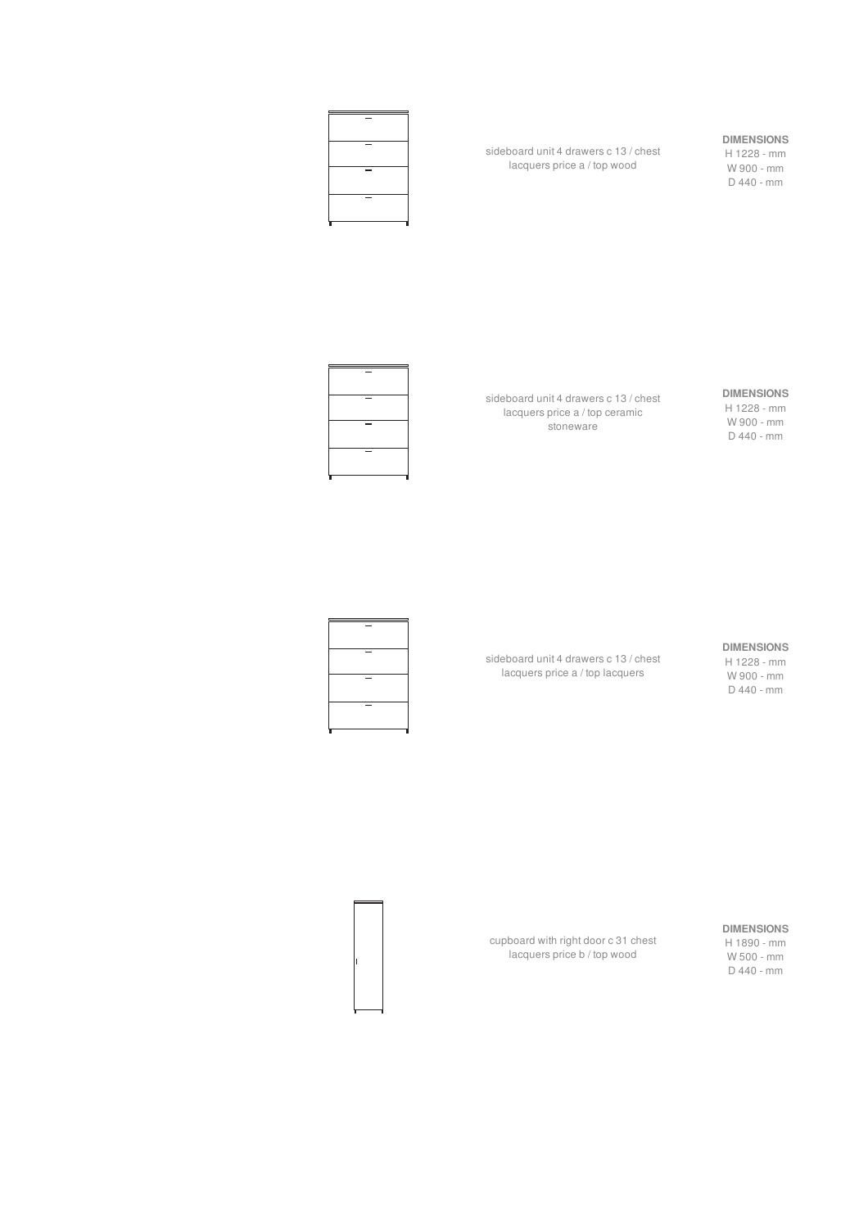

sideboard unit 4 drawers c 13 / chest lacquers price a / top wood

#### **DIMENSIONS**

H 1228 - mm W 900 - mm D 440 - mm



sideboard unit 4 drawers c 13 / chest lacquers price a / top ceramic stoneware

#### **DIMENSIONS**

H 1228 - mm W 900 - mm D 440 - mm

#### **DIMENSIONS**

H 1228 - mm W 900 - mm D 440 - mm

sideboard unit 4 drawers c 13 / chest lacquers price a / top lacquers



**DIMENSIONS**

H 1890 - mm W 500 - mm D 440 - mm

cupboard with right door c 31 chest lacquers price b / top wood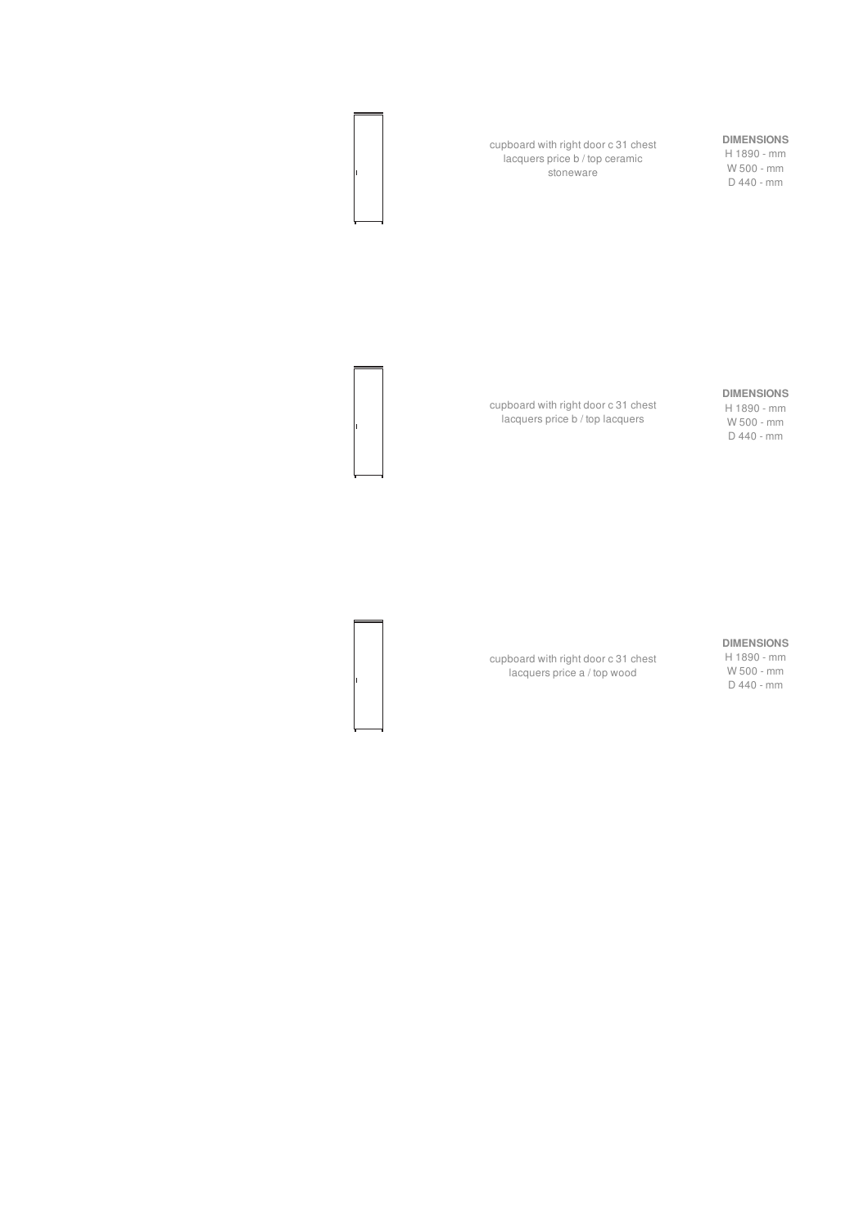cupboard with right door c 31 chest lacquers price b / top ceramic stoneware

#### **DIMENSIONS**

H 1890 - mm W 500 - mm D 440 - mm

#### **DIMENSIONS**

H 1890 - mm W 500 - mm D 440 - mm

cupboard with right door c 31 chest lacquers price b / top lacquers

#### **DIMENSIONS**

H 1890 - mm W 500 - mm D 440 - mm

cupboard with right door c 31 chest lacquers price a / top wood



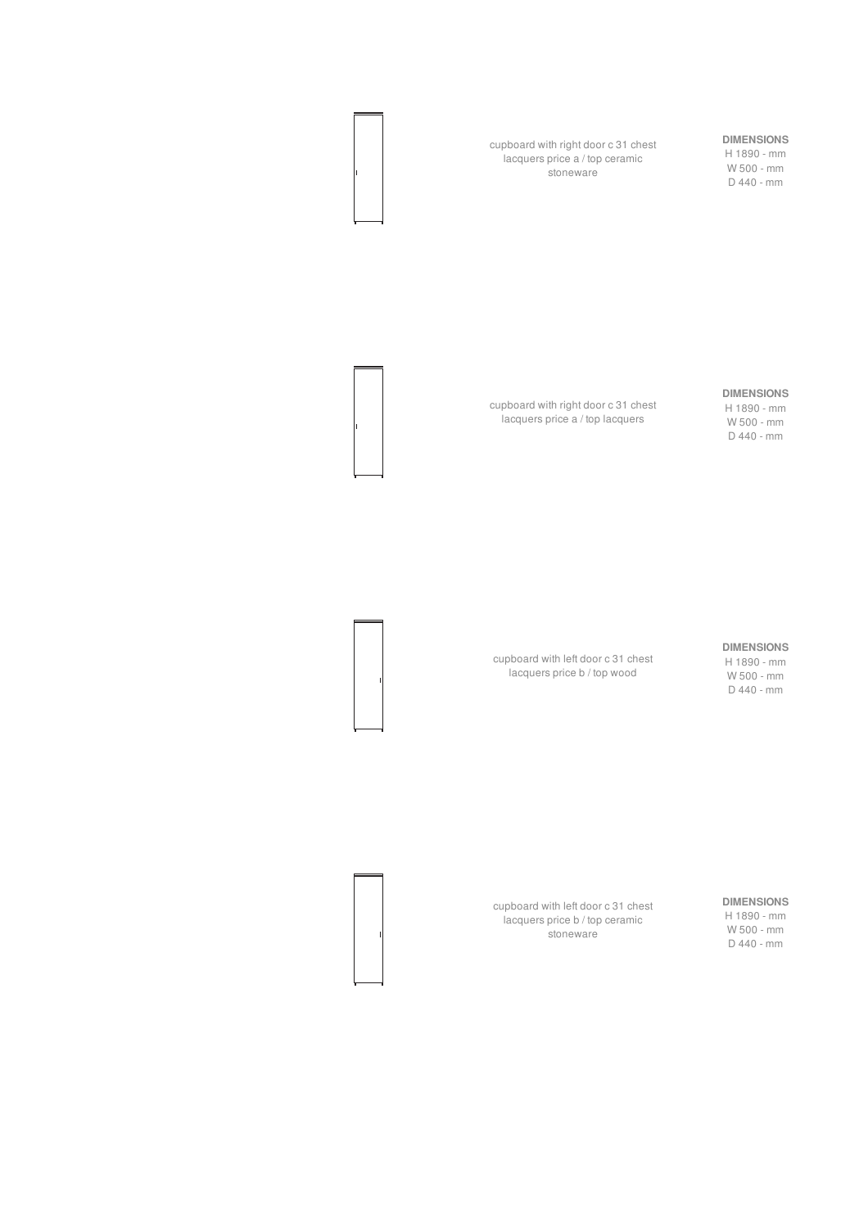cupboard with right door c 31 chest lacquers price a / top ceramic stoneware

## **DIMENSIONS**

H 1890 - mm W 500 - mm D 440 - mm

#### **DIMENSIONS**

H 1890 - mm W 500 - mm D 440 - mm

cupboard with right door c 31 chest lacquers price a / top lacquers

#### **DIMENSIONS**

H 1890 - mm W 500 - mm D 440 - mm

cupboard with left door c 31 chest

lacquers price b / top wood

**DIMENSIONS** H 1890 - mm W 500 - mm

D 440 - mm

cupboard with left door c 31 chest lacquers price b / top ceramic stoneware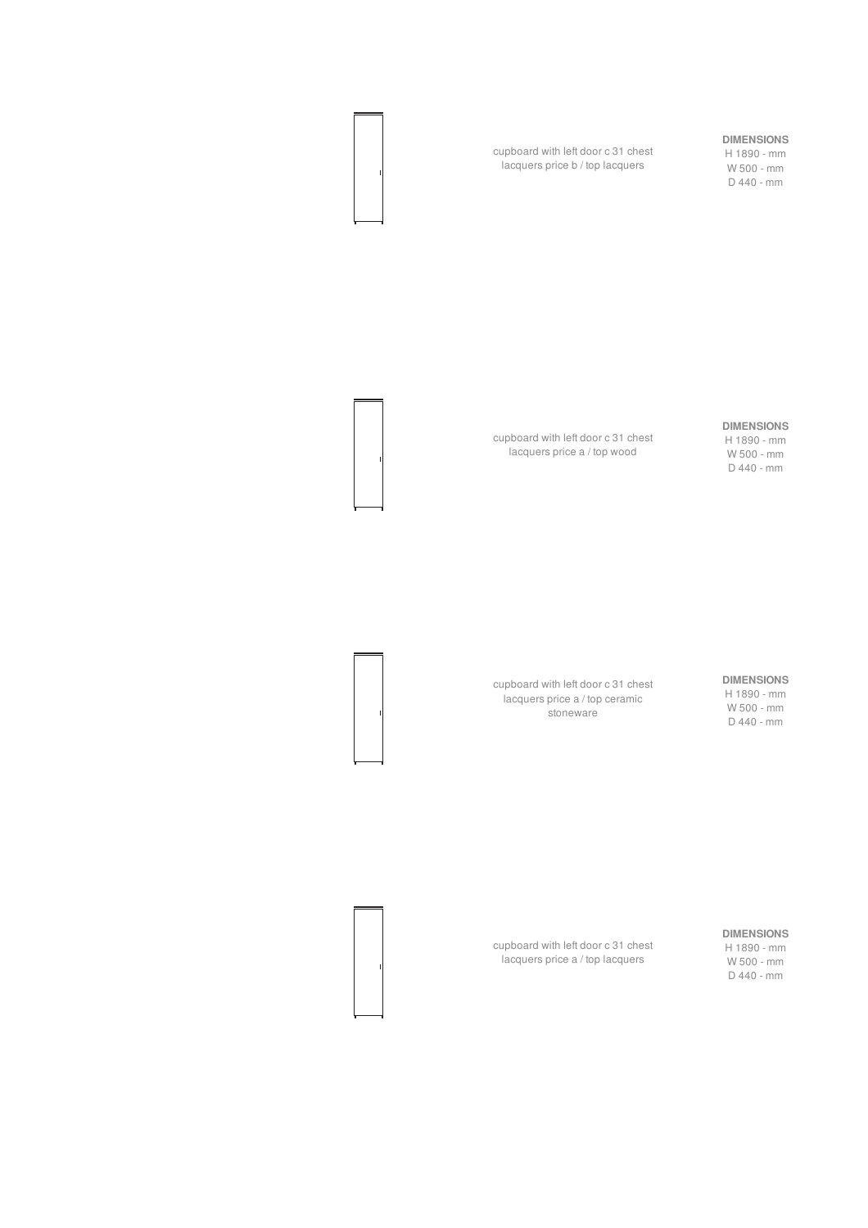#### **DIMENSIONS**

H 1890 - mm W 500 - mm D 440 - mm

cupboard with left door c 31 chest lacquers price b / top lacquers



#### **DIMENSIONS** H 1890 - mm

W 500 - mm D 440 - mm

cupboard with left door c 31 chest lacquers price a / top wood

> **DIMENSIONS** H 1890 - mm W 500 - mm D 440 - mm

cupboard with left door c 31 chest lacquers price a / top ceramic stoneware

**DIMENSIONS**

H 1890 - mm W 500 - mm D 440 - mm

cupboard with left door c 31 chest lacquers price a / top lacquers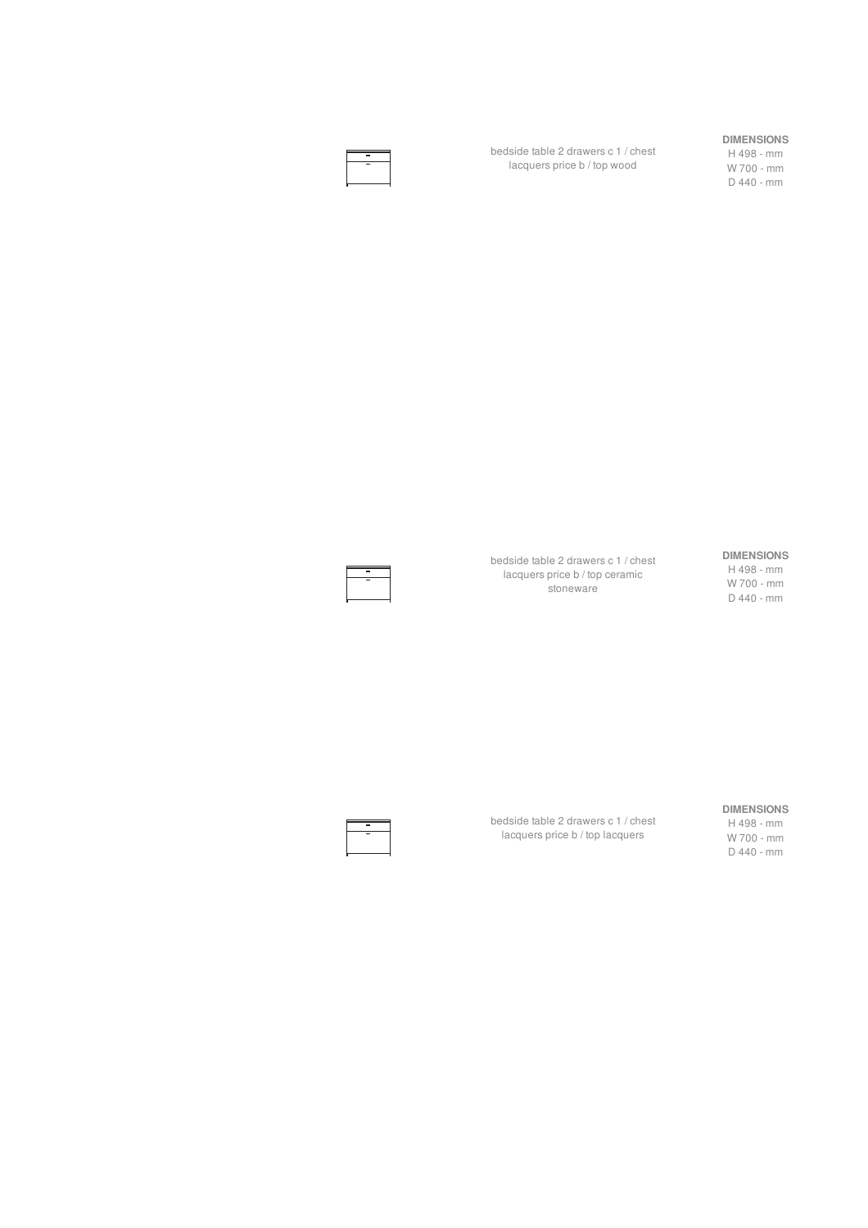bedside table 2 drawers c 1 / chest lacquers price b / top wood

#### **DIMENSIONS**

H 498 - mm W 700 - mm D 440 - mm

#### bedside table 2 drawers c 1 / chest lacquers price b / top ceramic stoneware

#### **DIMENSIONS** H 498 - mm

W 700 - mm D 440 - mm

#### bedside table 2 drawers c 1 / chest lacquers price b / top lacquers **DIMENSIONS** H 498 - mm

W 700 - mm D 440 - mm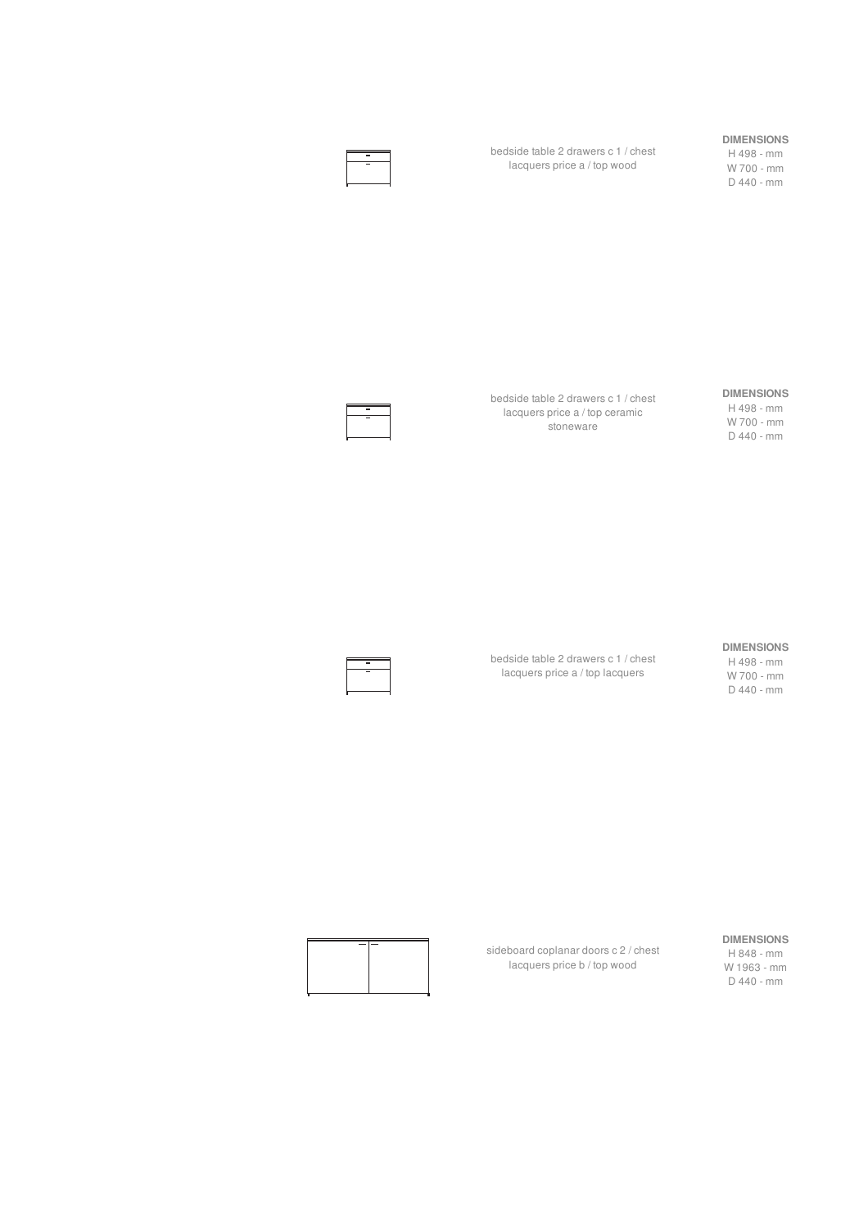bedside table 2 drawers c 1 / chest lacquers price a / top wood

#### **DIMENSIONS**

H 498 - mm W 700 - mm D 440 - mm

bedside table 2 drawers c 1 / chest lacquers price a / top ceramic .<br>stoneware

#### **DIMENSIONS**

H 498 - mm W 700 - mm D 440 - mm

#### **DIMENSIONS**

bedside table 2 drawers c 1 / chest lacquers price a / top lacquers

H 498 - mm W 700 - mm D 440 - mm

#### **DIMENSIONS**

H 848 - mm W 1963 - mm D 440 - mm



sideboard coplanar doors c 2 / chest lacquers price b / top wood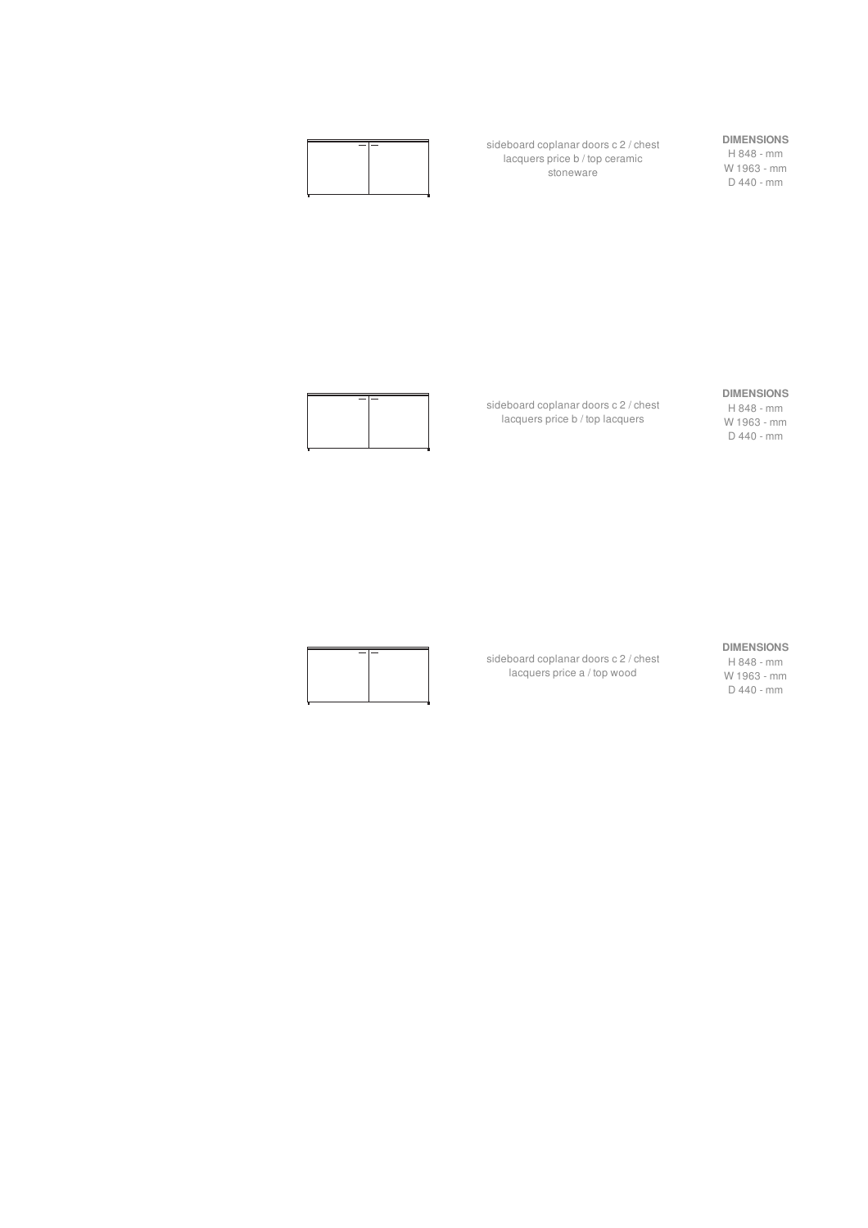

sideboard coplanar doors c 2 / chest lacquers price b / top ceramic stoneware

## **DIMENSIONS**

H 848 - mm W 1963 - mm D 440 - mm

#### **DIMENSIONS**

H 848 - mm W 1963 - mm D 440 - mm

sideboard coplanar doors c 2 / chest lacquers price b / top lacquers

sideboard coplanar doors c 2 / chest lacquers price a / top wood



#### **DIMENSIONS**

H 848 - mm W 1963 - mm D 440 - mm

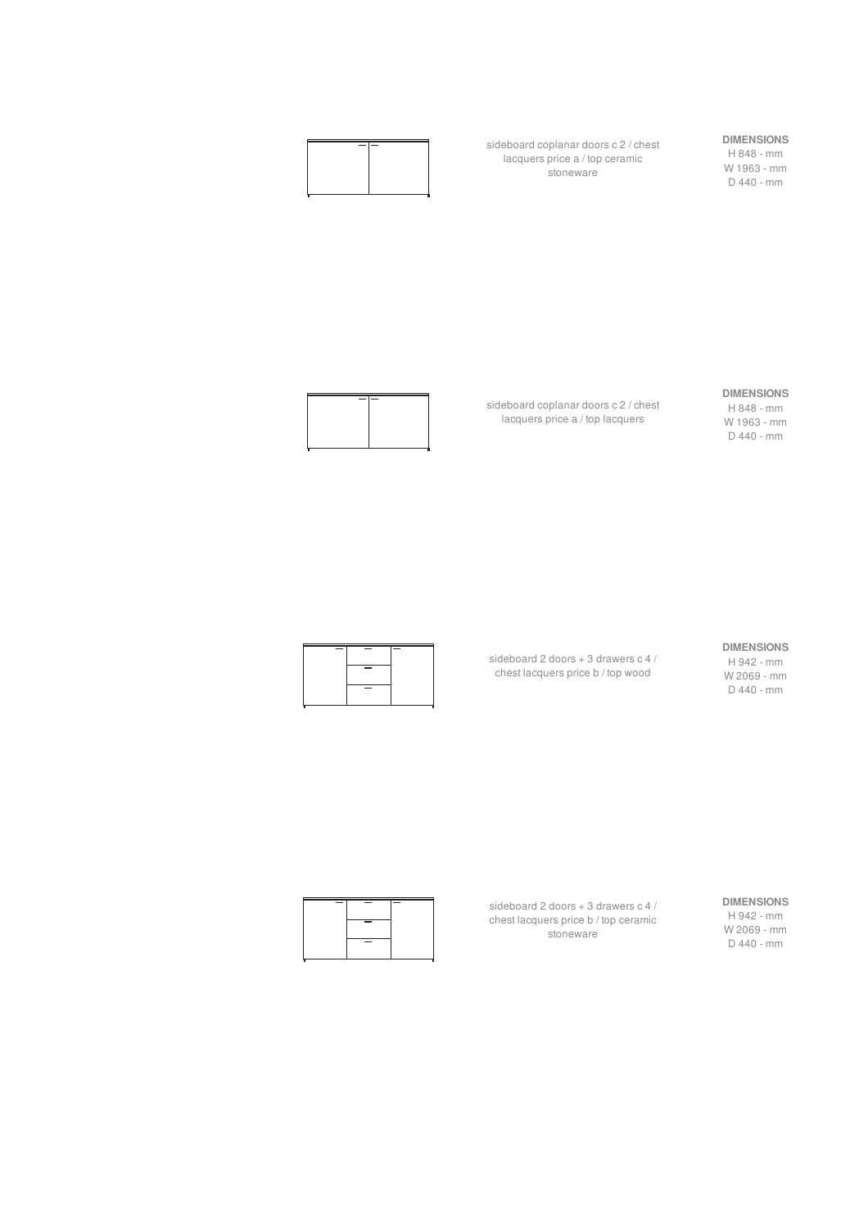

sideboard coplanar doors c 2 / chest lacquers price a / top ceramic stoneware

sideboard coplanar doors c 2 / chest lacquers price a / top lacquers

## **DIMENSIONS**

H 848 - mm W 1963 - mm D 440 - mm

#### **DIMENSIONS**

H 848 - mm W 1963 - mm D 440 - mm



#### **DIMENSIONS**

sideboard 2 doors + 3 drawers c 4 / chest lacquers price b / top wood



H 942 - mm W 2069 - mm D 440 - mm



**DIMENSIONS** H 942 - mm W 2069 - mm D 440 - mm

sideboard 2 doors + 3 drawers c 4 / chest lacquers price b / top ceramic stoneware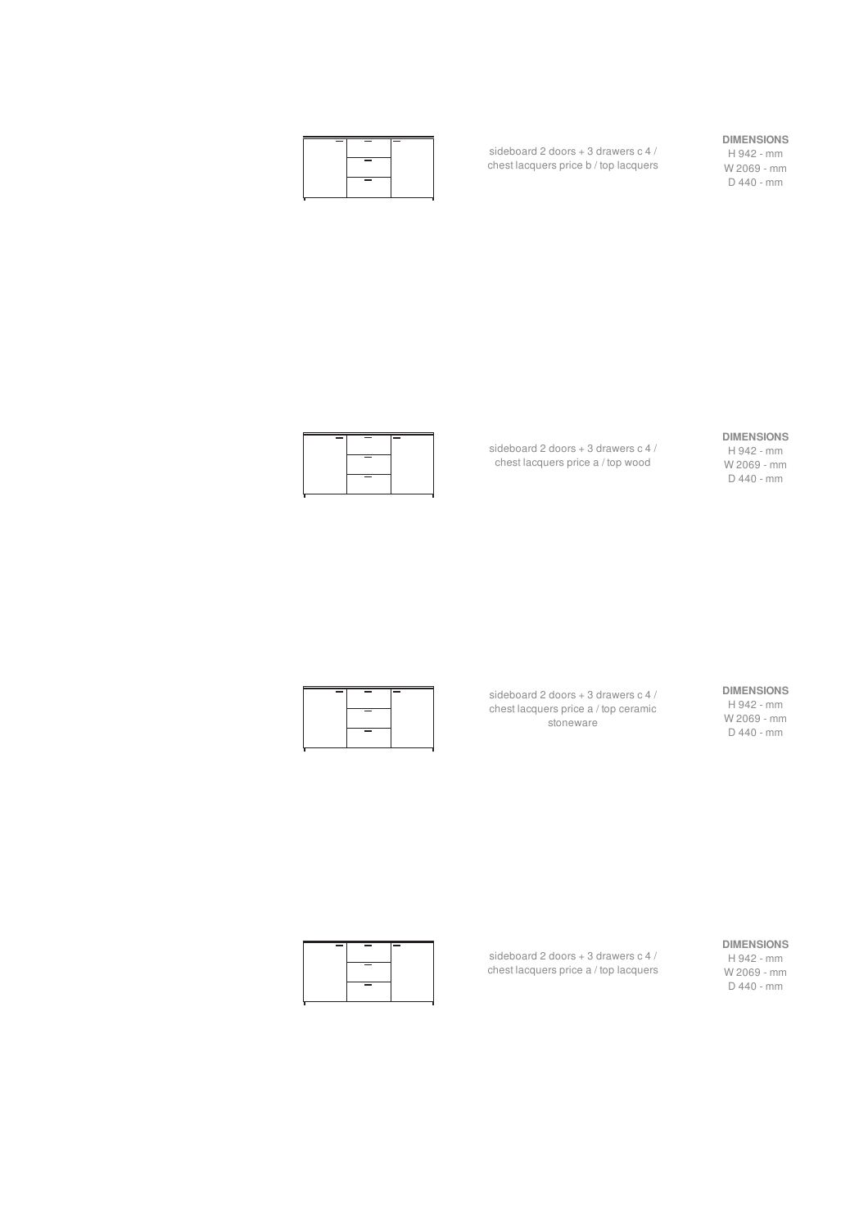

sideboard 2 doors + 3 drawers c 4 / chest lacquers price b / top lacquers

#### **DIMENSIONS**

H 942 - mm W 2069 - mm D 440 - mm

sideboard 2 doors + 3 drawers c 4 / chest lacquers price a / top wood





sideboard 2 doors + 3 drawers c 4 / chest lacquers price a / top ceramic stoneware

**DIMENSIONS** H 942 - mm W 2069 - mm D 440 - mm



**DIMENSIONS**

H 942 - mm W 2069 - mm D 440 - mm



sideboard 2 doors + 3 drawers c 4 / chest lacquers price a / top lacquers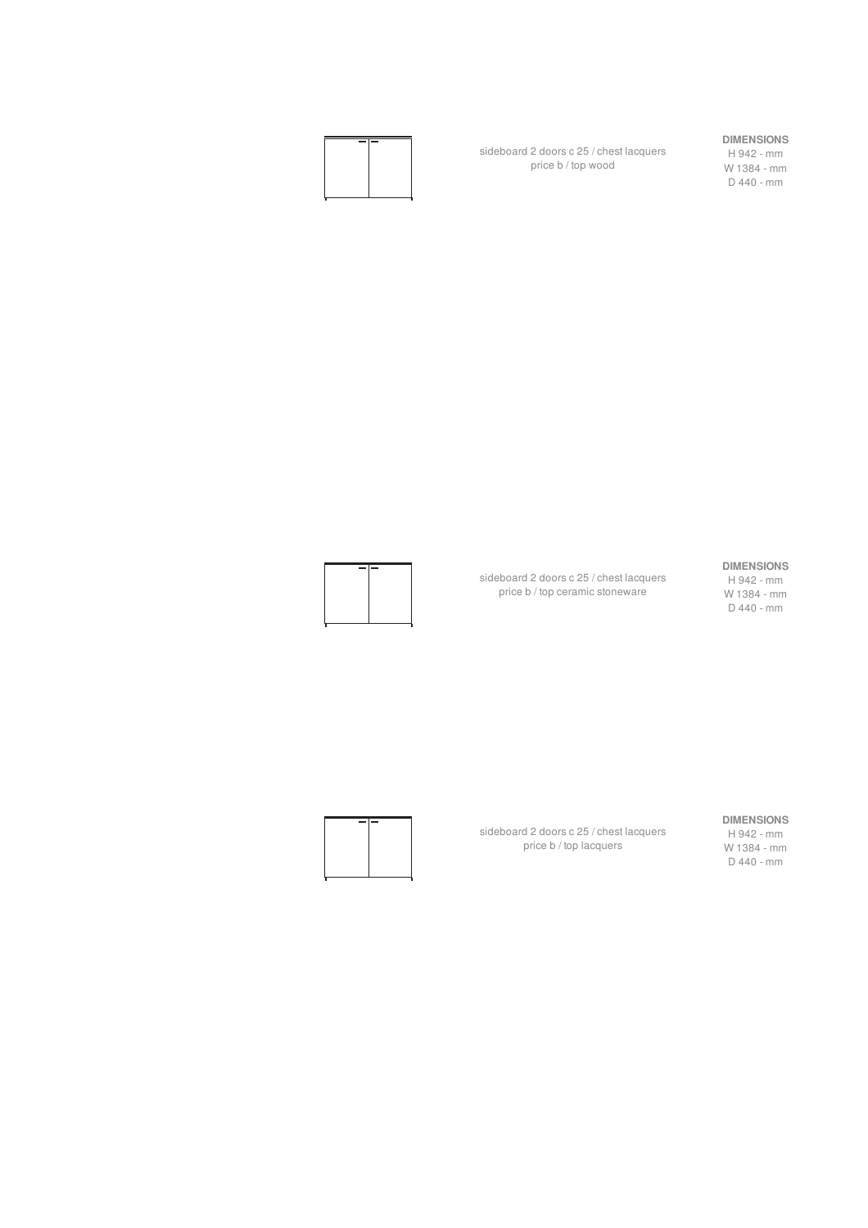

sideboard 2 doors c 25 / chest lacquers price b / top wood

#### **DIMENSIONS**

H 942 - mm W 1384 - mm D 440 - mm

#### **DIMENSIONS**

H 942 - mm W 1384 - mm D 440 - mm



sideboard 2 doors c 25 / chest lacquers price b / top ceramic stoneware

sideboard 2 doors c 25 / chest lacquers price b / top lacquers



**DIMENSIONS** H 942 - mm

W 1384 - mm D 440 - mm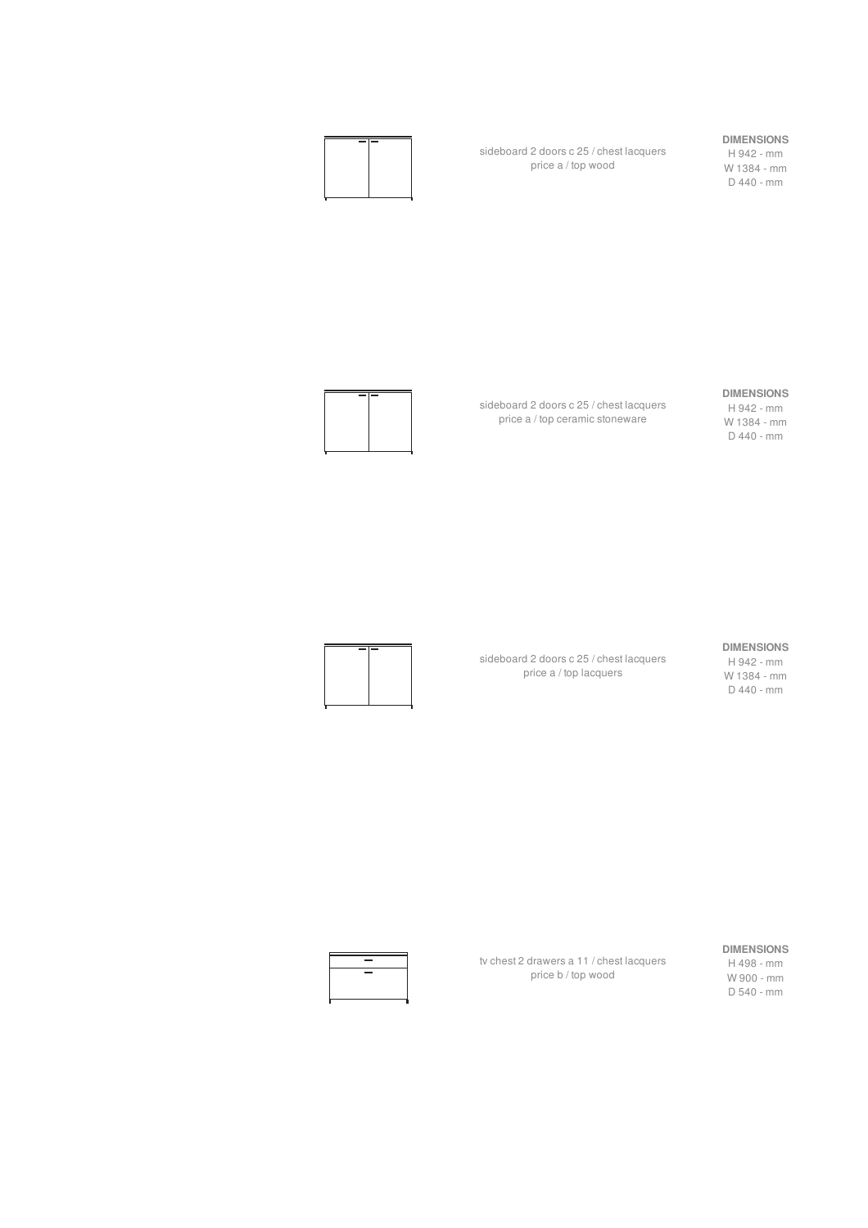

sideboard 2 doors c 25 / chest lacquers price a / top wood

sideboard 2 doors c 25 / chest lacquers price a / top ceramic stoneware

#### **DIMENSIONS**

H 942 - mm W 1384 - mm D 440 - mm

#### **DIMENSIONS**

H 942 - mm W 1384 - mm D 440 - mm



**DIMENSIONS**

sideboard 2 doors c 25 / chest lacquers price a / top lacquers

H 942 - mm W 1384 - mm D 440 - mm





tv chest 2 drawers a 11 / chest lacquers price b / top wood

#### **DIMENSIONS**

H 498 - mm W 900 - mm D 540 - mm

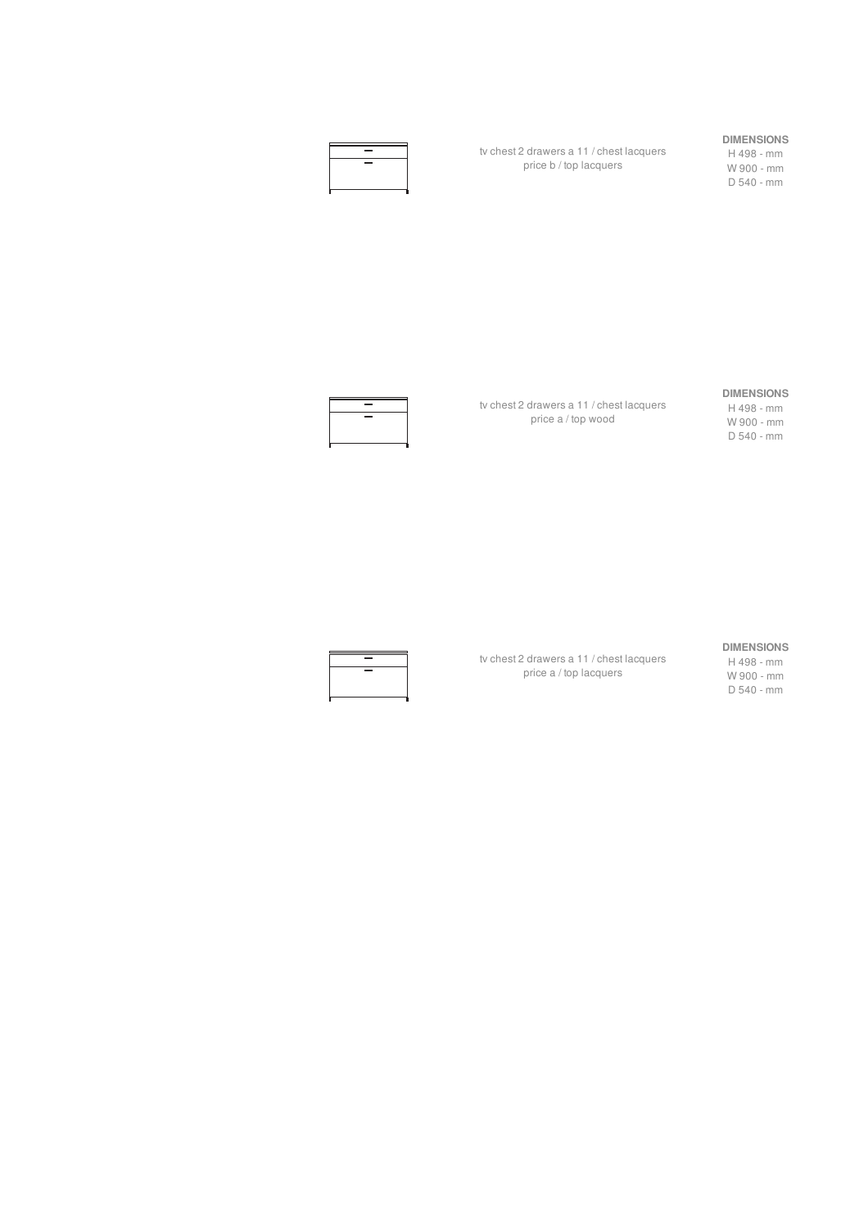| <b>The Contract of Service</b> |  |
|--------------------------------|--|
| $\sim$                         |  |
|                                |  |
|                                |  |

tv chest 2 drawers a 11 / chest lacquers price b / top lacquers

#### **DIMENSIONS**

H 498 - mm W 900 - mm D 540 - mm



tv chest 2 drawers a 11 / chest lacquers price a / top wood

tv chest 2 drawers a 11 / chest lacquers price a / top lacquers

#### **DIMENSIONS**

H 498 - mm W 900 - mm D 540 - mm

#### **DIMENSIONS**

H 498 - mm W 900 - mm D 540 - mm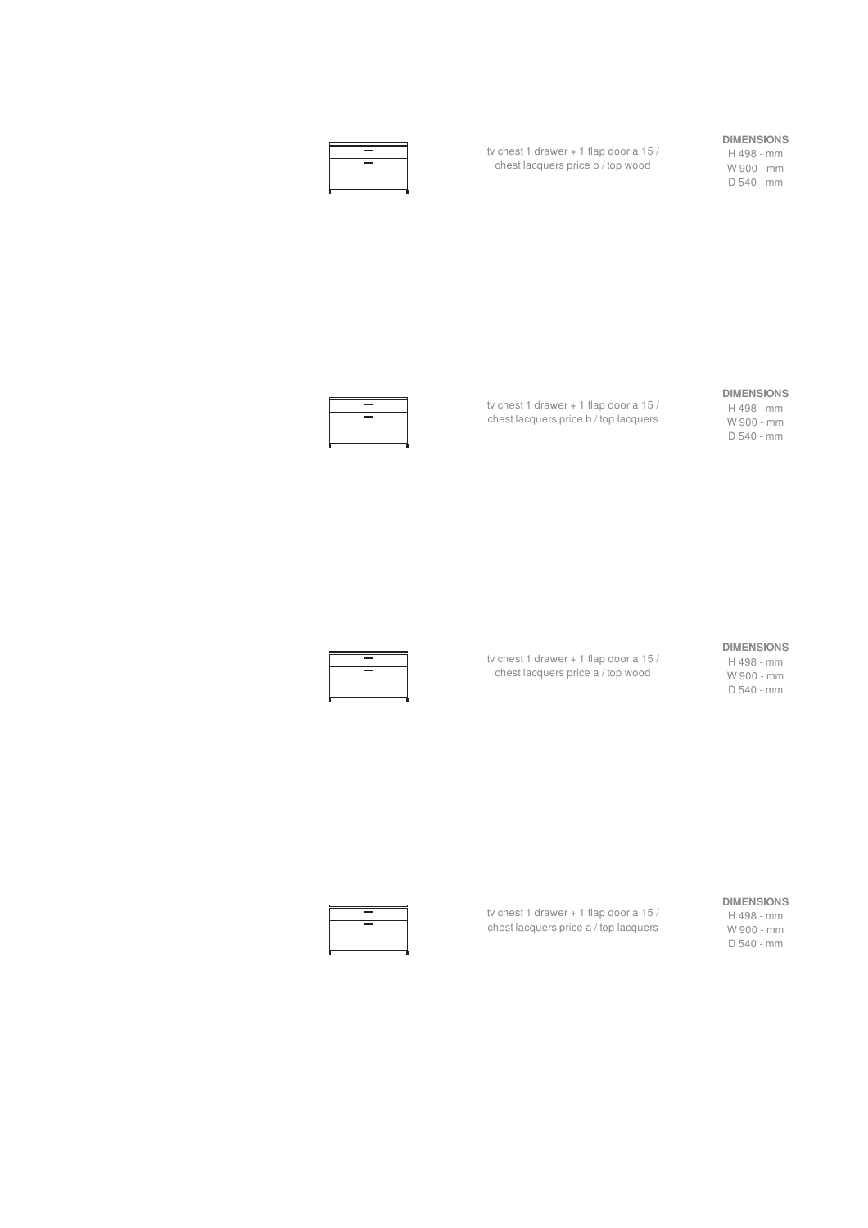| <b>College</b> |  |
|----------------|--|
| <b>College</b> |  |
|                |  |
|                |  |
|                |  |

tv chest 1 drawer + 1 flap door a 15 / chest lacquers price b / top wood

#### **DIMENSIONS**

H 498 - mm W 900 - mm D 540 - mm



tv chest 1 drawer + 1 flap door a 15 / chest lacquers price b / top lacquers

#### **DIMENSIONS**

H 498 - mm W 900 - mm D 540 - mm



tv chest 1 drawer + 1 flap door a 15 / chest lacquers price a / top wood

#### **DIMENSIONS**

H 498 - mm W 900 - mm D 540 - mm



H 498 - mm W 900 - mm D 540 - mm



tv chest 1 drawer + 1 flap door a 15 / chest lacquers price a / top lacquers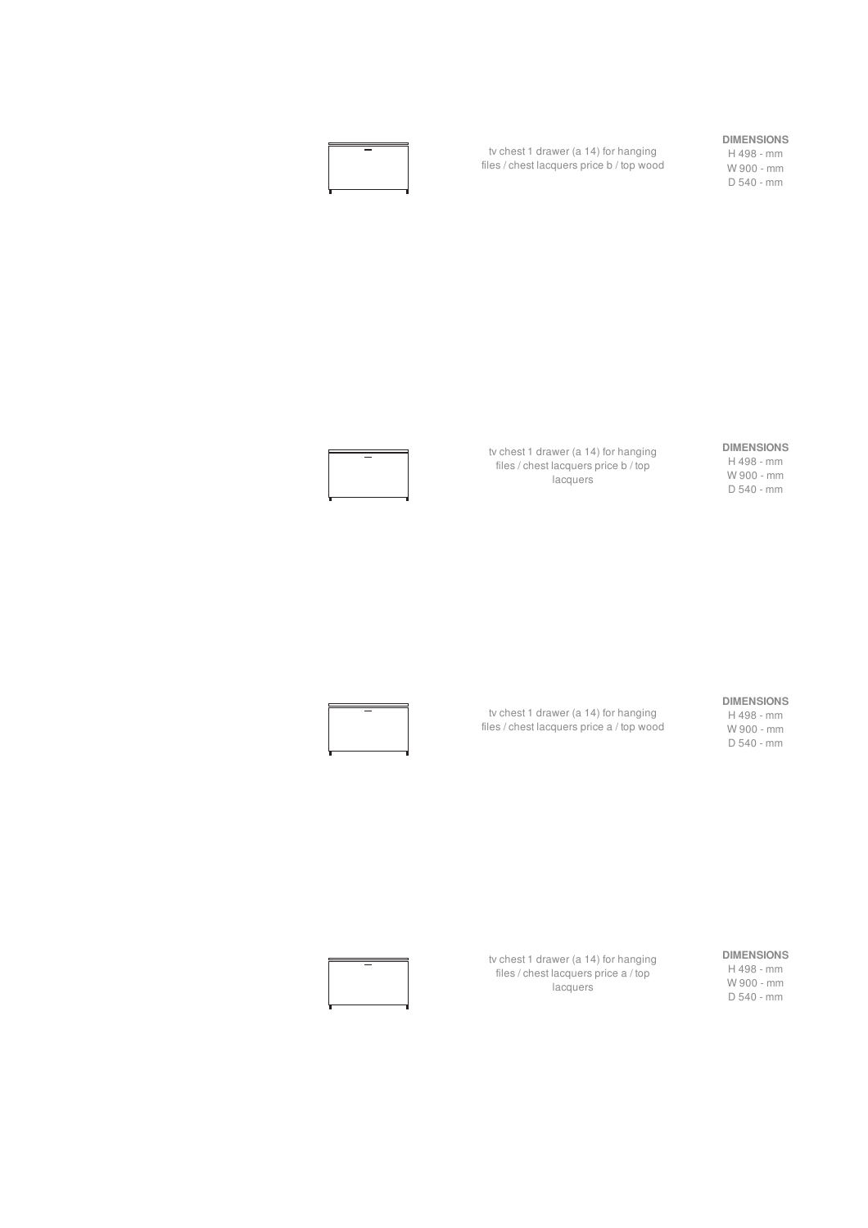

tv chest 1 drawer (a 14) for hanging files / chest lacquers price b / top wood

#### **DIMENSIONS**

H 498 - mm W 900 - mm D 540 - mm

tv chest 1 drawer (a 14) for hanging files / chest lacquers price b / top lacquers

**DIMENSIONS** H 498 - mm W 900 - mm D 540 - mm

#### **DIMENSIONS**

H 498 - mm W 900 - mm D 540 - mm



tv chest 1 drawer (a 14) for hanging files / chest lacquers price a / top wood



tv chest 1 drawer (a 14) for hanging files / chest lacquers price a / top lacquers

#### **DIMENSIONS**

H 498 - mm W 900 - mm D 540 - mm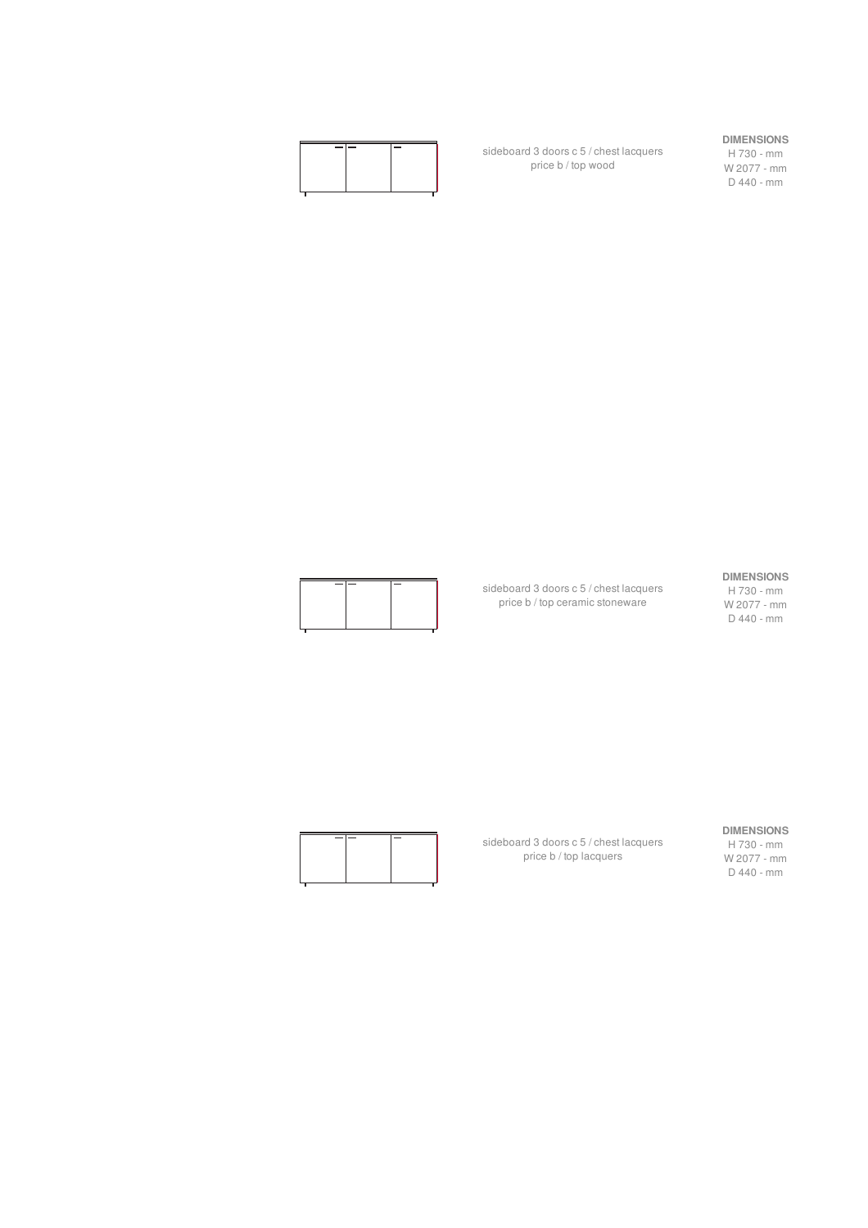sideboard 3 doors c 5 / chest lacquers price b / top wood

#### **DIMENSIONS**

H 730 - mm W 2077 - mm D 440 - mm

#### **DIMENSIONS**

sideboard 3 doors c 5 / chest lacquers price b / top ceramic stoneware

#### H 730 - mm W 2077 - mm D 440 - mm

**DIMENSIONS**

H 730 - mm W 2077 - mm D 440 - mm

sideboard 3 doors c 5 / chest lacquers price b / top lacquers

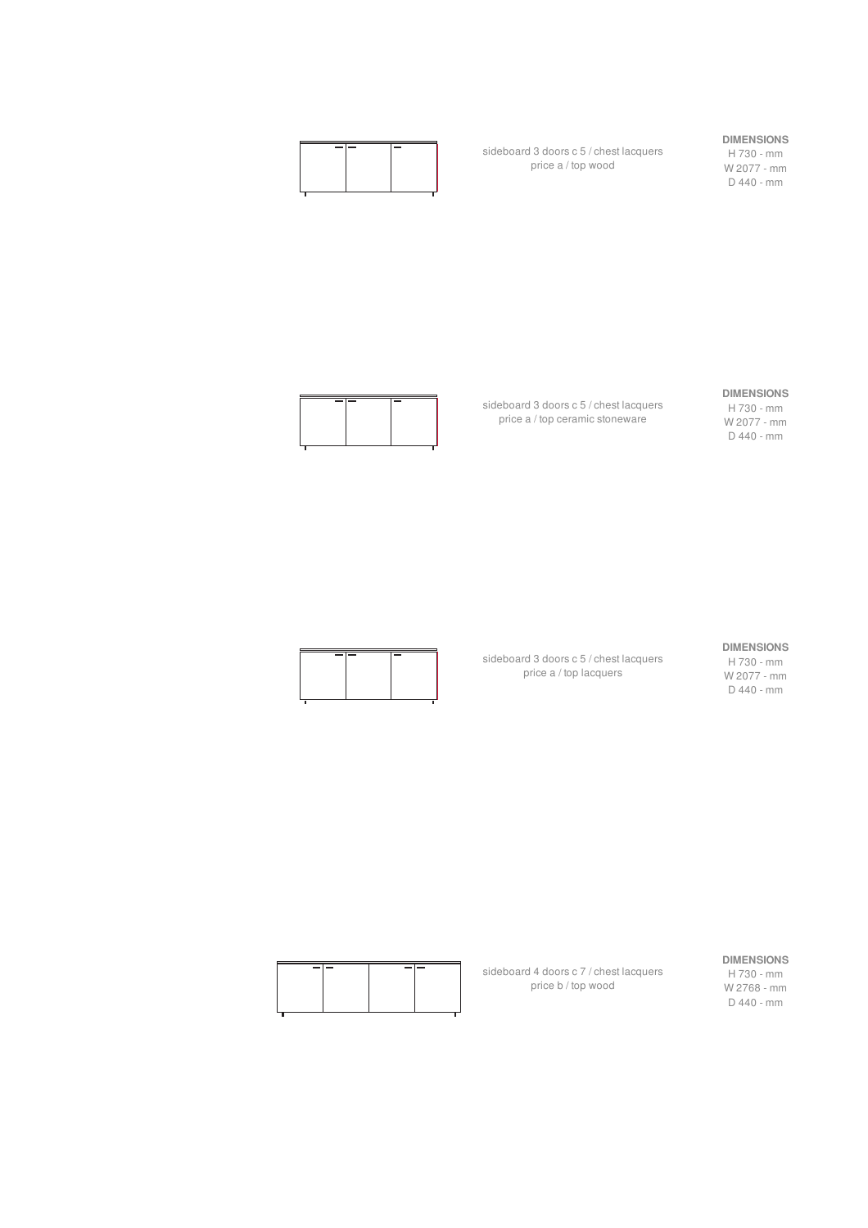sideboard 3 doors c 5 / chest lacquers price a / top wood

#### **DIMENSIONS**

**DIMENSIONS** H 730 - mm W 2077 - mm D 440 - mm

H 730 - mm W 2077 - mm D 440 - mm

sideboard 3 doors c 5 / chest lacquers price a / top ceramic stoneware



#### **DIMENSIONS** H 730 - mm

W 2077 - mm D 440 - mm

sideboard 3 doors c 5 / chest lacquers price a / top lacquers



#### **DIMENSIONS**

H 730 - mm W 2768 - mm D 440 - mm

| $\sim$ | $\sim$ | - |  |
|--------|--------|---|--|
|        |        |   |  |
|        |        |   |  |
|        |        |   |  |
|        |        |   |  |
|        |        |   |  |

sideboard 4 doors c 7 / chest lacquers price b / top wood

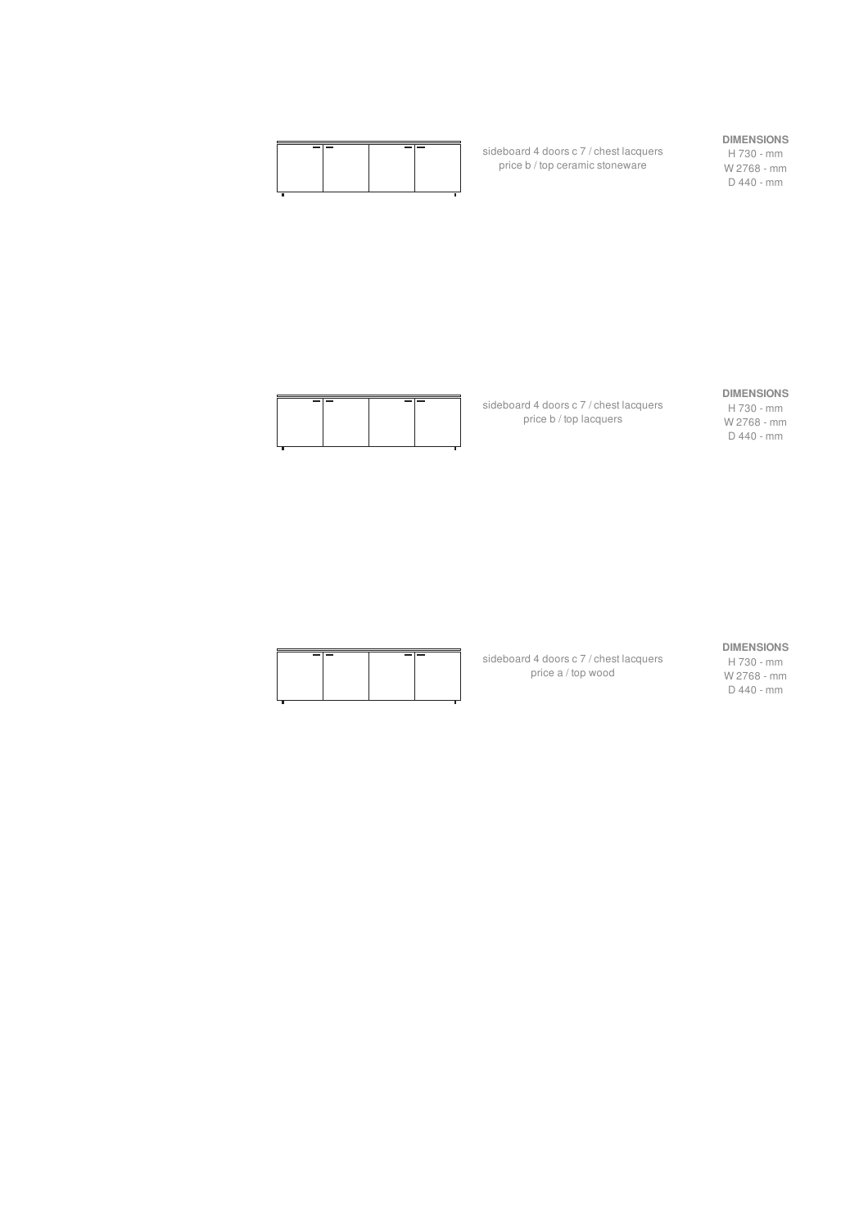| $\overline{\phantom{0}}$ |
|--------------------------|
|                          |
|                          |
|                          |
|                          |
|                          |
|                          |
|                          |
|                          |
|                          |

sideboard 4 doors c 7 / chest lacquers price b / top ceramic stoneware

#### **DIMENSIONS**

H 730 - mm W 2768 - mm D 440 - mm



sideboard 4 doors c 7 / chest lacquers price b / top lacquers

#### **DIMENSIONS**

H 730 - mm W 2768 - mm D 440 - mm

#### **DIMENSIONS**

sideboard 4 doors c 7 / chest lacquers price a / top wood

| UIMENƏIUNƏ  |
|-------------|
| H 730 - mm  |
| W 2768 - mm |
| D 440 - mm  |

| -- | -- |  |
|----|----|--|
|    |    |  |
|    |    |  |
|    |    |  |
|    |    |  |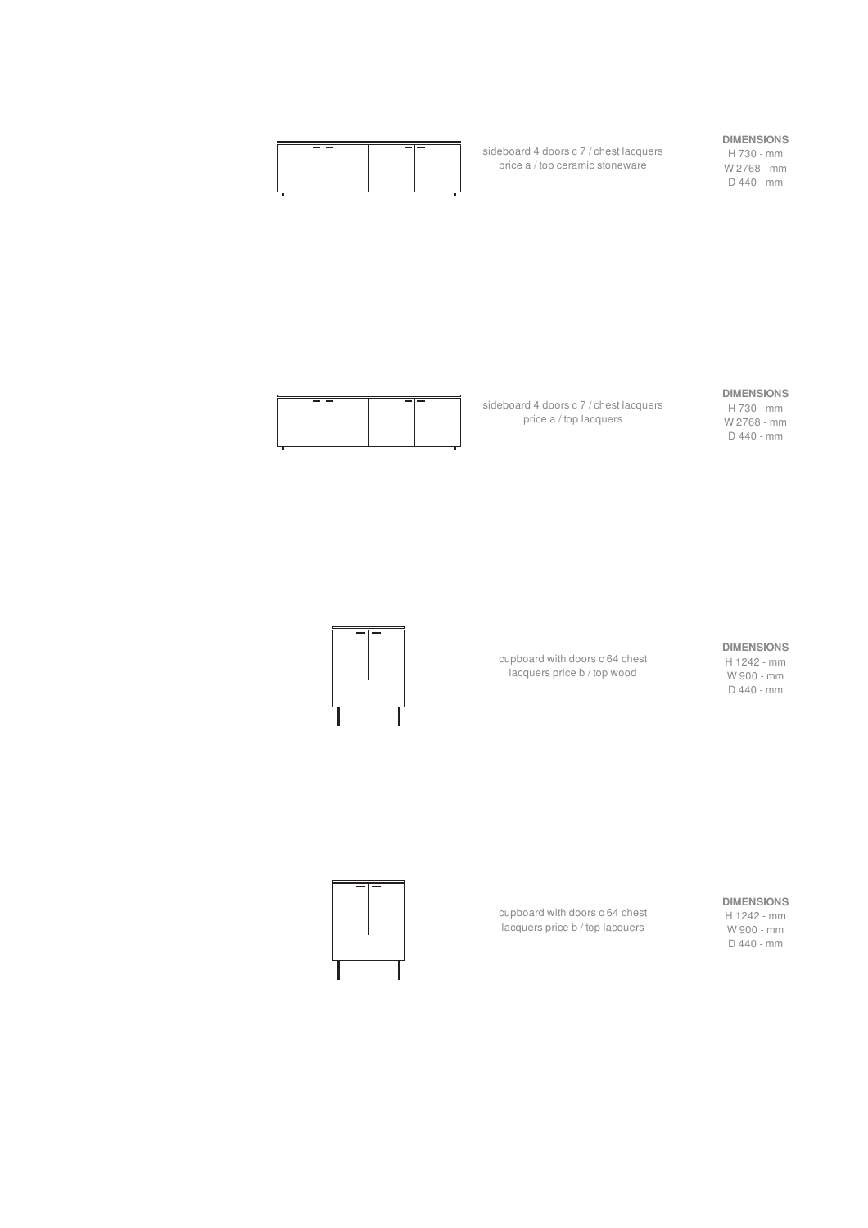sideboard 4 doors c 7 / chest lacquers price a / top ceramic stoneware

sideboard 4 doors c 7 / chest lacquers price a / top lacquers

#### **DIMENSIONS**

H 730 - mm W 2768 - mm D 440 - mm



#### **DIMENSIONS**

H 730 - mm W 2768 - mm D 440 - mm

#### **DIMENSIONS**

H 1242 - mm W 900 - mm D 440 - mm

cupboard with doors c 64 chest lacquers price b / top wood



W 900 - mm D 440 - mm



cupboard with doors c 64 chest lacquers price b / top lacquers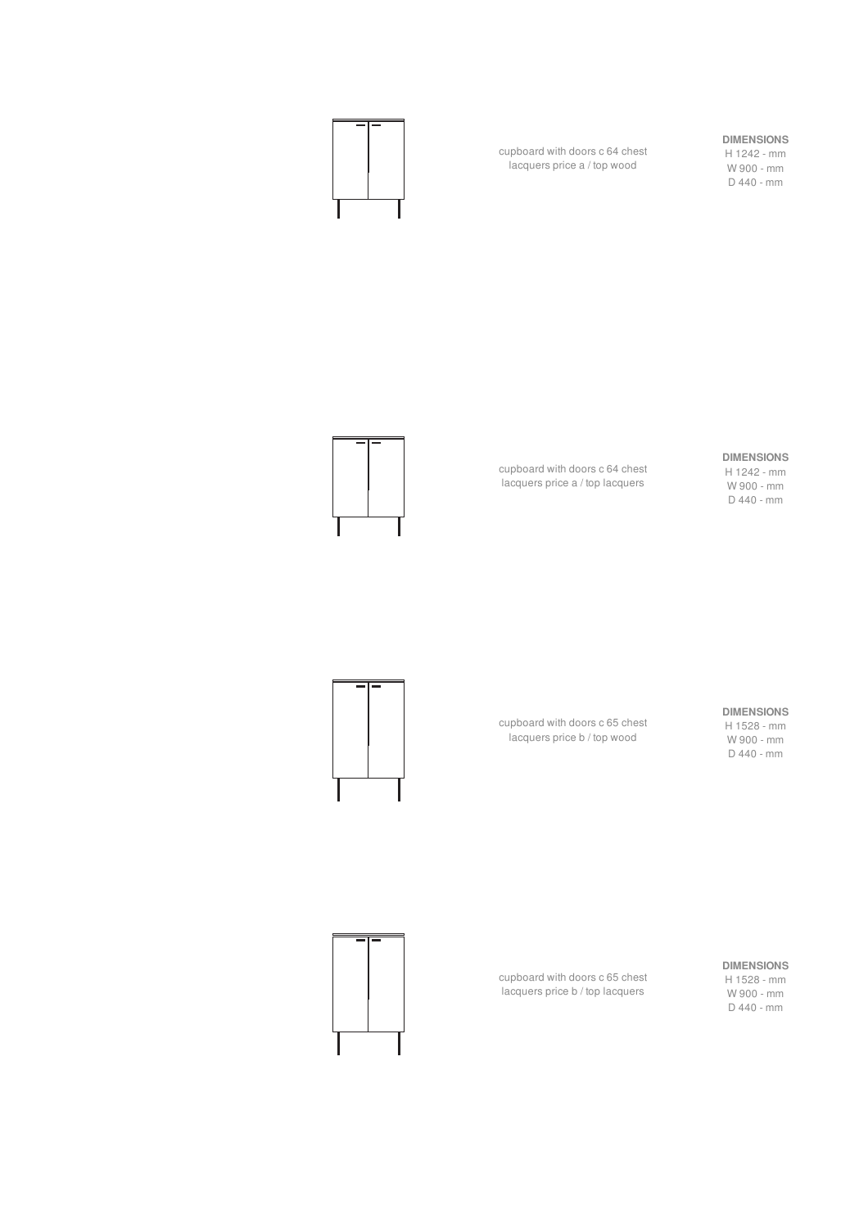

cupboard with doors c 64 chest lacquers price a / top wood

#### **DIMENSIONS**

H 1242 - mm W 900 - mm D 440 - mm

#### **DIMENSIONS**

H 1242 - mm W 900 - mm D 440 - mm

#### **DIMENSIONS**

H 1528 - mm W 900 - mm D 440 - mm

cupboard with doors c 65 chest lacquers price b / top wood

cupboard with doors c 64 chest lacquers price a / top lacquers



#### **DIMENSIONS**

H 1528 - mm W 900 - mm D 440 - mm

cupboard with doors c 65 chest lacquers price b / top lacquers

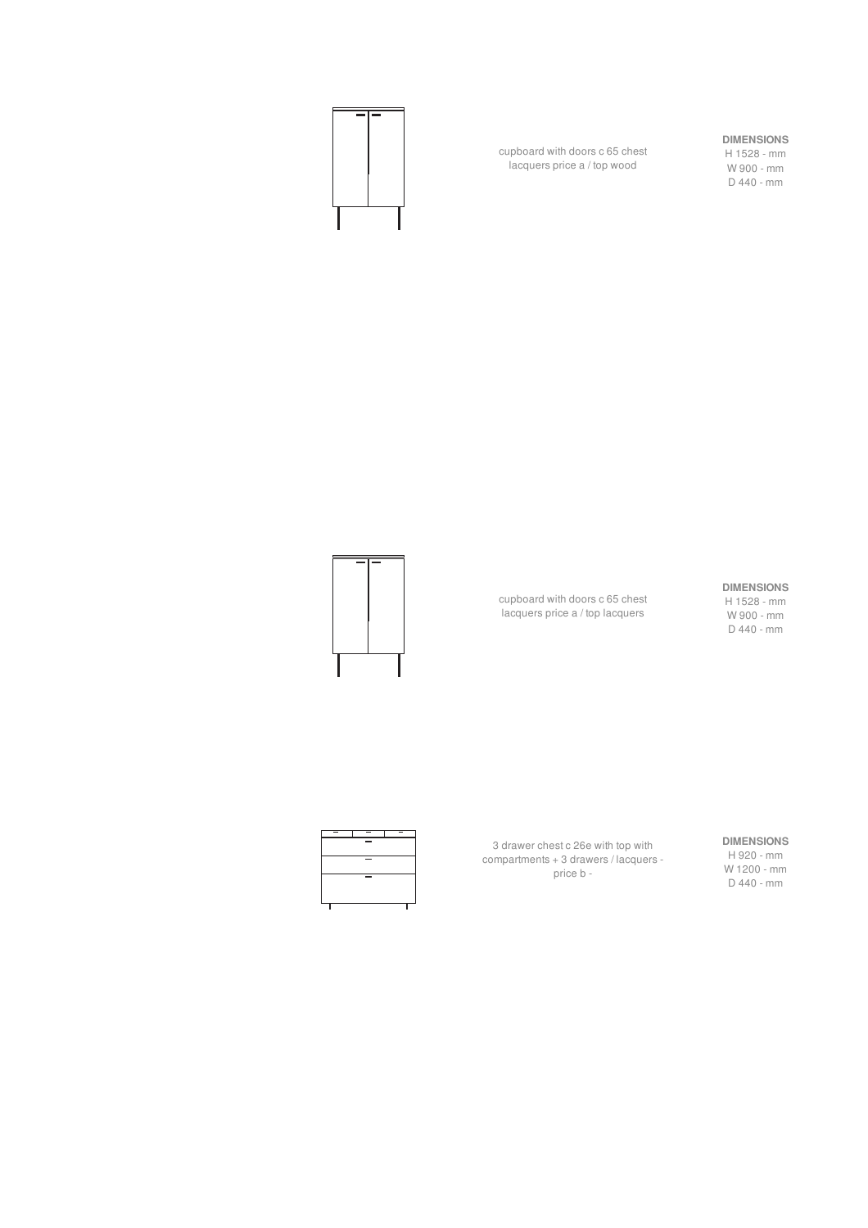

cupboard with doors c 65 chest lacquers price a / top wood

#### **DIMENSIONS**

H 1528 - mm W 900 - mm D 440 - mm

cupboard with doors c 65 chest lacquers price a / top lacquers

#### **DIMENSIONS**

H 1528 - mm W 900 - mm D 440 - mm



3 drawer chest c 26e with top with compartments + 3 drawers / lacquers price b -

#### **DIMENSIONS**

H 920 - mm W 1200 - mm D 440 - mm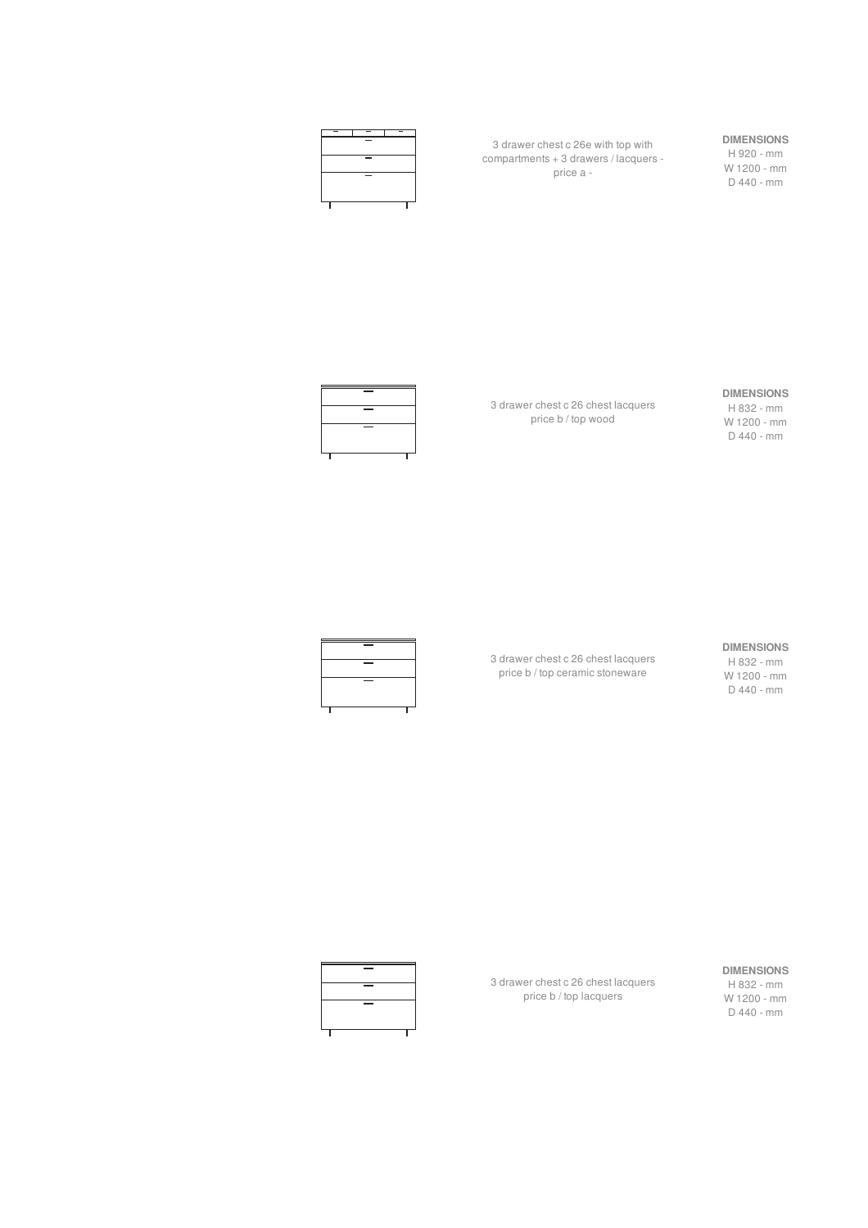

3 drawer chest c 26e with top with compartments + 3 drawers / lacquers price a -

#### **DIMENSIONS**

H 920 - mm W 1200 - mm D 440 - mm



3 drawer chest c 26 chest lacquers price b / top wood

#### **DIMENSIONS**

H 832 - mm W 1200 - mm D 440 - mm



3 drawer chest c 26 chest lacquers price b / top ceramic stoneware

#### **DIMENSIONS**

H 832 - mm W 1200 - mm D 440 - mm



3 drawer chest c 26 chest lacquers price b / top lacquers

#### **DIMENSIONS**

H 832 - mm W 1200 - mm D 440 - mm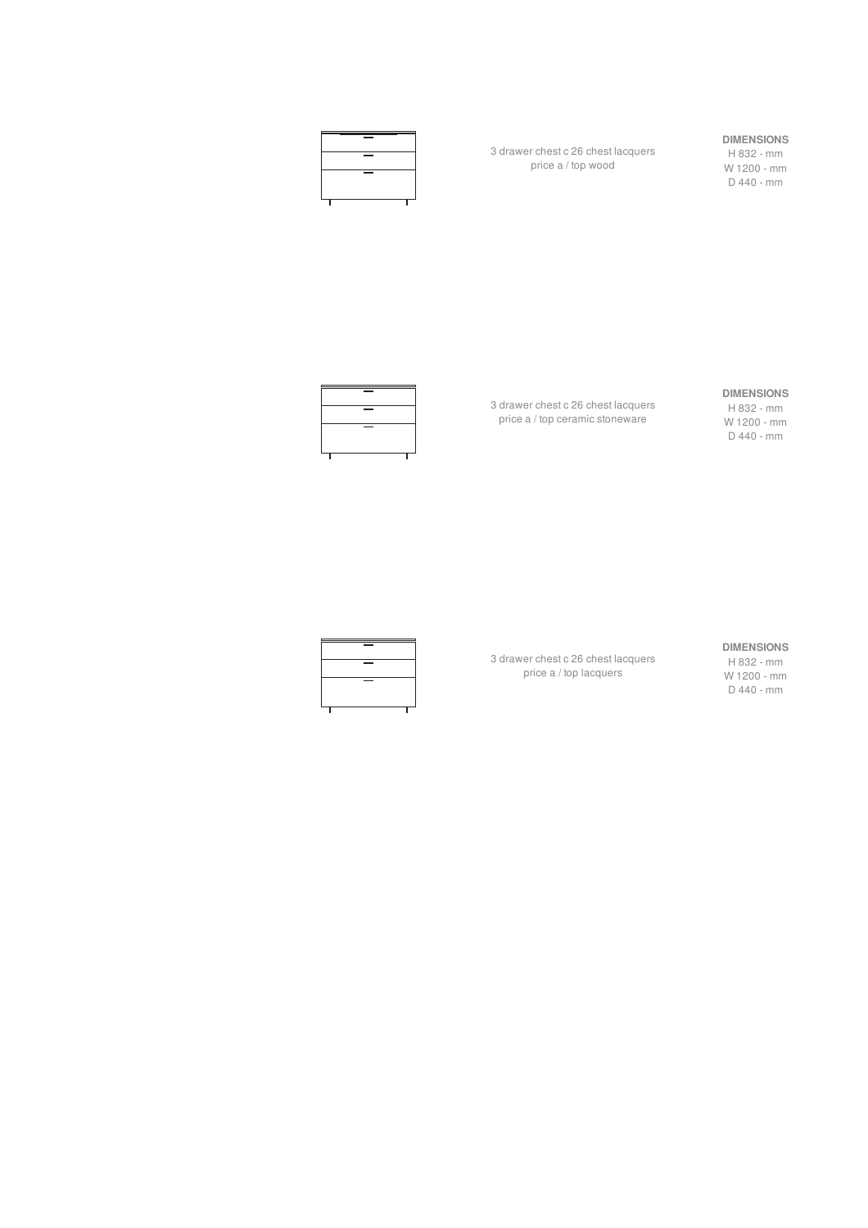

3 drawer chest c 26 chest lacquers price a / top wood

#### **DIMENSIONS**

H 832 - mm W 1200 - mm D 440 - mm



3 drawer chest c 26 chest lacquers price a / top ceramic stoneware

#### **DIMENSIONS**

H 832 - mm W 1200 - mm D 440 - mm



3 drawer chest c 26 chest lacquers price a / top lacquers

#### **DIMENSIONS**

H 832 - mm W 1200 - mm D 440 - mm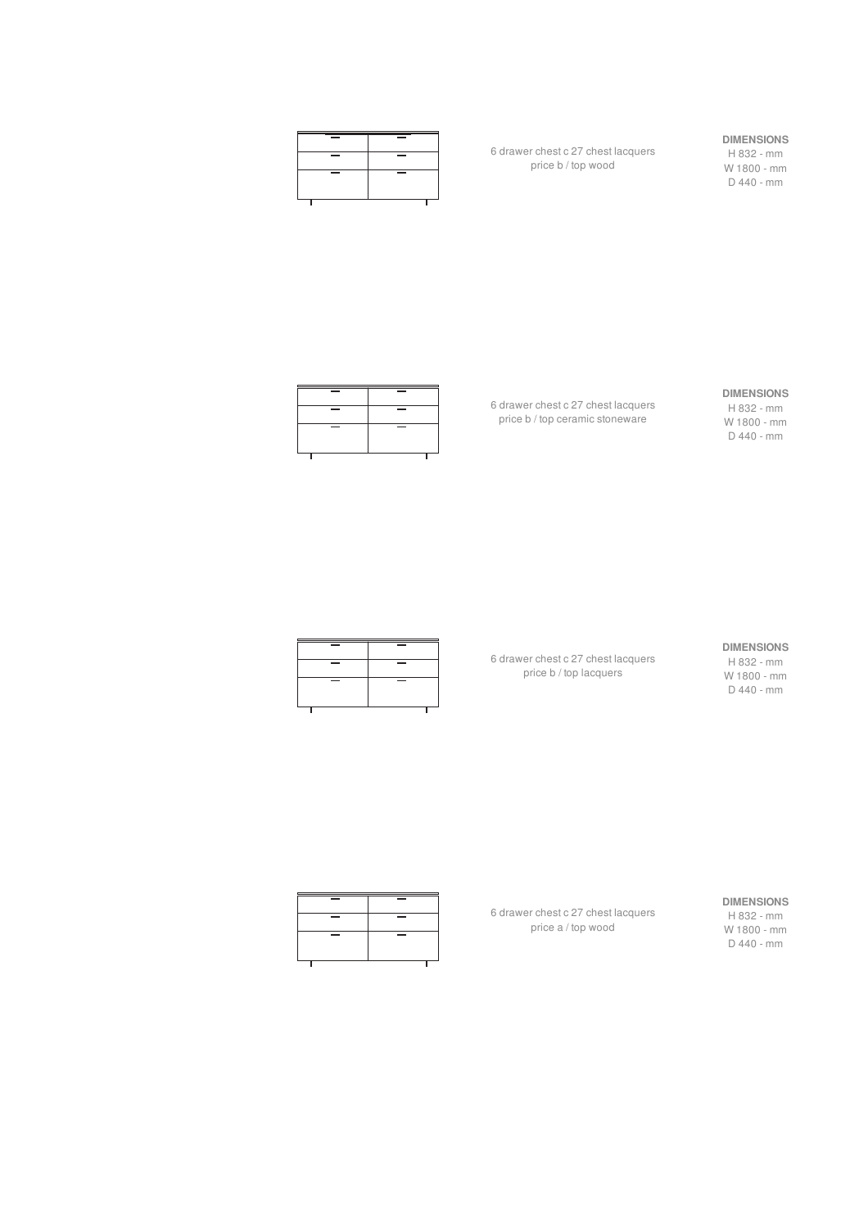| $\overline{\phantom{a}}$ | _                        |
|--------------------------|--------------------------|
| $\overline{\phantom{a}}$ | $\overline{\phantom{a}}$ |
| ___                      | _                        |
|                          |                          |

6 drawer chest c 27 chest lacquers price b / top wood

#### **DIMENSIONS**

H 832 - mm W 1800 - mm D 440 - mm



6 drawer chest c 27 chest lacquers price b / top ceramic stoneware

## **DIMENSIONS**

H 832 - mm W 1800 - mm D 440 - mm

| $\overline{\phantom{a}}$ | $\overline{\phantom{a}}$ |
|--------------------------|--------------------------|
| $\overline{\phantom{a}}$ | $\overline{\phantom{a}}$ |
| $\overline{\phantom{a}}$ | $\overline{\phantom{a}}$ |
|                          |                          |

6 drawer chest c 27 chest lacquers price b / top lacquers

#### **DIMENSIONS**

H 832 - mm W 1800 - mm D 440 - mm



6 drawer chest c 27 chest lacquers price a / top wood

#### **DIMENSIONS**

H 832 - mm W 1800 - mm D 440 - mm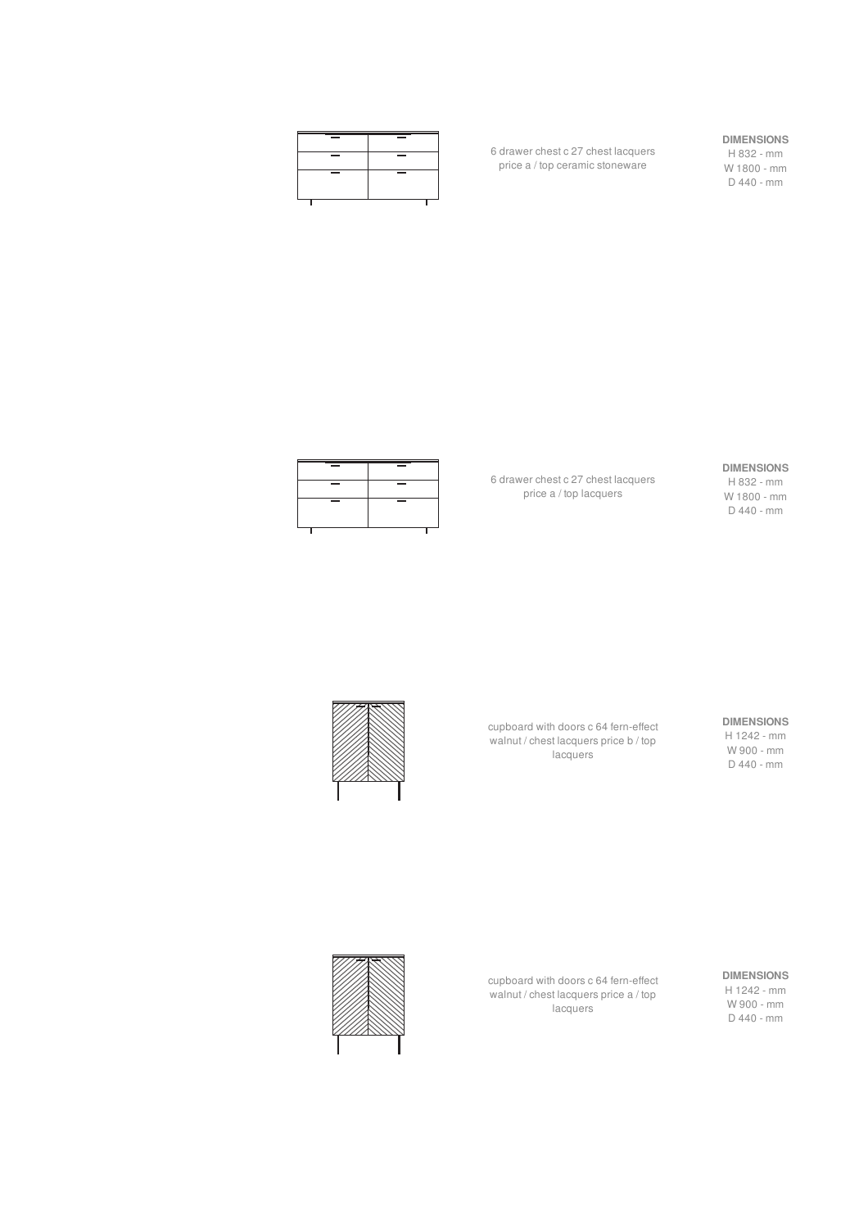

6 drawer chest c 27 chest lacquers price a / top ceramic stoneware

#### **DIMENSIONS**

H 832 - mm W 1800 - mm D 440 - mm

#### **DIMENSIONS** H 832 - mm

W 1800 - mm D 440 - mm

6 drawer chest c 27 chest lacquers price a / top lacquers



cupboard with doors c 64 fern-effect walnut / chest lacquers price b / top lacquers

**DIMENSIONS** H 1242 - mm

W 900 - mm D 440 - mm



cupboard with doors c 64 fern-effect walnut / chest lacquers price a / top lacquers



**DIMENSIONS**

H 1242 - mm W 900 - mm D 440 - mm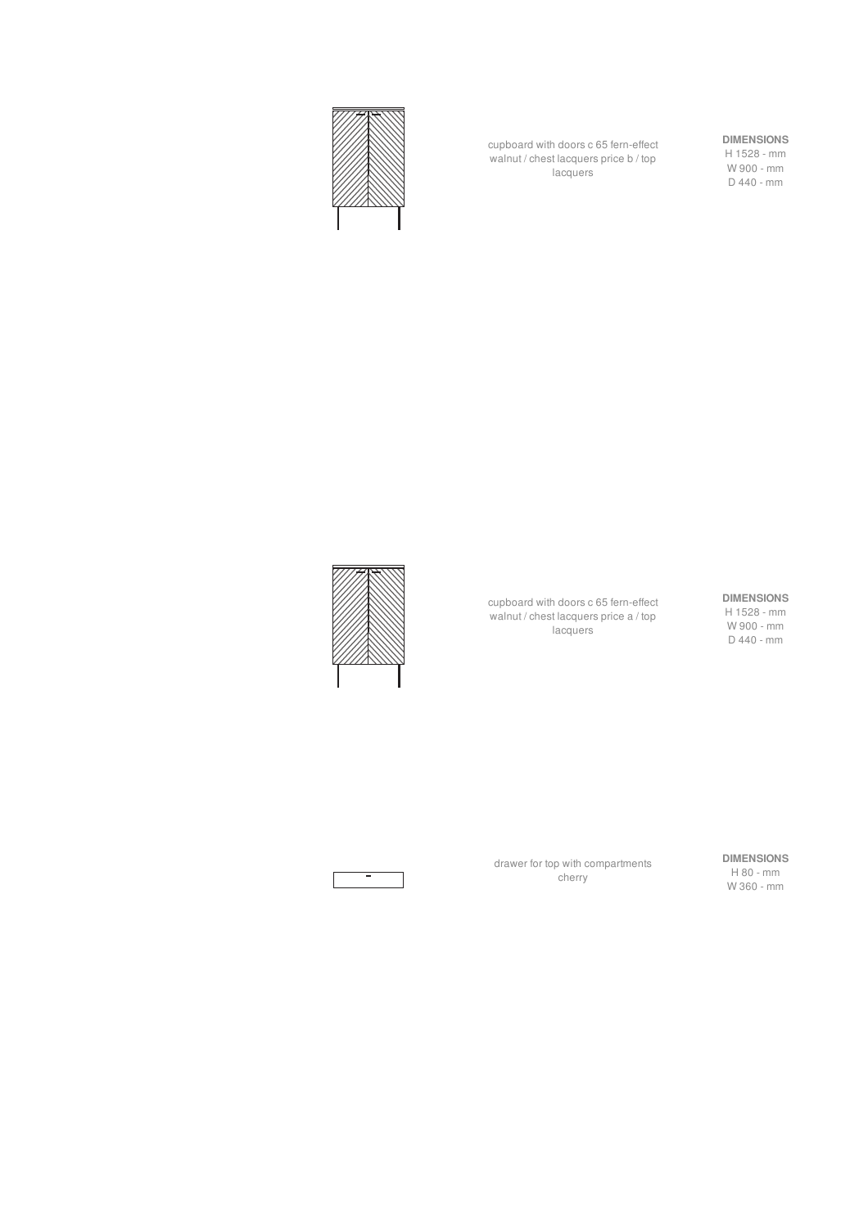

cupboard with doors c 65 fern-effect walnut / chest lacquers price b / top lacquers

#### **DIMENSIONS**

H 1528 - mm W 900 - mm D 440 - mm

cupboard with doors c 65 fern-effect walnut / chest lacquers price a / top lacquers

#### **DIMENSIONS**

H 1528 - mm W 900 - mm D 440 - mm

drawer for top with compartments cherry

**DIMENSIONS** H 80 - mm W 360 - mm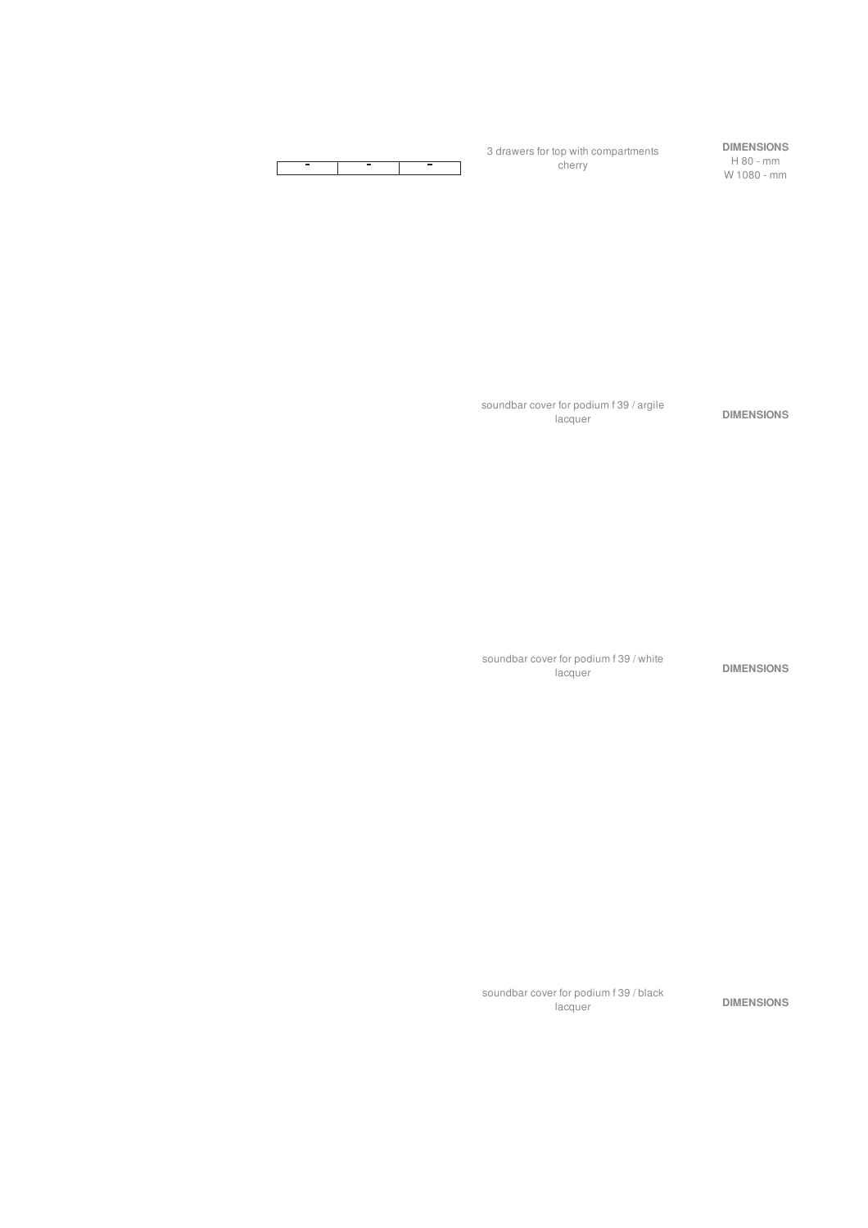

soundbar cover for podium f 39 / argile

soundbar cover for podium f 39 / white

DIMENSIONS

DIMENSIONS

DIMENSIONS

soundbar cover for podium f 39 / black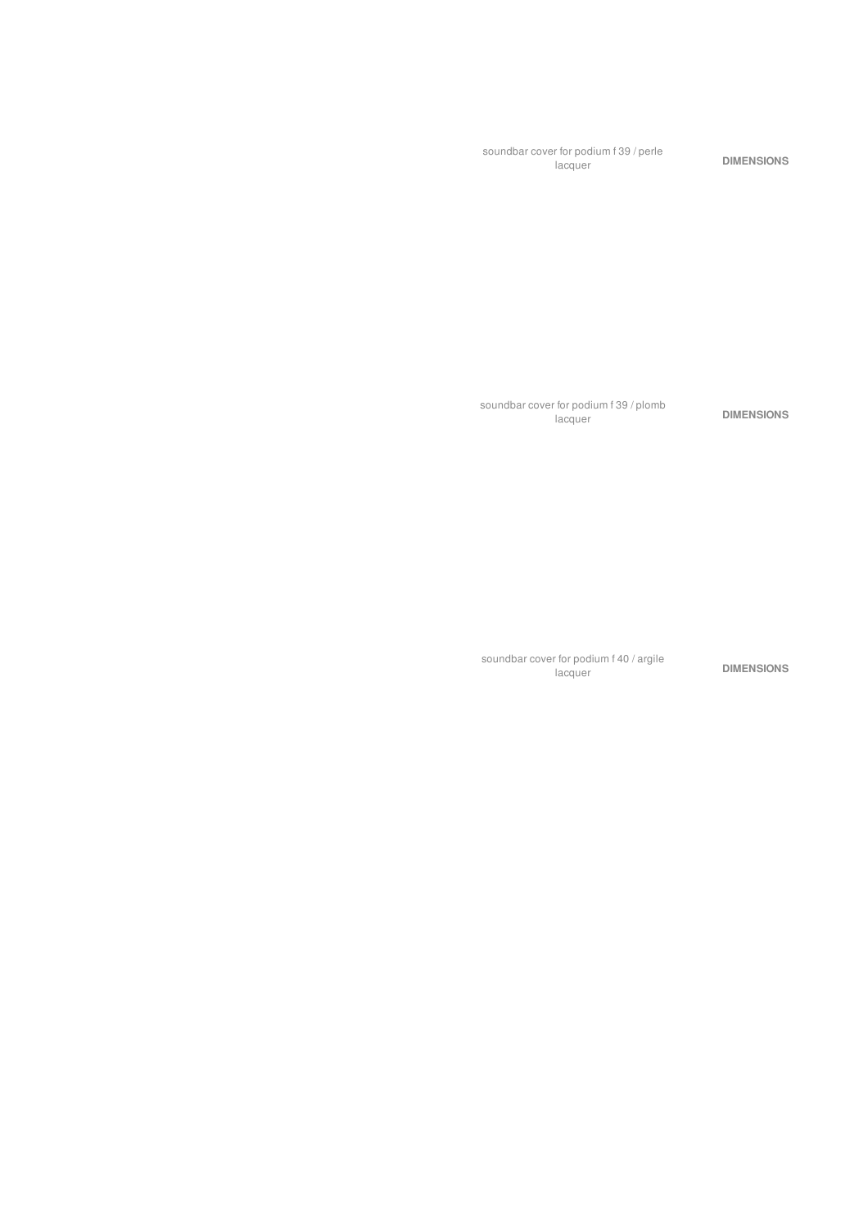soundbar cover for podium f 39 / perle

soundbar cover for podium f 39 / plomb

DIMENSIONS

DIMENSIONS

soundbar cover for podium f 40 / argile

DIMENSIONS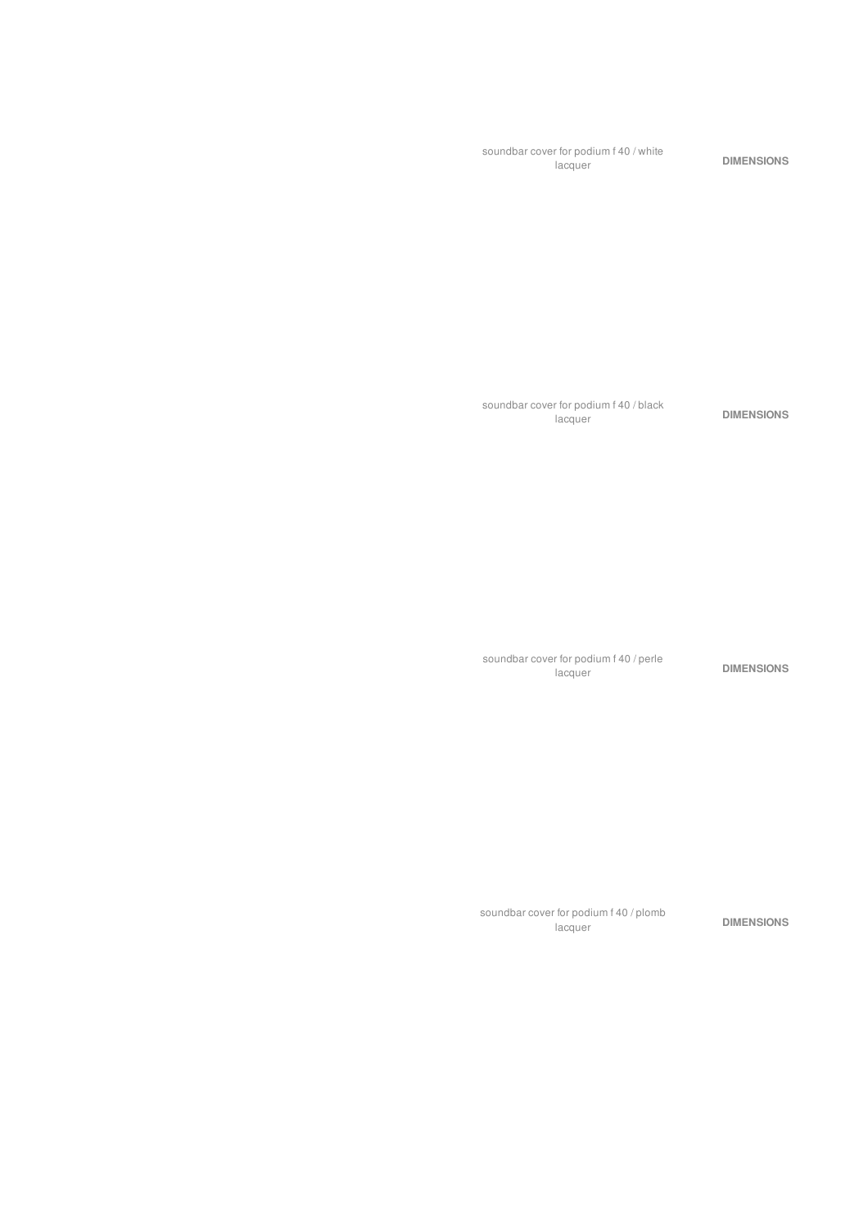soundbar cover for podium f 40 / white<br>lacquer DIMENSIONS

soundbar cover for podium f 40 / black

soundbar cover for podium f 40 / perle

DIMENSIONS

DIMENSIONS

soundbar cover for podium f 40 / plomb

lacquer **DIMENSIONS**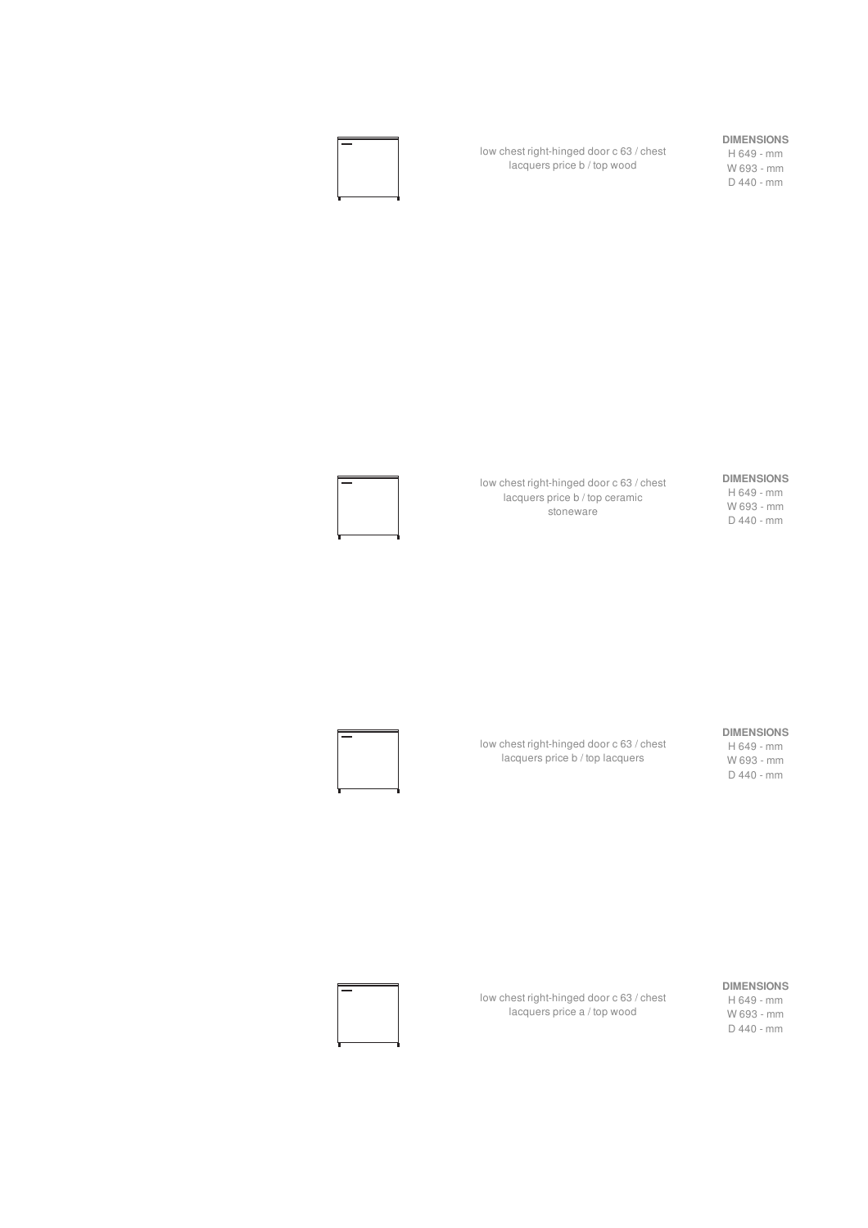#### **DIMENSIONS**

low chest right-hinged door c 63 / chest lacquers price b / top wood

H 649 - mm W 693 - mm D 440 - mm



## low chest right-hinged door c 63 / chest

lacquers price b / top ceramic stoneware

**DIMENSIONS** H 649 - mm W 693 - mm D 440 - mm

#### **DIMENSIONS**

low chest right-hinged door c 63 / chest lacquers price b / top lacquers

H 649 - mm

W 693 - mm D 440 - mm

#### **DIMENSIONS** H 649 - mm

W 693 - mm D 440 - mm

low chest right-hinged door c 63 / chest lacquers price a / top wood

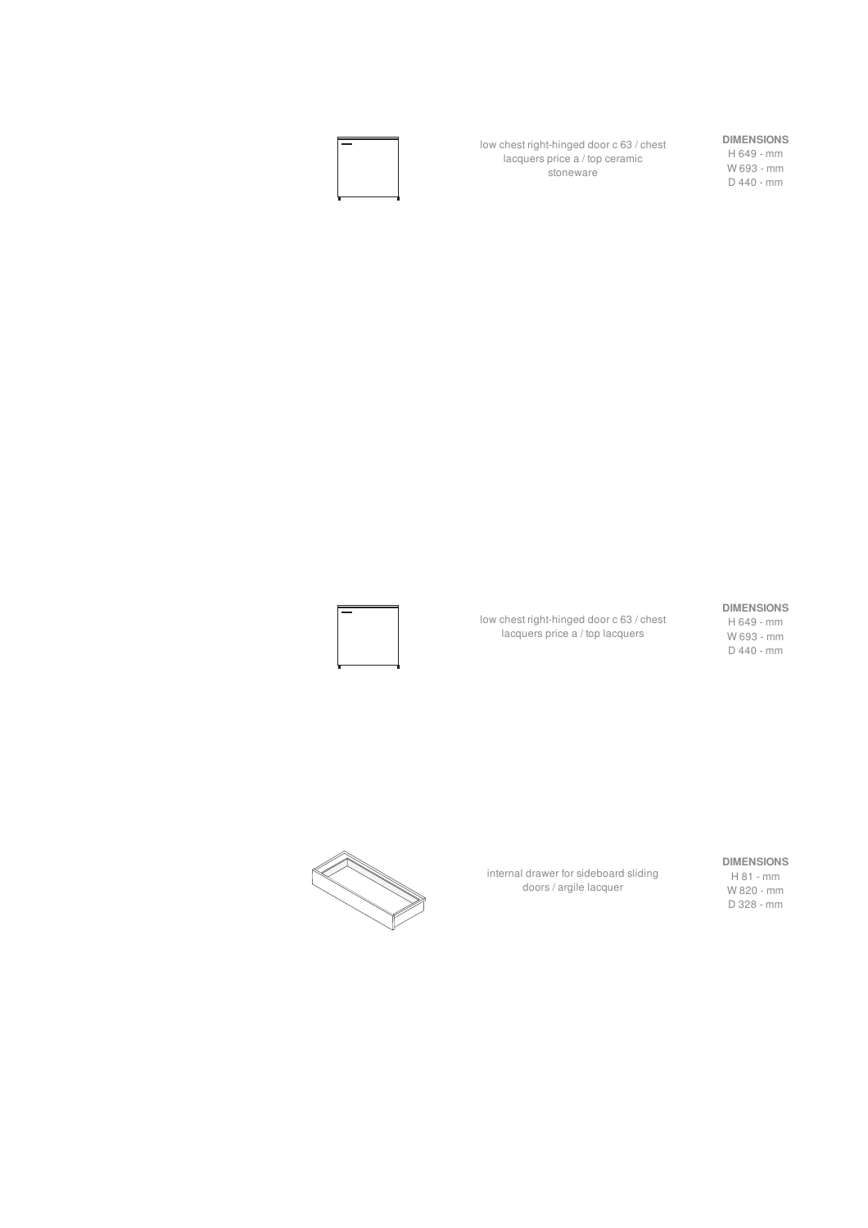

low chest right-hinged door c 63 / chest lacquers price a / top ceramic stoneware

#### **DIMENSIONS**

H 649 - mm W 693 - mm D 440 - mm

#### low chest right-hinged door c 63 / chest lacquers price a / top lacquers

#### **DIMENSIONS**

H 649 - mm W 693 - mm D 440 - mm



internal drawer for sideboard sliding doors / argile lacquer

#### **DIMENSIONS**

H 81 - mm W 820 - mm D 328 - mm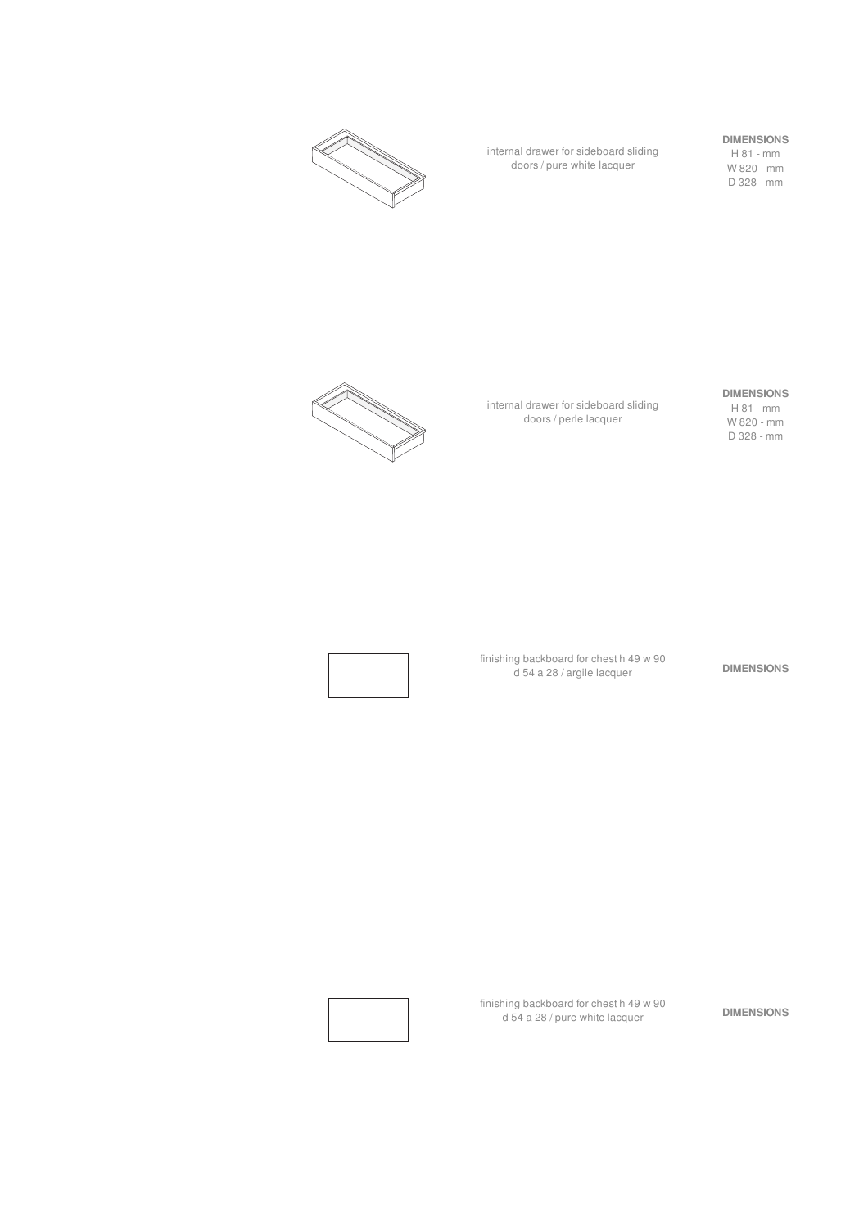

internal drawer for sideboard sliding doors / pure white lacquer

#### **DIMENSIONS**

H 81 - mm W 820 - mm D 328 - mm



internal drawer for sideboard sliding doors / perle lacquer

#### **DIMENSIONS**

H 81 - mm W 820 - mm D 328 - mm



finishing backboard for chest h 49 w 90 d 54 a 28 / argile lacquer **DIMENSIONS**

finishing backboard for chest h 49 w 90 aning backboard for chest h 49 w 90<br>d 54 a 28 / pure white lacquer **DIMENSIONS**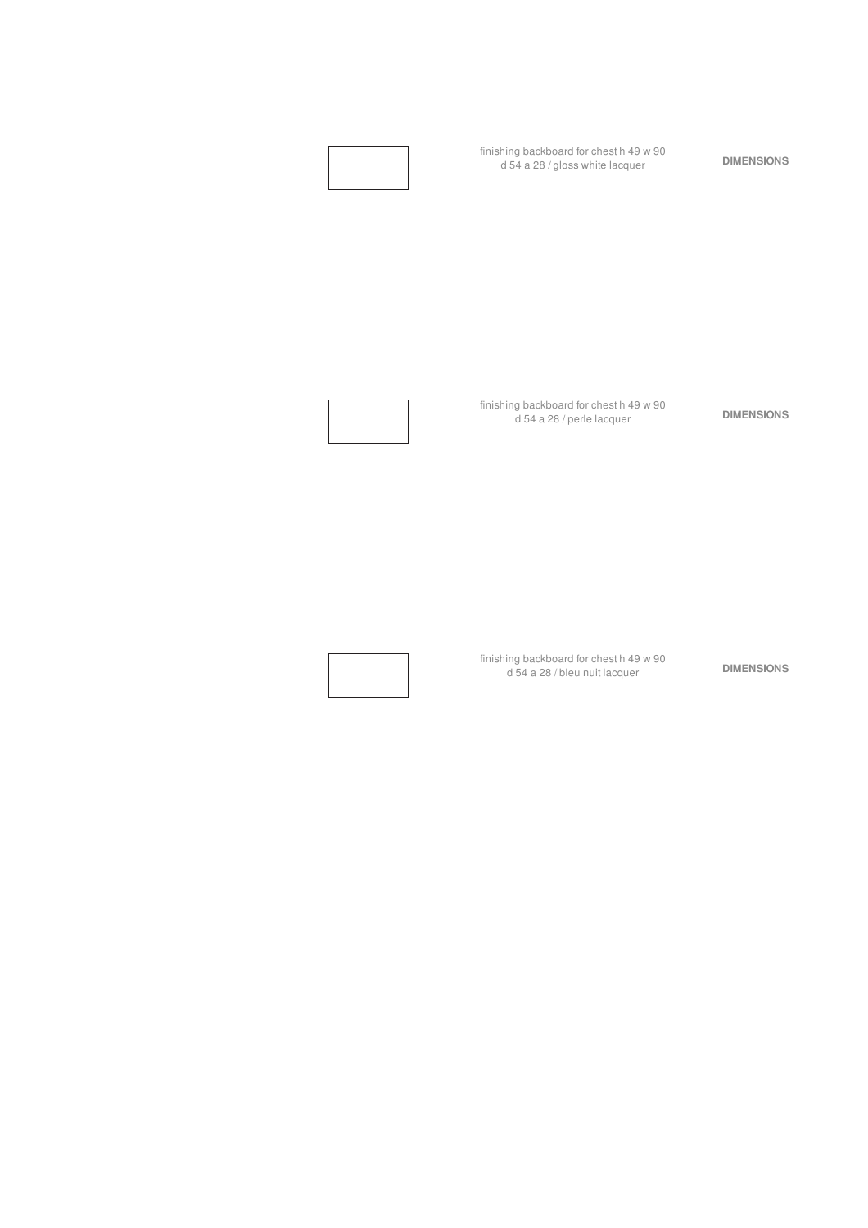

finishing backboard for chest h 49 w 90 d 54 a 28 / bleu nuit lacquer **DIMENSIONS**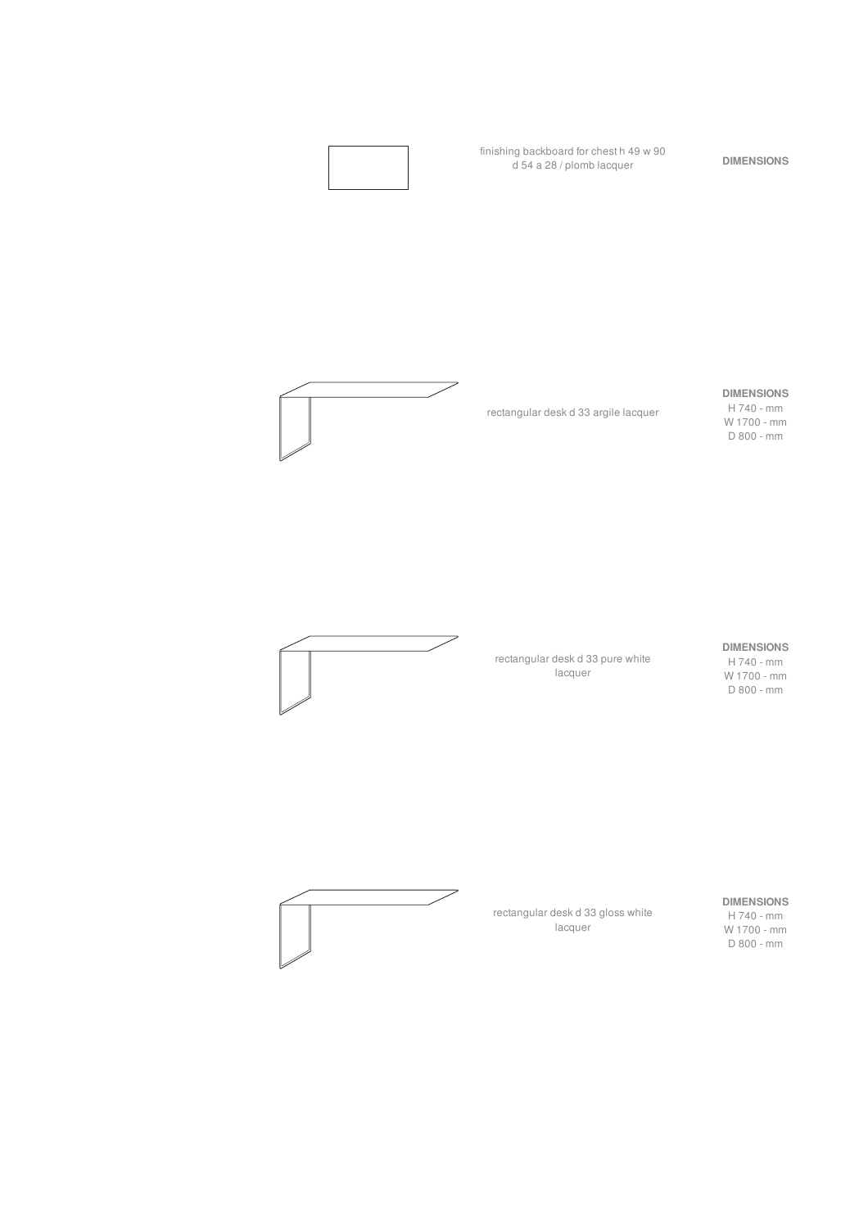



rectangular desk d 33 argile lacquer

#### **DIMENSIONS**

H 740 - mm W 1700 - mm D 800 - mm



rectangular desk d 33 pure white lacquer

#### **DIMENSIONS**

H 740 - mm W 1700 - mm D 800 - mm



rectangular desk d 33 gloss white lacquer

**DIMENSIONS** H 740 - mm

W 1700 - mm D 800 - mm